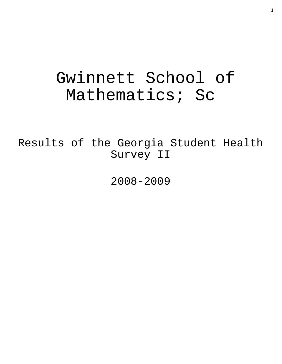# Gwinnett School of Mathematics; Sc

Results of the Georgia Student Health Survey II

2008-2009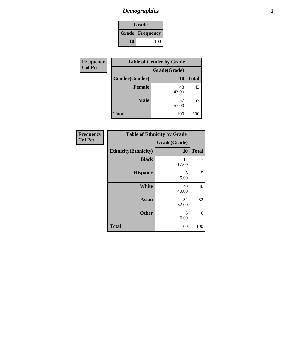# *Demographics* **2**

| Grade                    |     |  |
|--------------------------|-----|--|
| <b>Grade   Frequency</b> |     |  |
| 10                       | 100 |  |

| Frequency      |                | <b>Table of Gender by Grade</b> |              |
|----------------|----------------|---------------------------------|--------------|
| <b>Col Pct</b> |                | Grade(Grade)                    |              |
|                | Gender(Gender) | <b>10</b>                       | <b>Total</b> |
|                | <b>Female</b>  | 43<br>43.00                     | 43           |
|                | <b>Male</b>    | 57<br>57.00                     | 57           |
|                | <b>Total</b>   | 100                             | 100          |

| <b>Frequency</b> |  |
|------------------|--|
| <b>Col Pct</b>   |  |

|                              | <b>Table of Ethnicity by Grade</b> |              |  |
|------------------------------|------------------------------------|--------------|--|
|                              | Grade(Grade)                       |              |  |
| <b>Ethnicity</b> (Ethnicity) | 10                                 | <b>Total</b> |  |
| <b>Black</b>                 | 17<br>17.00                        | 17           |  |
| <b>Hispanic</b>              | 5<br>5.00                          | 5            |  |
| White                        | 40<br>40.00                        | 40           |  |
| <b>Asian</b>                 | 32<br>32.00                        | 32           |  |
| <b>Other</b>                 | 6<br>6.00                          | 6            |  |
| <b>Total</b>                 | 100                                | 100          |  |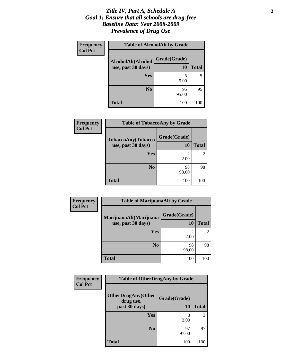#### *Title IV, Part A, Schedule A* **3** *Goal 1: Ensure that all schools are drug-free Baseline Data: Year 2008-2009 Prevalence of Drug Use*

| Frequency      | <b>Table of AlcoholAlt by Grade</b>      |                    |              |
|----------------|------------------------------------------|--------------------|--------------|
| <b>Col Pct</b> | AlcoholAlt(Alcohol<br>use, past 30 days) | Grade(Grade)<br>10 | <b>Total</b> |
|                | <b>Yes</b>                               | 5<br>5.00          |              |
|                | N <sub>0</sub>                           | 95<br>95.00        | 95           |
|                | <b>Total</b>                             | 100                | 100          |

| Frequency<br><b>Col Pct</b> | <b>Table of TobaccoAny by Grade</b>      |                    |                |
|-----------------------------|------------------------------------------|--------------------|----------------|
|                             | TobaccoAny(Tobacco<br>use, past 30 days) | Grade(Grade)<br>10 | <b>Total</b>   |
|                             | Yes                                      | 2<br>2.00          | $\overline{2}$ |
|                             | N <sub>0</sub>                           | 98<br>98.00        | 98             |
|                             | <b>Total</b>                             | 100                | 100            |

| Frequency      | <b>Table of MarijuanaAlt by Grade</b> |              |              |
|----------------|---------------------------------------|--------------|--------------|
| <b>Col Pct</b> | MarijuanaAlt(Marijuana                | Grade(Grade) |              |
|                | use, past 30 days)                    | <b>10</b>    | <b>Total</b> |
|                | Yes                                   | 2<br>2.00    |              |
|                | N <sub>0</sub>                        | 98<br>98.00  | 98           |
|                | <b>Total</b>                          | 100          | 100          |

| Frequency      | <b>Table of OtherDrugAny by Grade</b>                   |                    |              |
|----------------|---------------------------------------------------------|--------------------|--------------|
| <b>Col Pct</b> | <b>OtherDrugAny(Other</b><br>drug use,<br>past 30 days) | Grade(Grade)<br>10 | <b>Total</b> |
|                |                                                         |                    |              |
|                | Yes                                                     | 3<br>3.00          | 3            |
|                | N <sub>0</sub>                                          | 97<br>97.00        | 97           |
|                | <b>Total</b>                                            | 100                | 100          |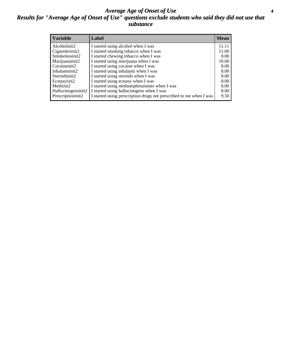#### *Average Age of Onset of Use* **4** *Results for "Average Age of Onset of Use" questions exclude students who said they did not use that substance*

| <b>Variable</b>    | Label                                                              | <b>Mean</b> |
|--------------------|--------------------------------------------------------------------|-------------|
| Alcoholinit2       | I started using alcohol when I was                                 | 11.11       |
| Cigarettesinit2    | I started smoking tobacco when I was                               | 11.00       |
| Smokelessinit2     | I started chewing tobacco when I was                               | 8.00        |
| Marijuanainit2     | I started using marijuana when I was                               | 10.00       |
| Cocaineinit2       | I started using cocaine when I was                                 | 8.00        |
| Inhalantsinit2     | I started using inhalants when I was                               | 8.00        |
| Steroidsinit2      | I started using steroids when I was                                | 8.00        |
| Ecstasyinit2       | I started using ecstasy when I was                                 | 8.00        |
| Methinit2          | I started using methamphetamines when I was                        | 8.00        |
| Hallucinogensinit2 | I started using hallucinogens when I was                           | 8.00        |
| Prescriptioninit2  | I started using prescription drugs not prescribed to me when I was | 9.50        |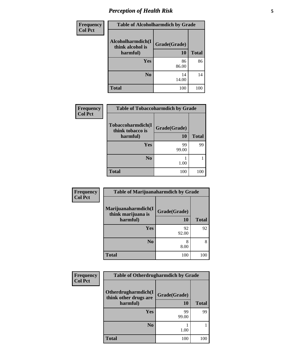# *Perception of Health Risk* **5**

| Frequency      | <b>Table of Alcoholharmdich by Grade</b> |              |              |
|----------------|------------------------------------------|--------------|--------------|
| <b>Col Pct</b> | Alcoholharmdich(I<br>think alcohol is    | Grade(Grade) |              |
|                | harmful)                                 | 10           | <b>Total</b> |
|                | Yes                                      | 86<br>86.00  | 86           |
|                | N <sub>0</sub>                           | 14<br>14.00  | 14           |
|                | <b>Total</b>                             | 100          | 100          |

| <b>Frequency</b> | <b>Table of Tobaccoharmdich by Grade</b> |              |              |
|------------------|------------------------------------------|--------------|--------------|
| <b>Col Pct</b>   | Tobaccoharmdich(I<br>think tobacco is    | Grade(Grade) |              |
|                  | harmful)                                 | 10           | <b>Total</b> |
|                  | <b>Yes</b>                               | 99           | 99           |
|                  |                                          | 99.00        |              |
|                  | N <sub>0</sub>                           |              |              |
|                  |                                          | 1.00         |              |
|                  | <b>Total</b>                             | 100          | 100          |
|                  |                                          |              |              |

| Frequency<br><b>Col Pct</b> | <b>Table of Marijuanaharmdich by Grade</b> |              |              |
|-----------------------------|--------------------------------------------|--------------|--------------|
|                             | Marijuanaharmdich(I<br>think marijuana is  | Grade(Grade) |              |
|                             | harmful)                                   | 10           | <b>Total</b> |
|                             | Yes                                        | 92<br>92.00  | 92           |
|                             | N <sub>0</sub>                             | 8<br>8.00    | 8            |
|                             | <b>Total</b>                               | 100          | 100          |

| Frequency      | <b>Table of Otherdrugharmdich by Grade</b>   |              |              |  |  |
|----------------|----------------------------------------------|--------------|--------------|--|--|
| <b>Col Pct</b> | Otherdrugharmdich(I<br>think other drugs are | Grade(Grade) |              |  |  |
|                | harmful)                                     | 10           | <b>Total</b> |  |  |
|                | Yes                                          | 99<br>99.00  | 99           |  |  |
|                | N <sub>0</sub>                               | 1.00         |              |  |  |
|                | <b>Total</b>                                 | 100          | 100          |  |  |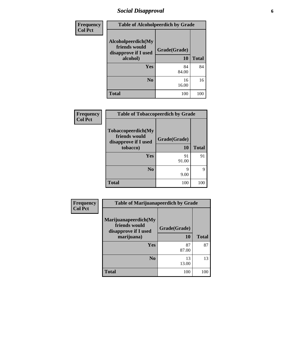### *Social Disapproval* **6**

| <b>Frequency</b> | <b>Table of Alcoholpeerdich by Grade</b>                                |                    |              |  |  |
|------------------|-------------------------------------------------------------------------|--------------------|--------------|--|--|
| <b>Col Pct</b>   | Alcoholpeerdich(My<br>friends would<br>disapprove if I used<br>alcohol) | Grade(Grade)<br>10 | <b>Total</b> |  |  |
|                  | Yes                                                                     | 84<br>84.00        | 84           |  |  |
|                  | N <sub>0</sub>                                                          | 16<br>16.00        | 16           |  |  |
|                  | <b>Total</b>                                                            | 100                | 100          |  |  |

| Frequency      | <b>Table of Tobaccopeerdich by Grade</b>                    |              |              |  |
|----------------|-------------------------------------------------------------|--------------|--------------|--|
| <b>Col Pct</b> | Tobaccopeerdich(My<br>friends would<br>disapprove if I used | Grade(Grade) |              |  |
|                | tobacco)                                                    | 10           | <b>Total</b> |  |
|                | Yes                                                         | 91<br>91.00  | 91           |  |
|                | N <sub>0</sub>                                              | Q<br>9.00    | 9            |  |
|                | <b>Total</b>                                                | 100          | 100          |  |

| <b>Frequency</b> | <b>Table of Marijuanapeerdich by Grade</b>                    |              |              |  |
|------------------|---------------------------------------------------------------|--------------|--------------|--|
| <b>Col Pct</b>   | Marijuanapeerdich(My<br>friends would<br>disapprove if I used | Grade(Grade) |              |  |
|                  | marijuana)                                                    | <b>10</b>    | <b>Total</b> |  |
|                  | <b>Yes</b>                                                    | 87<br>87.00  | 87           |  |
|                  | N <sub>0</sub>                                                | 13<br>13.00  | 13           |  |
|                  | <b>Total</b>                                                  | 100          | 100          |  |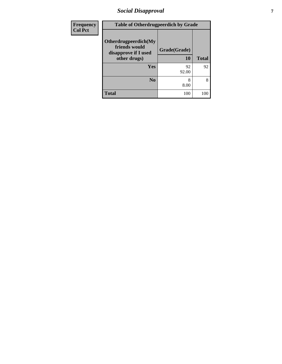### *Social Disapproval* **7**

| Frequency      | <b>Table of Otherdrugpeerdich by Grade</b>                                    |                    |              |  |  |
|----------------|-------------------------------------------------------------------------------|--------------------|--------------|--|--|
| <b>Col Pct</b> | Otherdrugpeerdich(My<br>friends would<br>disapprove if I used<br>other drugs) | Grade(Grade)<br>10 | <b>Total</b> |  |  |
|                | <b>Yes</b>                                                                    | 92<br>92.00        | 92           |  |  |
|                | N <sub>o</sub>                                                                | 8<br>8.00          | 8            |  |  |
|                | <b>Total</b>                                                                  | 100                | 100          |  |  |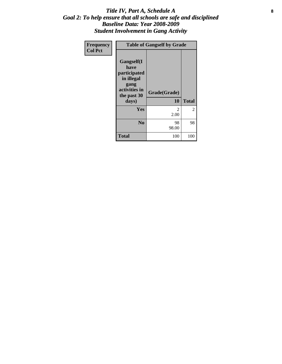#### Title IV, Part A, Schedule A **8** *Goal 2: To help ensure that all schools are safe and disciplined Baseline Data: Year 2008-2009 Student Involvement in Gang Activity*

| Frequency      | <b>Table of Gangself by Grade</b>                                                                 |                    |                |  |
|----------------|---------------------------------------------------------------------------------------------------|--------------------|----------------|--|
| <b>Col Pct</b> | Gangself(I<br>have<br>participated<br>in illegal<br>gang<br>activities in<br>the past 30<br>days) | Grade(Grade)<br>10 | <b>Total</b>   |  |
|                | Yes                                                                                               | 2<br>2.00          | $\overline{2}$ |  |
|                | N <sub>0</sub>                                                                                    | 98<br>98.00        | 98             |  |
|                | <b>Total</b>                                                                                      | 100                | 100            |  |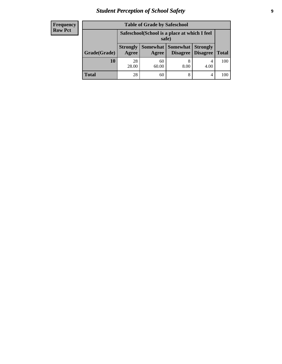# *Student Perception of School Safety* **9**

| <b>Frequency</b><br>Row Pct |
|-----------------------------|
|                             |

| <b>Table of Grade by Safeschool</b> |                                                        |             |                                        |                                    |              |
|-------------------------------------|--------------------------------------------------------|-------------|----------------------------------------|------------------------------------|--------------|
|                                     | Safeschool (School is a place at which I feel<br>safe) |             |                                        |                                    |              |
| Grade(Grade)                        | <b>Strongly</b><br>Agree                               | Agree       | <b>Somewhat   Somewhat</b><br>Disagree | <b>Strongly</b><br><b>Disagree</b> | <b>Total</b> |
| 10                                  | 28<br>28.00                                            | 60<br>60.00 | 8<br>8.00                              | 4<br>4.00                          | 100          |
| <b>Total</b>                        | 28                                                     | 60          | 8                                      | 4                                  | 100          |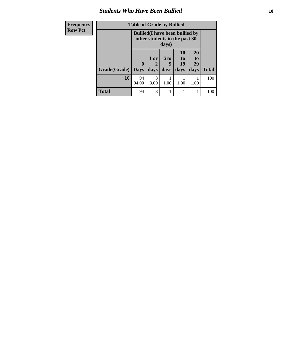#### *Students Who Have Been Bullied* **10**

| Frequency      | <b>Table of Grade by Bullied</b>                                                 |             |                      |           |                |                |              |
|----------------|----------------------------------------------------------------------------------|-------------|----------------------|-----------|----------------|----------------|--------------|
| <b>Row Pct</b> | <b>Bullied</b> (I have been bullied by<br>other students in the past 30<br>days) |             |                      |           |                |                |              |
|                |                                                                                  | 0           | 1 or<br>$\mathbf{2}$ | 6 to<br>9 | 10<br>to<br>19 | 20<br>to<br>29 |              |
|                | Grade(Grade)                                                                     | <b>Days</b> | days                 | days      | days           | days           | <b>Total</b> |
|                | 10                                                                               | 94<br>94.00 | 3<br>3.00            | 1.00      | 1.00           | 1.00           | 100          |
|                | <b>Total</b>                                                                     | 94          | 3                    |           |                |                | 100          |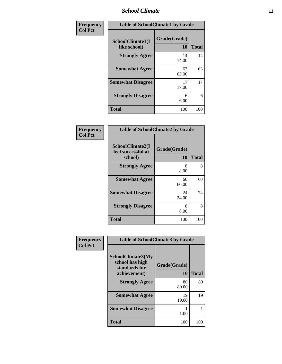#### *School Climate* **11**

| Frequency      | <b>Table of SchoolClimate1 by Grade</b> |                    |              |  |
|----------------|-----------------------------------------|--------------------|--------------|--|
| <b>Col Pct</b> | SchoolClimate1(I<br>like school)        | Grade(Grade)<br>10 | <b>Total</b> |  |
|                | <b>Strongly Agree</b>                   | 14<br>14.00        | 14           |  |
|                | <b>Somewhat Agree</b>                   | 63<br>63.00        | 63           |  |
|                | <b>Somewhat Disagree</b>                | 17<br>17.00        | 17           |  |
|                | <b>Strongly Disagree</b>                | 6<br>6.00          | 6            |  |
|                | <b>Total</b>                            | 100                | 100          |  |

| <b>Table of SchoolClimate2 by Grade</b>           |                    |              |  |
|---------------------------------------------------|--------------------|--------------|--|
| SchoolClimate2(I<br>feel successful at<br>school) | Grade(Grade)<br>10 | <b>Total</b> |  |
| <b>Strongly Agree</b>                             | 8<br>8.00          | 8            |  |
| <b>Somewhat Agree</b>                             | 60<br>60.00        | 60           |  |
| <b>Somewhat Disagree</b>                          | 24<br>24.00        | 24           |  |
| <b>Strongly Disagree</b>                          | 8<br>8.00          | 8            |  |
| <b>Total</b>                                      | 100                | 100          |  |

| Frequency      | <b>Table of SchoolClimate3 by Grade</b>               |              |              |
|----------------|-------------------------------------------------------|--------------|--------------|
| <b>Col Pct</b> | SchoolClimate3(My<br>school has high<br>standards for | Grade(Grade) |              |
|                | achievement)                                          | 10           | <b>Total</b> |
|                | <b>Strongly Agree</b>                                 | 80<br>80.00  | 80           |
|                | <b>Somewhat Agree</b>                                 | 19<br>19.00  | 19           |
|                | <b>Somewhat Disagree</b>                              | 1.00         |              |
|                | Total                                                 | 100          | 100          |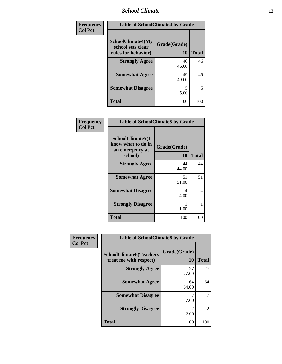#### *School Climate* **12**

| Frequency      | <b>Table of SchoolClimate4 by Grade</b>                       |                           |              |
|----------------|---------------------------------------------------------------|---------------------------|--------------|
| <b>Col Pct</b> | SchoolClimate4(My<br>school sets clear<br>rules for behavior) | Grade(Grade)<br><b>10</b> | <b>Total</b> |
|                | <b>Strongly Agree</b>                                         | 46<br>46.00               | 46           |
|                | <b>Somewhat Agree</b>                                         | 49<br>49.00               | 49           |
|                | <b>Somewhat Disagree</b>                                      | 5<br>5.00                 | 5            |
|                | <b>Total</b>                                                  | 100                       | 100          |

| Frequency      | <b>Table of SchoolClimate5 by Grade</b>                              |                    |              |
|----------------|----------------------------------------------------------------------|--------------------|--------------|
| <b>Col Pct</b> | SchoolClimate5(I<br>know what to do in<br>an emergency at<br>school) | Grade(Grade)<br>10 | <b>Total</b> |
|                | <b>Strongly Agree</b>                                                | 44<br>44.00        | 44           |
|                | <b>Somewhat Agree</b>                                                | 51<br>51.00        | 51           |
|                | <b>Somewhat Disagree</b>                                             | 4<br>4.00          | 4            |
|                | <b>Strongly Disagree</b>                                             | 1.00               |              |
|                | <b>Total</b>                                                         | 100                | 100          |

| Frequency      | <b>Table of SchoolClimate6 by Grade</b>                  |                        |                |
|----------------|----------------------------------------------------------|------------------------|----------------|
| <b>Col Pct</b> | <b>SchoolClimate6(Teachers</b><br>treat me with respect) | Grade(Grade)<br>10     | <b>Total</b>   |
|                | <b>Strongly Agree</b>                                    | 27<br>27.00            | 27             |
|                | <b>Somewhat Agree</b>                                    | 64<br>64.00            | 64             |
|                | <b>Somewhat Disagree</b>                                 | 7<br>7.00              |                |
|                | <b>Strongly Disagree</b>                                 | $\mathfrak{D}$<br>2.00 | $\mathfrak{D}$ |
|                | <b>Total</b>                                             | 100                    | 100            |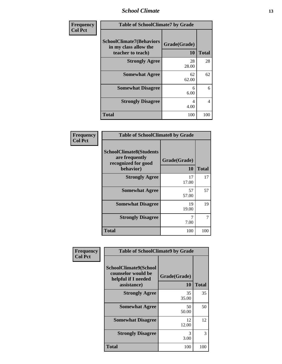*School Climate* **13**

| <b>Frequency</b> | <b>Table of SchoolClimate7 by Grade</b>                                       |                    |              |
|------------------|-------------------------------------------------------------------------------|--------------------|--------------|
| <b>Col Pct</b>   | <b>SchoolClimate7(Behaviors</b><br>in my class allow the<br>teacher to teach) | Grade(Grade)<br>10 | <b>Total</b> |
|                  | <b>Strongly Agree</b>                                                         | 28<br>28.00        | 28           |
|                  | <b>Somewhat Agree</b>                                                         | 62<br>62.00        | 62           |
|                  | <b>Somewhat Disagree</b>                                                      | 6<br>6.00          | 6            |
|                  | <b>Strongly Disagree</b>                                                      | 4<br>4.00          | 4            |
|                  | <b>Total</b>                                                                  | 100                | 100          |

| Frequency      | <b>Table of SchoolClimate8 by Grade</b>                                              |                    |              |
|----------------|--------------------------------------------------------------------------------------|--------------------|--------------|
| <b>Col Pct</b> | <b>SchoolClimate8(Students</b><br>are frequently<br>recognized for good<br>behavior) | Grade(Grade)<br>10 | <b>Total</b> |
|                | <b>Strongly Agree</b>                                                                | 17<br>17.00        | 17           |
|                | <b>Somewhat Agree</b>                                                                | 57<br>57.00        | 57           |
|                | <b>Somewhat Disagree</b>                                                             | 19<br>19.00        | 19           |
|                | <b>Strongly Disagree</b>                                                             | 7.00               | 7            |
|                | <b>Total</b>                                                                         | 100                | 100          |

| Frequency<br><b>Col Pct</b> | <b>Table of SchoolClimate9 by Grade</b>                                           |                    |              |
|-----------------------------|-----------------------------------------------------------------------------------|--------------------|--------------|
|                             | SchoolClimate9(School<br>counselor would be<br>helpful if I needed<br>assistance) | Grade(Grade)<br>10 | <b>Total</b> |
|                             | <b>Strongly Agree</b>                                                             | 35<br>35.00        | 35           |
|                             | <b>Somewhat Agree</b>                                                             | 50<br>50.00        | 50           |
|                             | <b>Somewhat Disagree</b>                                                          | 12<br>12.00        | 12           |
|                             | <b>Strongly Disagree</b>                                                          | 3<br>3.00          | 3            |
|                             | <b>Total</b>                                                                      | 100                | 100          |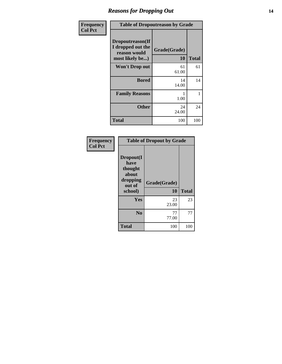### *Reasons for Dropping Out* **14**

| Frequency      | <b>Table of Dropoutreason by Grade</b>                                   |                    |              |
|----------------|--------------------------------------------------------------------------|--------------------|--------------|
| <b>Col Pct</b> | Dropoutreason(If<br>I dropped out the<br>reason would<br>most likely be) | Grade(Grade)<br>10 | <b>Total</b> |
|                | <b>Won't Drop out</b>                                                    | 61<br>61.00        | 61           |
|                | <b>Bored</b>                                                             | 14<br>14.00        | 14           |
|                | <b>Family Reasons</b>                                                    | 1<br>1.00          | 1            |
|                | <b>Other</b>                                                             | 24<br>24.00        | 24           |
|                | Total                                                                    | 100                | 100          |

| Frequency<br><b>Col Pct</b> |                                                                        | <b>Table of Dropout by Grade</b> |              |  |
|-----------------------------|------------------------------------------------------------------------|----------------------------------|--------------|--|
|                             | Dropout(I<br>have<br>thought<br>about<br>dropping<br>out of<br>school) | Grade(Grade)<br>10               | <b>Total</b> |  |
|                             | Yes                                                                    | 23<br>23.00                      | 23           |  |
|                             | N <sub>0</sub>                                                         | 77<br>77.00                      | 77           |  |
|                             | <b>Total</b>                                                           | 100                              | 100          |  |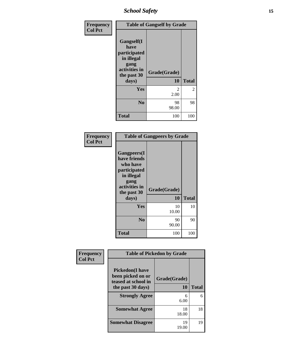### *School Safety* **15**

| Frequency<br><b>Col Pct</b> | <b>Table of Gangself by Grade</b>                                                        |                        |                |
|-----------------------------|------------------------------------------------------------------------------------------|------------------------|----------------|
|                             | Gangself(I<br>have<br>participated<br>in illegal<br>gang<br>activities in<br>the past 30 | Grade(Grade)           |                |
|                             | days)                                                                                    | 10                     | <b>Total</b>   |
|                             | Yes                                                                                      | $\mathfrak{D}$<br>2.00 | $\overline{2}$ |
|                             | N <sub>0</sub>                                                                           | 98<br>98.00            | 98             |
|                             | <b>Total</b>                                                                             | 100                    | 100            |

| Frequency<br><b>Col Pct</b> | <b>Table of Gangpeers by Grade</b>                                                                                    |              |              |
|-----------------------------|-----------------------------------------------------------------------------------------------------------------------|--------------|--------------|
|                             | <b>Gangpeers</b> (I<br>have friends<br>who have<br>participated<br>in illegal<br>gang<br>activities in<br>the past 30 | Grade(Grade) |              |
|                             | days)                                                                                                                 | 10           | <b>Total</b> |
|                             | Yes                                                                                                                   | 10<br>10.00  | 10           |
|                             | N <sub>0</sub>                                                                                                        | 90<br>90.00  | 90           |
|                             | Total                                                                                                                 | 100          | 100          |

| Frequency      | <b>Table of Pickedon by Grade</b>                                   |              |              |
|----------------|---------------------------------------------------------------------|--------------|--------------|
| <b>Col Pct</b> | <b>Pickedon</b> (I have<br>been picked on or<br>teased at school in | Grade(Grade) |              |
|                | the past 30 days)                                                   | 10           | <b>Total</b> |
|                | <b>Strongly Agree</b>                                               | 6<br>6.00    | 6            |
|                | <b>Somewhat Agree</b>                                               | 18<br>18.00  | 18           |
|                | <b>Somewhat Disagree</b>                                            | 19<br>19.00  | 19           |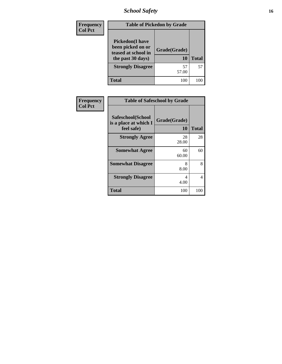*School Safety* **16**

| <b>Frequency</b> | <b>Table of Pickedon by Grade</b>                                                       |                    |              |
|------------------|-----------------------------------------------------------------------------------------|--------------------|--------------|
| <b>Col Pct</b>   | <b>Pickedon(I have</b><br>been picked on or<br>teased at school in<br>the past 30 days) | Grade(Grade)<br>10 | <b>Total</b> |
|                  | <b>Strongly Disagree</b>                                                                | 57<br>57.00        | 57           |
|                  | <b>Total</b>                                                                            | 100                | 100          |

| Frequency      |                                                          | <b>Table of Safeschool by Grade</b> |              |
|----------------|----------------------------------------------------------|-------------------------------------|--------------|
| <b>Col Pct</b> | Safeschool(School<br>is a place at which I<br>feel safe) | Grade(Grade)<br>10                  | <b>Total</b> |
|                | <b>Strongly Agree</b>                                    | 28<br>28.00                         | 28           |
|                | <b>Somewhat Agree</b>                                    | 60<br>60.00                         | 60           |
|                | <b>Somewhat Disagree</b>                                 | 8<br>8.00                           | 8            |
|                | <b>Strongly Disagree</b>                                 | 4<br>4.00                           | 4            |
|                | <b>Total</b>                                             | 100                                 | 100          |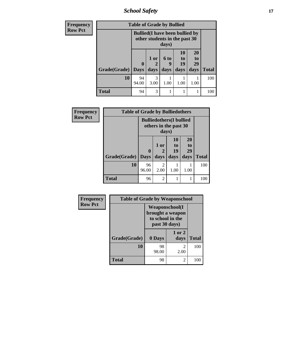*School Safety* **17**

| <b>Frequency</b> | <b>Table of Grade by Bullied</b> |                                                                                  |                       |      |          |          |              |
|------------------|----------------------------------|----------------------------------------------------------------------------------|-----------------------|------|----------|----------|--------------|
| <b>Row Pct</b>   |                                  | <b>Bullied</b> (I have been bullied by<br>other students in the past 30<br>days) |                       |      |          |          |              |
|                  |                                  |                                                                                  | 1 or                  | 6 to | 10<br>to | 20<br>to |              |
|                  |                                  | $\bf{0}$                                                                         | 2                     | 9    | 19       | 29       |              |
|                  | Grade(Grade)                     | <b>Days</b>                                                                      | days                  | days | days     | days     | <b>Total</b> |
|                  | 10                               | 94<br>94.00                                                                      | $\mathcal{R}$<br>3.00 | 1.00 | 1.00     | 1.00     | 100          |
|                  | <b>Total</b>                     | 94                                                                               | 3                     |      |          |          | 100          |

| Frequency      |                     | <b>Table of Grade by Bulliedothers</b>                            |                        |                 |          |              |
|----------------|---------------------|-------------------------------------------------------------------|------------------------|-----------------|----------|--------------|
| <b>Row Pct</b> |                     | <b>Bulliedothers</b> (I bullied<br>others in the past 30<br>days) |                        |                 |          |              |
|                |                     |                                                                   | 1 or                   | <b>10</b><br>to | 20<br>to |              |
|                |                     | $\mathbf{0}$                                                      | 2                      | 19              | 29       |              |
|                | Grade(Grade)   Days |                                                                   | days                   | days            | days     | <b>Total</b> |
|                | 10                  | 96<br>96.00                                                       | $\overline{2}$<br>2.00 | 1.00            | 1.00     | 100          |
|                | <b>Total</b>        | 96                                                                | $\overline{2}$         |                 |          | 100          |

| Frequency      | <b>Table of Grade by Weaponschool</b> |                                                                                 |                |              |
|----------------|---------------------------------------|---------------------------------------------------------------------------------|----------------|--------------|
| <b>Row Pct</b> |                                       | <b>Weaponschool</b> (I<br>brought a weapon<br>to school in the<br>past 30 days) |                |              |
|                | Grade(Grade)                          | 0 Days                                                                          | 1 or 2<br>days | <b>Total</b> |
|                | <b>10</b>                             | 98<br>98.00                                                                     | 2<br>2.00      | 100          |
|                | Total                                 | 98                                                                              | 2              | 100          |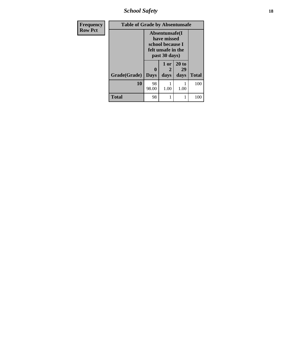*School Safety* **18**

| <b>Table of Grade by Absentunsafe</b><br><b>Frequency</b> |              |                                                                                           |           |             |              |
|-----------------------------------------------------------|--------------|-------------------------------------------------------------------------------------------|-----------|-------------|--------------|
| <b>Row Pct</b>                                            |              | Absentunsafe(I)<br>have missed<br>school because I<br>felt unsafe in the<br>past 30 days) |           |             |              |
|                                                           |              | 0                                                                                         | 1 or<br>2 | 20 to<br>29 |              |
|                                                           | Grade(Grade) | <b>Days</b>                                                                               | days      | days        | <b>Total</b> |
|                                                           | 10           | 98<br>98.00                                                                               | 1.00      | 1.00        | 100          |
|                                                           | <b>Total</b> | 98                                                                                        | 1         | 1           | 100          |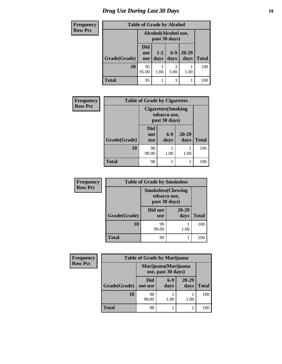# *Drug Use During Last 30 Days* **19**

| <b>Frequency</b> | <b>Table of Grade by Alcohol</b> |                                       |               |               |                   |              |  |
|------------------|----------------------------------|---------------------------------------|---------------|---------------|-------------------|--------------|--|
| <b>Row Pct</b>   |                                  | Alcohol(Alcohol use,<br>past 30 days) |               |               |                   |              |  |
|                  | Grade(Grade)                     | Did<br>not<br><b>use</b>              | $1-2$<br>days | $6-9$<br>days | $20 - 29$<br>days | <b>Total</b> |  |
|                  | 10                               | 95<br>95.00                           | 1.00          | 3<br>3.00     | 1.00              | 100          |  |
|                  | <b>Total</b>                     | 95                                    |               | 3             |                   | 100          |  |

| Frequency      |              | <b>Table of Grade by Cigarettes</b>                         |               |               |              |  |  |  |
|----------------|--------------|-------------------------------------------------------------|---------------|---------------|--------------|--|--|--|
| <b>Row Pct</b> |              | <b>Cigarettes</b> (Smoking<br>tobacco use,<br>past 30 days) |               |               |              |  |  |  |
|                | Grade(Grade) | Did<br>not<br><b>use</b>                                    | $6-9$<br>days | 20-29<br>days | <b>Total</b> |  |  |  |
|                | 10           | 98<br>98.00                                                 | 1.00          | 1.00          | 100          |  |  |  |
|                | <b>Total</b> | 98                                                          |               |               | 100          |  |  |  |

| <b>Frequency</b> |              | <b>Table of Grade by Smokeless</b>                         |                   |              |  |  |
|------------------|--------------|------------------------------------------------------------|-------------------|--------------|--|--|
| <b>Row Pct</b>   |              | <b>Smokeless</b> (Chewing<br>tobacco use,<br>past 30 days) |                   |              |  |  |
|                  | Grade(Grade) | Did not<br><b>use</b>                                      | $20 - 29$<br>days | <b>Total</b> |  |  |
|                  | 10           | 99<br>99.00                                                | 1.00              | 100          |  |  |
|                  | Total        | 99                                                         | 1                 | 100          |  |  |

| Frequency      | <b>Table of Grade by Marijuana</b> |                |                                            |                   |              |  |
|----------------|------------------------------------|----------------|--------------------------------------------|-------------------|--------------|--|
| <b>Row Pct</b> |                                    |                | Marijuana (Marijuana<br>use, past 30 days) |                   |              |  |
|                | Grade(Grade)                       | Did<br>not use | $6-9$<br>days                              | $20 - 29$<br>days | <b>Total</b> |  |
|                | <b>10</b>                          | 98<br>98.00    | 1.00                                       | 1.00              | 100          |  |
|                | <b>Total</b>                       | 98             |                                            |                   | 100          |  |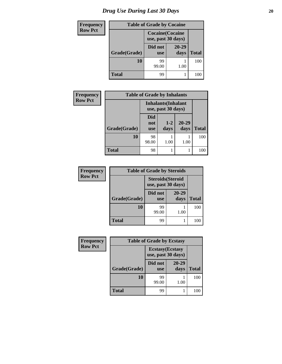| <b>Frequency</b> | <b>Table of Grade by Cocaine</b> |                                               |               |              |  |
|------------------|----------------------------------|-----------------------------------------------|---------------|--------------|--|
| <b>Row Pct</b>   |                                  | <b>Cocaine</b> (Cocaine<br>use, past 30 days) |               |              |  |
|                  | Grade(Grade)                     | Did not<br><b>use</b>                         | 20-29<br>days | <b>Total</b> |  |
|                  | 10                               | 99<br>99.00                                   | 1.00          | 100          |  |
|                  | <b>Total</b>                     | 99                                            |               | 100          |  |

| <b>Frequency</b> | <b>Table of Grade by Inhalants</b> |                          |                                                  |                   |              |  |
|------------------|------------------------------------|--------------------------|--------------------------------------------------|-------------------|--------------|--|
| <b>Row Pct</b>   |                                    |                          | <b>Inhalants</b> (Inhalant<br>use, past 30 days) |                   |              |  |
|                  | Grade(Grade)                       | Did<br>not<br><b>use</b> | $1 - 2$<br>days                                  | $20 - 29$<br>days | <b>Total</b> |  |
|                  | 10                                 | 98<br>98.00              | 1.00                                             | 1.00              | 100          |  |
|                  | Total                              | 98                       |                                                  |                   | 100          |  |

| <b>Frequency</b> | <b>Table of Grade by Steroids</b> |                                                |               |              |  |  |
|------------------|-----------------------------------|------------------------------------------------|---------------|--------------|--|--|
| <b>Row Pct</b>   |                                   | <b>Steroids</b> (Steroid<br>use, past 30 days) |               |              |  |  |
|                  | Grade(Grade)                      | Did not<br><b>use</b>                          | 20-29<br>days | <b>Total</b> |  |  |
|                  | 10                                | 99<br>99.00                                    | 1.00          | 100          |  |  |
|                  | <b>Total</b>                      | 99                                             |               |              |  |  |

| Frequency      | <b>Table of Grade by Ecstasy</b> |                                               |                   |              |
|----------------|----------------------------------|-----------------------------------------------|-------------------|--------------|
| <b>Row Pct</b> |                                  | <b>Ecstasy</b> (Ecstasy<br>use, past 30 days) |                   |              |
|                | Grade(Grade)                     | Did not<br><b>use</b>                         | $20 - 29$<br>days | <b>Total</b> |
|                | 10                               | 99<br>99.00                                   | 1.00              | 100          |
|                | <b>Total</b>                     | 99                                            |                   | 100          |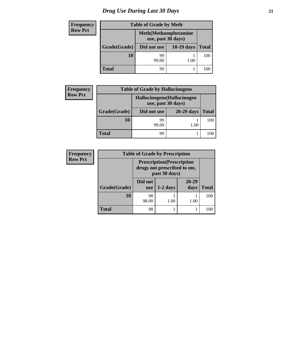# *Drug Use During Last 30 Days* **21**

| <b>Frequency</b> | <b>Table of Grade by Meth</b> |                                                    |              |              |
|------------------|-------------------------------|----------------------------------------------------|--------------|--------------|
| <b>Row Pct</b>   |                               | <b>Meth</b> (Methamphetamine<br>use, past 30 days) |              |              |
|                  | Grade(Grade)                  | Did not use                                        | $10-19$ days | <b>Total</b> |
|                  | 10                            | 99<br>99.00                                        | 1.00         | 100          |
|                  | <b>Total</b>                  | 99                                                 |              | 100          |

| Frequency      | <b>Table of Grade by Hallucinogens</b> |                                                   |              |              |
|----------------|----------------------------------------|---------------------------------------------------|--------------|--------------|
| <b>Row Pct</b> |                                        | Hallucinogens (Hallucinogen<br>use, past 30 days) |              |              |
|                | Grade(Grade)                           | Did not use                                       | $20-29$ days | <b>Total</b> |
|                | <b>10</b>                              | 99<br>99.00                                       | 1.00         | 100          |
|                | <b>Total</b>                           | 99                                                |              | 100          |

| <b>Frequency</b> | <b>Table of Grade by Prescription</b> |                                                                                   |            |                   |       |
|------------------|---------------------------------------|-----------------------------------------------------------------------------------|------------|-------------------|-------|
| <b>Row Pct</b>   |                                       | <b>Prescription</b> (Prescription<br>drugs not prescribed to me,<br>past 30 days) |            |                   |       |
|                  | Grade(Grade)                          | Did not<br><b>use</b>                                                             | $1-2$ days | $20 - 29$<br>days | Total |
|                  | 10                                    | 98<br>98.00                                                                       | 1.00       | 1.00              | 100   |
|                  | <b>Total</b>                          | 98                                                                                |            |                   | 100   |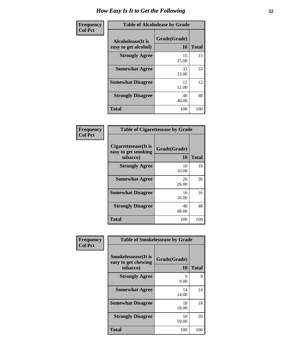| <b>Frequency</b> | <b>Table of Alcoholease by Grade</b>              |                    |              |
|------------------|---------------------------------------------------|--------------------|--------------|
| <b>Col Pct</b>   | <b>Alcoholease</b> (It is<br>easy to get alcohol) | Grade(Grade)<br>10 | <b>Total</b> |
|                  | <b>Strongly Agree</b>                             | 15<br>15.00        | 15           |
|                  | <b>Somewhat Agree</b>                             | 33<br>33.00        | 33           |
|                  | <b>Somewhat Disagree</b>                          | 12<br>12.00        | 12           |
|                  | <b>Strongly Disagree</b>                          | 40<br>40.00        | 40           |
|                  | <b>Total</b>                                      | 100                | 100          |

| Frequency<br>Col Pct |
|----------------------|

| <b>Table of Cigarettesease by Grade</b>                 |                    |              |  |
|---------------------------------------------------------|--------------------|--------------|--|
| Cigarettesease(It is<br>easy to get smoking<br>tobacco) | Grade(Grade)<br>10 | <b>Total</b> |  |
| <b>Strongly Agree</b>                                   | 10<br>10.00        | 10           |  |
| <b>Somewhat Agree</b>                                   | 26<br>26.00        | 26           |  |
| <b>Somewhat Disagree</b>                                | 16<br>16.00        | 16           |  |
| <b>Strongly Disagree</b>                                | 48<br>48.00        | 48           |  |
| <b>Total</b>                                            | 100                | 100          |  |

| Frequency      | <b>Table of Smokelessease by Grade</b>                         |                    |              |  |
|----------------|----------------------------------------------------------------|--------------------|--------------|--|
| <b>Col Pct</b> | <b>Smokelessease</b> (It is<br>easy to get chewing<br>tobacco) | Grade(Grade)<br>10 | <b>Total</b> |  |
|                | <b>Strongly Agree</b>                                          | 9<br>9.00          | 9            |  |
|                | <b>Somewhat Agree</b>                                          | 14<br>14.00        | 14           |  |
|                | <b>Somewhat Disagree</b>                                       | 18<br>18.00        | 18           |  |
|                | <b>Strongly Disagree</b>                                       | 59<br>59.00        | 59           |  |
|                | <b>Total</b>                                                   | 100                | 100          |  |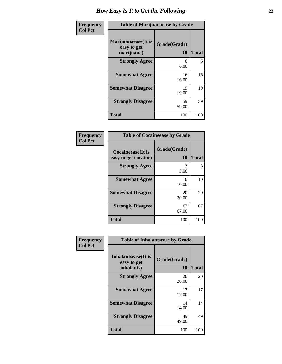| Frequency<br><b>Col Pct</b> | <b>Table of Marijuanaease by Grade</b>           |                           |              |
|-----------------------------|--------------------------------------------------|---------------------------|--------------|
|                             | Marijuanaease(It is<br>easy to get<br>marijuana) | Grade(Grade)<br><b>10</b> | <b>Total</b> |
|                             | <b>Strongly Agree</b>                            | 6<br>6.00                 | 6            |
|                             | <b>Somewhat Agree</b>                            | 16<br>16.00               | 16           |
|                             | <b>Somewhat Disagree</b>                         | 19<br>19.00               | 19           |
|                             | <b>Strongly Disagree</b>                         | 59<br>59.00               | 59           |
|                             | <b>Total</b>                                     | 100                       | 100          |

| <b>Table of Cocaineease by Grade</b> |              |       |  |
|--------------------------------------|--------------|-------|--|
| Cocaineease(It is                    | Grade(Grade) |       |  |
| easy to get cocaine)                 | 10           | Total |  |
| <b>Strongly Agree</b>                | 3<br>3.00    | 3     |  |
| <b>Somewhat Agree</b>                | 10<br>10.00  | 10    |  |
| <b>Somewhat Disagree</b>             | 20<br>20.00  | 20    |  |
| <b>Strongly Disagree</b>             | 67<br>67.00  | 67    |  |
| <b>Total</b>                         | 100          | 100   |  |

| Frequency      | <b>Table of Inhalantsease by Grade</b>           |                    |              |
|----------------|--------------------------------------------------|--------------------|--------------|
| <b>Col Pct</b> | Inhalantsease(It is<br>easy to get<br>inhalants) | Grade(Grade)<br>10 | <b>Total</b> |
|                | <b>Strongly Agree</b>                            | 20<br>20.00        | 20           |
|                | <b>Somewhat Agree</b>                            | 17<br>17.00        | 17           |
|                | <b>Somewhat Disagree</b>                         | 14<br>14.00        | 14           |
|                | <b>Strongly Disagree</b>                         | 49<br>49.00        | 49           |
|                | <b>Total</b>                                     | 100                | 100          |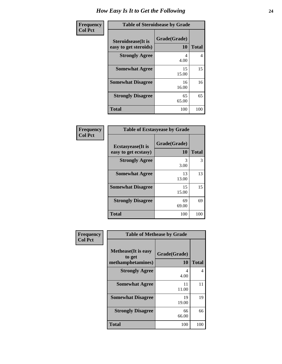| Frequency      | <b>Table of Steroidsease by Grade</b>               |                    |              |
|----------------|-----------------------------------------------------|--------------------|--------------|
| <b>Col Pct</b> | <b>Steroidsease</b> (It is<br>easy to get steroids) | Grade(Grade)<br>10 | <b>Total</b> |
|                | <b>Strongly Agree</b>                               | 4<br>4.00          | 4            |
|                | <b>Somewhat Agree</b>                               | 15<br>15.00        | 15           |
|                | <b>Somewhat Disagree</b>                            | 16<br>16.00        | 16           |
|                | <b>Strongly Disagree</b>                            | 65<br>65.00        | 65           |
|                | <b>Total</b>                                        | 100                | 100          |

| <b>Frequency</b> |
|------------------|
| Col Pct          |

| <b>Table of Ecstasyease by Grade</b> |              |              |  |  |
|--------------------------------------|--------------|--------------|--|--|
| <b>Ecstasyease</b> (It is            | Grade(Grade) |              |  |  |
| easy to get ecstasy)                 | 10           | <b>Total</b> |  |  |
| <b>Strongly Agree</b>                | 3<br>3.00    | 3            |  |  |
| <b>Somewhat Agree</b>                | 13<br>13.00  | 13           |  |  |
| <b>Somewhat Disagree</b>             | 15<br>15.00  | 15           |  |  |
| <b>Strongly Disagree</b>             | 69<br>69.00  | 69           |  |  |
| <b>Total</b>                         | 100          | 100          |  |  |

| <b>Frequency</b> |
|------------------|
| <b>Col Pct</b>   |

| <b>Table of Methease by Grade</b>                          |                    |              |  |  |
|------------------------------------------------------------|--------------------|--------------|--|--|
| <b>Methease</b> (It is easy<br>to get<br>methamphetamines) | Grade(Grade)<br>10 | <b>Total</b> |  |  |
| <b>Strongly Agree</b>                                      | 4<br>4.00          | 4            |  |  |
| <b>Somewhat Agree</b>                                      | 11<br>11.00        | 11           |  |  |
| <b>Somewhat Disagree</b>                                   | 19<br>19.00        | 19           |  |  |
| <b>Strongly Disagree</b>                                   | 66<br>66.00        | 66           |  |  |
| Total                                                      | 100                | 100          |  |  |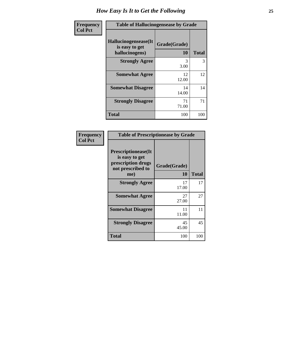| <b>Frequency</b> | <b>Table of Hallucinogensease by Grade</b>               |                    |              |  |
|------------------|----------------------------------------------------------|--------------------|--------------|--|
| <b>Col Pct</b>   | Hallucinogensease(It<br>is easy to get<br>hallucinogens) | Grade(Grade)<br>10 | <b>Total</b> |  |
|                  | <b>Strongly Agree</b>                                    | 3<br>3.00          | 3            |  |
|                  | <b>Somewhat Agree</b>                                    | 12<br>12.00        | 12           |  |
|                  | <b>Somewhat Disagree</b>                                 | 14<br>14.00        | 14           |  |
|                  | <b>Strongly Disagree</b>                                 | 71<br>71.00        | 71           |  |
|                  | <b>Total</b>                                             | 100                | 100          |  |

| <b>Table of Prescriptionease by Grade</b>                                                       |                    |              |  |  |
|-------------------------------------------------------------------------------------------------|--------------------|--------------|--|--|
| <b>Prescriptionease</b> (It<br>is easy to get<br>prescription drugs<br>not prescribed to<br>me) | Grade(Grade)<br>10 | <b>Total</b> |  |  |
| <b>Strongly Agree</b>                                                                           | 17<br>17.00        | 17           |  |  |
| <b>Somewhat Agree</b>                                                                           | 27<br>27.00        | 27           |  |  |
| <b>Somewhat Disagree</b>                                                                        | 11<br>11.00        | 11           |  |  |
| <b>Strongly Disagree</b>                                                                        | 45<br>45.00        | 45           |  |  |
| Total                                                                                           | 100                | 100          |  |  |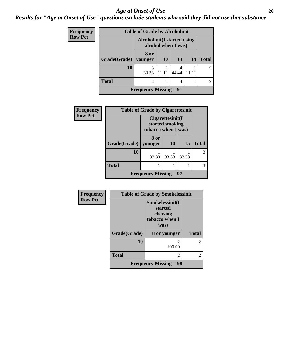#### *Age at Onset of Use* **26** *Results for "Age at Onset of Use" questions exclude students who said they did not use that substance*

| Frequency      | <b>Table of Grade by Alcoholinit</b> |                 |                                                     |       |    |              |
|----------------|--------------------------------------|-----------------|-----------------------------------------------------|-------|----|--------------|
| <b>Row Pct</b> |                                      |                 | Alcoholinit (I started using<br>alcohol when I was) |       |    |              |
|                | Grade(Grade)                         | 8 or<br>younger | 10                                                  | 13    | 14 | <b>Total</b> |
|                | 10                                   | 33.33           | 11.11                                               | 44.44 |    |              |
|                | <b>Total</b>                         | 3               |                                                     | 4     |    | Q            |
|                | Frequency Missing $= 91$             |                 |                                                     |       |    |              |

| <b>Frequency</b> | <b>Table of Grade by Cigarettesinit</b> |                                                            |           |       |              |
|------------------|-----------------------------------------|------------------------------------------------------------|-----------|-------|--------------|
| <b>Row Pct</b>   |                                         | Cigarettesinit(I<br>started smoking<br>tobacco when I was) |           |       |              |
|                  | Grade(Grade)                            | 8 or<br>vounger                                            | <b>10</b> | 15    | <b>Total</b> |
|                  | 10                                      | 33.33                                                      | 33.33     | 33.33 |              |
|                  | <b>Total</b>                            |                                                            |           |       |              |
|                  |                                         | <b>Frequency Missing = 97</b>                              |           |       |              |

| Frequency      | <b>Table of Grade by Smokelessinit</b> |                                                                 |                |  |
|----------------|----------------------------------------|-----------------------------------------------------------------|----------------|--|
| <b>Row Pct</b> |                                        | Smokelessinit(I<br>started<br>chewing<br>tobacco when I<br>was) |                |  |
|                | Grade(Grade)                           | 8 or younger                                                    | <b>Total</b>   |  |
|                | 10                                     | 100.00                                                          | $\overline{c}$ |  |
|                | <b>Total</b>                           | 2                                                               | 2              |  |
|                |                                        | <b>Frequency Missing = 98</b>                                   |                |  |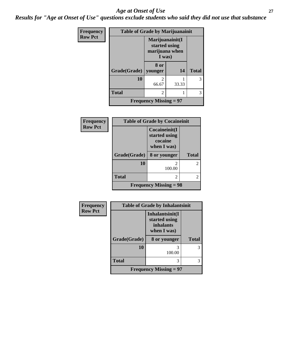#### *Age at Onset of Use* **27**

*Results for "Age at Onset of Use" questions exclude students who said they did not use that substance*

| Frequency      | <b>Table of Grade by Marijuanainit</b> |                                                              |       |              |
|----------------|----------------------------------------|--------------------------------------------------------------|-------|--------------|
| <b>Row Pct</b> |                                        | Marijuanainit(I<br>started using<br>marijuana when<br>I was) |       |              |
|                | Grade(Grade)                           | 8 or<br>younger                                              | 14    | <b>Total</b> |
|                | 10                                     | $\mathfrak{D}$<br>66.67                                      | 33.33 | 3            |
|                | <b>Total</b>                           | 2                                                            |       | 3            |
|                |                                        | <b>Frequency Missing = 97</b>                                |       |              |

| <b>Frequency</b> | <b>Table of Grade by Cocaineinit</b> |                                                          |                |  |  |
|------------------|--------------------------------------|----------------------------------------------------------|----------------|--|--|
| <b>Row Pct</b>   |                                      | Cocaineinit(I<br>started using<br>cocaine<br>when I was) |                |  |  |
|                  | Grade(Grade)                         | 8 or younger                                             | <b>Total</b>   |  |  |
|                  | 10                                   | 100.00                                                   | $\overline{c}$ |  |  |
|                  | <b>Total</b>                         | 2                                                        | 2              |  |  |
|                  |                                      | <b>Frequency Missing = 98</b>                            |                |  |  |

| Frequency      | <b>Table of Grade by Inhalantsinit</b> |                                                                     |              |  |
|----------------|----------------------------------------|---------------------------------------------------------------------|--------------|--|
| <b>Row Pct</b> |                                        | Inhalantsinit(I<br>started using<br><i>inhalants</i><br>when I was) |              |  |
|                | Grade(Grade)                           | 8 or younger                                                        | <b>Total</b> |  |
|                | 10                                     | 3<br>100.00                                                         | 3            |  |
|                | <b>Total</b>                           | 3                                                                   | 3            |  |
|                |                                        | <b>Frequency Missing = 97</b>                                       |              |  |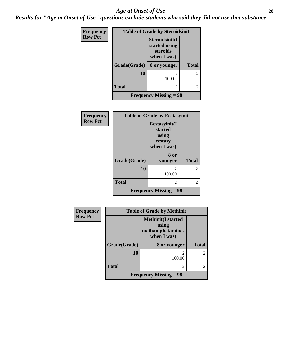#### *Age at Onset of Use* **28**

*Results for "Age at Onset of Use" questions exclude students who said they did not use that substance*

| Frequency      | <b>Table of Grade by Steroidsinit</b> |                                                            |              |
|----------------|---------------------------------------|------------------------------------------------------------|--------------|
| <b>Row Pct</b> |                                       | Steroidsinit(I<br>started using<br>steroids<br>when I was) |              |
|                | Grade(Grade)                          | 8 or younger                                               | <b>Total</b> |
|                | 10                                    | 100.00                                                     | 2            |
|                | <b>Total</b>                          | 2                                                          | 2            |
|                |                                       | <b>Frequency Missing = 98</b>                              |              |

| Frequency      | <b>Table of Grade by Ecstasyinit</b> |                               |              |
|----------------|--------------------------------------|-------------------------------|--------------|
| <b>Row Pct</b> |                                      | Ecstasyinit(I                 |              |
|                |                                      | started                       |              |
|                |                                      | using                         |              |
|                |                                      | ecstasy                       |              |
|                |                                      | when I was)                   |              |
|                |                                      | 8 or                          |              |
|                | Grade(Grade)                         | younger                       | <b>Total</b> |
|                | 10                                   | $\mathfrak{D}$                | 2            |
|                |                                      | 100.00                        |              |
|                | <b>Total</b>                         | 2                             | 2            |
|                |                                      | <b>Frequency Missing = 98</b> |              |

| Frequency      |              | <b>Table of Grade by Methinit</b>                                      |              |
|----------------|--------------|------------------------------------------------------------------------|--------------|
| <b>Row Pct</b> |              | <b>Methinit</b> (I started<br>using<br>methamphetamines<br>when I was) |              |
|                | Grade(Grade) | 8 or younger                                                           | <b>Total</b> |
|                | 10           | 100.00                                                                 | 2            |
|                | <b>Total</b> | 2                                                                      | 2            |
|                |              | <b>Frequency Missing = 98</b>                                          |              |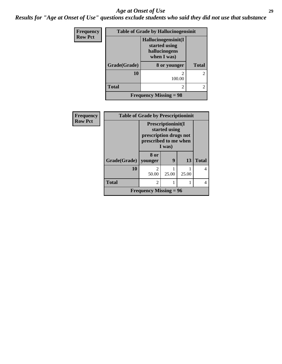#### *Age at Onset of Use* **29**

*Results for "Age at Onset of Use" questions exclude students who said they did not use that substance*

| Frequency      | <b>Table of Grade by Hallucinogensinit</b> |                                                                      |                |
|----------------|--------------------------------------------|----------------------------------------------------------------------|----------------|
| <b>Row Pct</b> |                                            | Hallucinogensinit(I<br>started using<br>hallucinogens<br>when I was) |                |
|                | Grade(Grade)                               | 8 or younger                                                         | <b>Total</b>   |
|                | 10                                         | $\mathcal{D}_{\mathcal{L}}$<br>100.00                                | $\mathfrak{D}$ |
|                | <b>Total</b>                               | 2                                                                    | $\mathfrak{D}$ |
|                |                                            | <b>Frequency Missing = 98</b>                                        |                |

| Frequency      | <b>Table of Grade by Prescriptioninit</b> |                                                                                                          |       |       |              |
|----------------|-------------------------------------------|----------------------------------------------------------------------------------------------------------|-------|-------|--------------|
| <b>Row Pct</b> |                                           | <b>Prescriptioninit(I)</b><br>started using<br>prescription drugs not<br>prescribed to me when<br>I was) |       |       |              |
|                | Grade(Grade)   younger                    | 8 or                                                                                                     | 9     | 13    | <b>Total</b> |
|                | 10                                        | 2<br>50.00                                                                                               | 25.00 | 25.00 |              |
|                | Total                                     | 2                                                                                                        |       |       |              |
|                |                                           | <b>Frequency Missing = 96</b>                                                                            |       |       |              |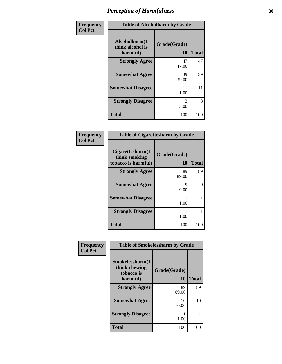| Frequency      | <b>Table of Alcoholharm by Grade</b>          |                    |              |
|----------------|-----------------------------------------------|--------------------|--------------|
| <b>Col Pct</b> | Alcoholharm(I<br>think alcohol is<br>harmful) | Grade(Grade)<br>10 | <b>Total</b> |
|                | <b>Strongly Agree</b>                         | 47<br>47.00        | 47           |
|                | <b>Somewhat Agree</b>                         | 39<br>39.00        | 39           |
|                | <b>Somewhat Disagree</b>                      | 11<br>11.00        | 11           |
|                | <b>Strongly Disagree</b>                      | 3<br>3.00          | 3            |
|                | <b>Total</b>                                  | 100                | 100          |

| <b>Table of Cigarettesharm by Grade</b>                  |                    |              |
|----------------------------------------------------------|--------------------|--------------|
| Cigarettesharm(I<br>think smoking<br>tobacco is harmful) | Grade(Grade)<br>10 | <b>Total</b> |
| <b>Strongly Agree</b>                                    | 89<br>89.00        | 89           |
| <b>Somewhat Agree</b>                                    | 9<br>9.00          | 9            |
| <b>Somewhat Disagree</b>                                 | 1.00               | 1            |
| <b>Strongly Disagree</b>                                 | 1.00               |              |
| <b>Total</b>                                             | 100                | 100          |

| Frequency      |                                                | <b>Table of Smokelessharm by Grade</b> |              |
|----------------|------------------------------------------------|----------------------------------------|--------------|
| <b>Col Pct</b> | Smokelessharm(I<br>think chewing<br>tobacco is | Grade(Grade)                           |              |
|                | harmful)                                       | 10                                     | <b>Total</b> |
|                | <b>Strongly Agree</b>                          | 89<br>89.00                            | 89           |
|                | <b>Somewhat Agree</b>                          | 10<br>10.00                            | 10           |
|                | <b>Strongly Disagree</b>                       | 1.00                                   |              |
|                | <b>Total</b>                                   | 100                                    | 100          |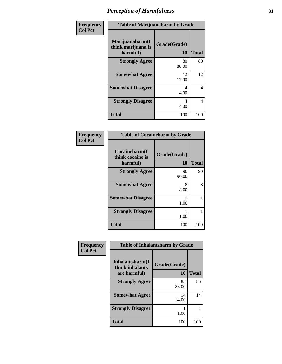| Frequency      | <b>Table of Marijuanaharm by Grade</b>            |                    |              |
|----------------|---------------------------------------------------|--------------------|--------------|
| <b>Col Pct</b> | Marijuanaharm(I<br>think marijuana is<br>harmful) | Grade(Grade)<br>10 | <b>Total</b> |
|                | <b>Strongly Agree</b>                             | 80<br>80.00        | 80           |
|                | <b>Somewhat Agree</b>                             | 12<br>12.00        | 12           |
|                | <b>Somewhat Disagree</b>                          | 4<br>4.00          | 4            |
|                | <b>Strongly Disagree</b>                          | 4<br>4.00          | 4            |
|                | <b>Total</b>                                      | 100                | 100          |

|                                               | <b>Table of Cocaineharm by Grade</b> |              |  |
|-----------------------------------------------|--------------------------------------|--------------|--|
| Cocaineharm(I<br>think cocaine is<br>harmful) | Grade(Grade)<br>10                   | <b>Total</b> |  |
| <b>Strongly Agree</b>                         | 90<br>90.00                          | 90           |  |
| <b>Somewhat Agree</b>                         | 8<br>8.00                            | 8            |  |
| <b>Somewhat Disagree</b>                      | 1.00                                 |              |  |
| <b>Strongly Disagree</b>                      | 1.00                                 |              |  |
| <b>Total</b>                                  | 100                                  | 100          |  |

| Frequency      |                                                     | <b>Table of Inhalantsharm by Grade</b> |              |
|----------------|-----------------------------------------------------|----------------------------------------|--------------|
| <b>Col Pct</b> | Inhalantsharm(I)<br>think inhalants<br>are harmful) | Grade(Grade)<br>10                     | <b>Total</b> |
|                | <b>Strongly Agree</b>                               | 85<br>85.00                            | 85           |
|                | <b>Somewhat Agree</b>                               | 14<br>14.00                            | 14           |
|                | <b>Strongly Disagree</b>                            | 1.00                                   |              |
|                | <b>Total</b>                                        | 100                                    | 100          |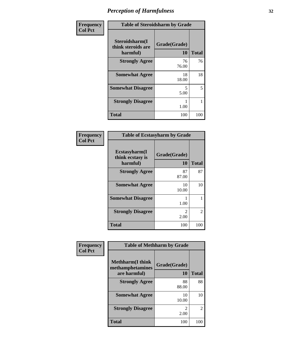| Frequency      | <b>Table of Steroidsharm by Grade</b>            |                    |              |
|----------------|--------------------------------------------------|--------------------|--------------|
| <b>Col Pct</b> | Steroidsharm(I<br>think steroids are<br>harmful) | Grade(Grade)<br>10 | <b>Total</b> |
|                | <b>Strongly Agree</b>                            | 76<br>76.00        | 76           |
|                | <b>Somewhat Agree</b>                            | 18<br>18.00        | 18           |
|                | <b>Somewhat Disagree</b>                         | 5<br>5.00          | 5            |
|                | <b>Strongly Disagree</b>                         | 1.00               | 1            |
|                | <b>Total</b>                                     | 100                | 100          |

| <b>Table of Ecstasyharm by Grade</b>                |                    |              |
|-----------------------------------------------------|--------------------|--------------|
| $E$ cstasyharm $(I$<br>think ecstasy is<br>harmful) | Grade(Grade)<br>10 | <b>Total</b> |
| <b>Strongly Agree</b>                               | 87<br>87.00        | 87           |
| <b>Somewhat Agree</b>                               | 10<br>10.00        | 10           |
| <b>Somewhat Disagree</b>                            | 1.00               |              |
| <b>Strongly Disagree</b>                            | 2<br>2.00          | 2            |
| <b>Total</b>                                        | 100                | 100          |

| Frequency      | <b>Table of Methharm by Grade</b>                            |                                     |              |
|----------------|--------------------------------------------------------------|-------------------------------------|--------------|
| <b>Col Pct</b> | <b>Methharm</b> (I think<br>methamphetamines<br>are harmful) | Grade(Grade)<br>10                  | <b>Total</b> |
|                | <b>Strongly Agree</b>                                        | 88<br>88.00                         | 88           |
|                | <b>Somewhat Agree</b>                                        | 10<br>10.00                         | 10           |
|                | <b>Strongly Disagree</b>                                     | $\mathcal{D}_{\mathcal{L}}$<br>2.00 | 2            |
|                | Total                                                        | 100                                 | 100          |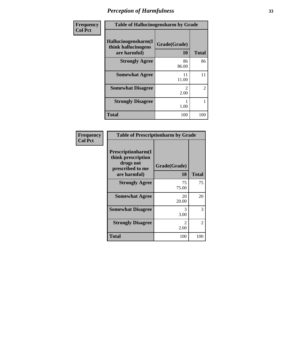| Frequency      |                                                            | <b>Table of Hallucinogensharm by Grade</b> |              |
|----------------|------------------------------------------------------------|--------------------------------------------|--------------|
| <b>Col Pct</b> | Hallucinogensharm(I<br>think hallucinogens<br>are harmful) | Grade(Grade)<br><b>10</b>                  | <b>Total</b> |
|                | <b>Strongly Agree</b>                                      | 86<br>86.00                                | 86           |
|                | <b>Somewhat Agree</b>                                      | 11<br>11.00                                | 11           |
|                | <b>Somewhat Disagree</b>                                   | $\mathcal{L}$<br>2.00                      | 2            |
|                | <b>Strongly Disagree</b>                                   | 1.00                                       | 1            |
|                | <b>Total</b>                                               | 100                                        | 100          |

| <b>Table of Prescriptionharm by Grade</b>                                                 |                    |                             |
|-------------------------------------------------------------------------------------------|--------------------|-----------------------------|
| Prescriptionharm(I<br>think prescription<br>drugs not<br>prescribed to me<br>are harmful) | Grade(Grade)<br>10 | <b>Total</b>                |
| <b>Strongly Agree</b>                                                                     | 75<br>75.00        | 75                          |
| <b>Somewhat Agree</b>                                                                     | 20<br>20.00        | 20                          |
| <b>Somewhat Disagree</b>                                                                  | 3<br>3.00          | 3                           |
| <b>Strongly Disagree</b>                                                                  | 2<br>2.00          | $\mathcal{D}_{\mathcal{L}}$ |
| Total                                                                                     | 100                | 100                         |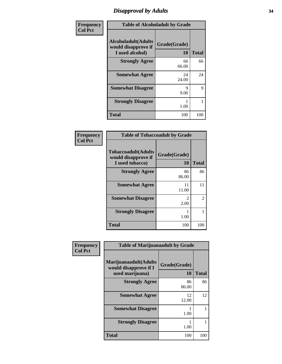### *Disapproval by Adults* **34**

| Frequency      | <b>Table of Alcoholadult by Grade</b>                                 |                           |              |
|----------------|-----------------------------------------------------------------------|---------------------------|--------------|
| <b>Col Pct</b> | <b>Alcoholadult</b> (Adults<br>would disapprove if<br>I used alcohol) | Grade(Grade)<br><b>10</b> | <b>Total</b> |
|                | <b>Strongly Agree</b>                                                 | 66<br>66.00               | 66           |
|                | <b>Somewhat Agree</b>                                                 | 24<br>24.00               | 24           |
|                | <b>Somewhat Disagree</b>                                              | Q<br>9.00                 | 9            |
|                | <b>Strongly Disagree</b>                                              | 1.00                      |              |
|                | <b>Total</b>                                                          | 100                       | 100          |

| <b>Frequency</b><br>Col Pct |
|-----------------------------|
|                             |

| <b>Table of Tobaccoadult by Grade</b>                                 |                       |                |
|-----------------------------------------------------------------------|-----------------------|----------------|
| <b>Tobaccoadult</b> (Adults<br>would disapprove if<br>I used tobacco) | Grade(Grade)<br>10    | <b>Total</b>   |
| <b>Strongly Agree</b>                                                 | 86<br>86.00           | 86             |
| <b>Somewhat Agree</b>                                                 | 11<br>11.00           | 11             |
| <b>Somewhat Disagree</b>                                              | $\mathcal{L}$<br>2.00 | $\mathfrak{D}$ |
| <b>Strongly Disagree</b>                                              | 1.00                  |                |
| Total                                                                 | 100                   | 100            |

| Frequency      | <b>Table of Marijuanaadult by Grade</b>                           |                    |              |
|----------------|-------------------------------------------------------------------|--------------------|--------------|
| <b>Col Pct</b> | Marijuanaadult(Adults<br>would disapprove if I<br>used marijuana) | Grade(Grade)<br>10 | <b>Total</b> |
|                | <b>Strongly Agree</b>                                             | 86<br>86.00        | 86           |
|                | <b>Somewhat Agree</b>                                             | 12<br>12.00        | 12           |
|                | <b>Somewhat Disagree</b>                                          | 1.00               |              |
|                | <b>Strongly Disagree</b>                                          | 1.00               |              |
|                | <b>Total</b>                                                      | 100                | 100          |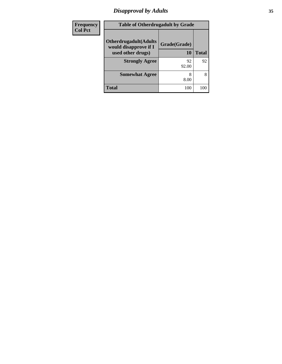# *Disapproval by Adults* **35**

| Frequency      | <b>Table of Otherdrugadult by Grade</b>                |              |       |
|----------------|--------------------------------------------------------|--------------|-------|
| <b>Col Pct</b> | <b>Otherdrugadult</b> (Adults<br>would disapprove if I | Grade(Grade) |       |
|                | used other drugs)                                      | 10           | Total |
|                | <b>Strongly Agree</b>                                  | 92<br>92.00  | 92    |
|                | <b>Somewhat Agree</b>                                  | 8.00         | 8     |
|                | <b>Total</b>                                           | 100          | 100   |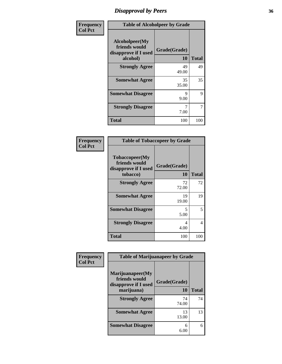### *Disapproval by Peers* **36**

| Frequency      | <b>Table of Alcoholpeer by Grade</b>                                |                           |              |
|----------------|---------------------------------------------------------------------|---------------------------|--------------|
| <b>Col Pct</b> | Alcoholpeer(My<br>friends would<br>disapprove if I used<br>alcohol) | Grade(Grade)<br><b>10</b> | <b>Total</b> |
|                | <b>Strongly Agree</b>                                               | 49<br>49.00               | 49           |
|                | <b>Somewhat Agree</b>                                               | 35<br>35.00               | 35           |
|                | <b>Somewhat Disagree</b>                                            | 9<br>9.00                 | 9            |
|                | <b>Strongly Disagree</b>                                            | 7.00                      | 7            |
|                | <b>Total</b>                                                        | 100                       | 100          |

| Frequency      |                                                                     | <b>Table of Tobaccopeer by Grade</b> |              |
|----------------|---------------------------------------------------------------------|--------------------------------------|--------------|
| <b>Col Pct</b> | Tobaccopeer(My<br>friends would<br>disapprove if I used<br>tobacco) | Grade(Grade)<br>10                   | <b>Total</b> |
|                | <b>Strongly Agree</b>                                               | 72<br>72.00                          | 72           |
|                | <b>Somewhat Agree</b>                                               | 19<br>19.00                          | 19           |
|                | <b>Somewhat Disagree</b>                                            | 5<br>5.00                            | 5            |
|                | <b>Strongly Disagree</b>                                            | 4<br>4.00                            | 4            |
|                | <b>Total</b>                                                        | 100                                  | 100          |

| Frequency<br><b>Col Pct</b> | <b>Table of Marijuanapeer by Grade</b>                    |              |              |
|-----------------------------|-----------------------------------------------------------|--------------|--------------|
|                             | Marijuanapeer(My<br>friends would<br>disapprove if I used | Grade(Grade) |              |
|                             | marijuana)                                                | 10           | <b>Total</b> |
|                             | <b>Strongly Agree</b>                                     | 74<br>74.00  | 74           |
|                             | <b>Somewhat Agree</b>                                     | 13<br>13.00  | 13           |
|                             | <b>Somewhat Disagree</b>                                  | 6<br>6.00    | 6            |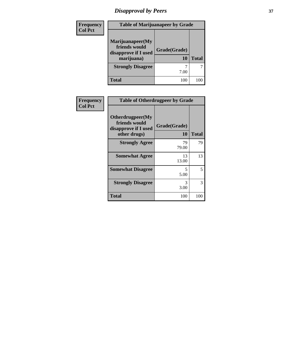# *Disapproval by Peers* **37**

| Frequency<br><b>Col Pct</b> | <b>Table of Marijuanapeer by Grade</b>                                  |                    |              |
|-----------------------------|-------------------------------------------------------------------------|--------------------|--------------|
|                             | Marijuanapeer(My<br>friends would<br>disapprove if I used<br>marijuana) | Grade(Grade)<br>10 | <b>Total</b> |
|                             | <b>Strongly Disagree</b>                                                | 7.00               |              |
|                             | <b>Total</b>                                                            | 100                | 100          |

| Frequency<br><b>Col Pct</b> | <b>Table of Otherdrugpeer by Grade</b>                                    |                    |              |
|-----------------------------|---------------------------------------------------------------------------|--------------------|--------------|
|                             | Otherdrugpeer(My<br>friends would<br>disapprove if I used<br>other drugs) | Grade(Grade)<br>10 | <b>Total</b> |
|                             | <b>Strongly Agree</b>                                                     | 79<br>79.00        | 79           |
|                             | <b>Somewhat Agree</b>                                                     | 13<br>13.00        | 13           |
|                             | <b>Somewhat Disagree</b>                                                  | 5<br>5.00          | 5            |
|                             | <b>Strongly Disagree</b>                                                  | 3<br>3.00          | 3            |
|                             | <b>Total</b>                                                              | 100                | 100          |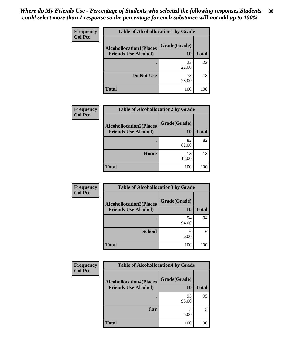| Frequency<br><b>Col Pct</b> | <b>Table of Alcohollocation1 by Grade</b> |              |              |
|-----------------------------|-------------------------------------------|--------------|--------------|
|                             | <b>Alcohollocation1(Places</b>            | Grade(Grade) |              |
|                             | <b>Friends Use Alcohol)</b>               | 10           | <b>Total</b> |
|                             |                                           | 22<br>22.00  | 22           |
|                             | Do Not Use                                | 78<br>78.00  | 78           |
|                             | <b>Total</b>                              | 100          | 100          |

| <b>Frequency</b> | <b>Table of Alcohollocation2 by Grade</b>                     |                    |              |
|------------------|---------------------------------------------------------------|--------------------|--------------|
| <b>Col Pct</b>   | <b>Alcohollocation2(Places</b><br><b>Friends Use Alcohol)</b> | Grade(Grade)<br>10 | <b>Total</b> |
|                  |                                                               | 82<br>82.00        | 82           |
|                  | Home                                                          | 18<br>18.00        | 18           |
|                  | <b>Total</b>                                                  | 100                | 100          |

| Frequency<br><b>Col Pct</b> | <b>Table of Alcohollocation 3 by Grade</b>                    |                    |              |
|-----------------------------|---------------------------------------------------------------|--------------------|--------------|
|                             | <b>Alcohollocation3(Places</b><br><b>Friends Use Alcohol)</b> | Grade(Grade)<br>10 | <b>Total</b> |
|                             |                                                               | 94<br>94.00        | 94           |
|                             | <b>School</b>                                                 | 6<br>6.00          | 6            |
|                             | <b>Total</b>                                                  | 100                | 100          |

| <b>Frequency</b> | <b>Table of Alcohollocation4 by Grade</b>                     |                    |              |
|------------------|---------------------------------------------------------------|--------------------|--------------|
| <b>Col Pct</b>   | <b>Alcohollocation4(Places</b><br><b>Friends Use Alcohol)</b> | Grade(Grade)<br>10 | <b>Total</b> |
|                  |                                                               | 95<br>95.00        | 95           |
|                  | Car                                                           | 5.00               | 5            |
|                  | <b>Total</b>                                                  | 100                | 100          |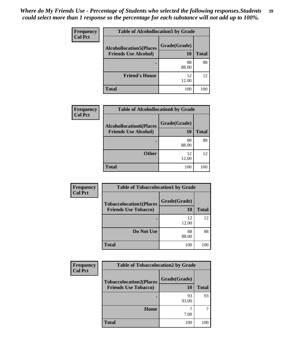| Frequency      | <b>Table of Alcohollocation5 by Grade</b> |              |              |
|----------------|-------------------------------------------|--------------|--------------|
| <b>Col Pct</b> | <b>Alcohollocation5(Places</b>            | Grade(Grade) |              |
|                | <b>Friends Use Alcohol)</b>               | 10           | <b>Total</b> |
|                |                                           | 88<br>88.00  | 88           |
|                | <b>Friend's House</b>                     | 12<br>12.00  | 12           |
|                | <b>Total</b>                              | 100          | 100          |

| <b>Frequency</b> | <b>Table of Alcohollocation6 by Grade</b>                     |                    |              |
|------------------|---------------------------------------------------------------|--------------------|--------------|
| <b>Col Pct</b>   | <b>Alcohollocation6(Places</b><br><b>Friends Use Alcohol)</b> | Grade(Grade)<br>10 | <b>Total</b> |
|                  |                                                               | 88<br>88.00        | 88           |
|                  | <b>Other</b>                                                  | 12<br>12.00        | 12           |
|                  | <b>Total</b>                                                  | 100                | 100          |

| <b>Frequency</b> | <b>Table of Tobaccolocation1 by Grade</b>                     |                    |              |
|------------------|---------------------------------------------------------------|--------------------|--------------|
| <b>Col Pct</b>   | <b>Tobaccolocation1(Places</b><br><b>Friends Use Tobacco)</b> | Grade(Grade)<br>10 | <b>Total</b> |
|                  |                                                               | 12<br>12.00        | 12           |
|                  | Do Not Use                                                    | 88<br>88.00        | 88           |
|                  | <b>Total</b>                                                  | 100                |              |

| <b>Frequency</b> | <b>Table of Tobaccolocation2 by Grade</b>                     |                           |              |  |
|------------------|---------------------------------------------------------------|---------------------------|--------------|--|
| <b>Col Pct</b>   | <b>Tobaccolocation2(Places</b><br><b>Friends Use Tobacco)</b> | Grade(Grade)<br><b>10</b> | <b>Total</b> |  |
|                  |                                                               | 93<br>93.00               | 93           |  |
|                  | Home                                                          | 7.00                      |              |  |
|                  | <b>Total</b>                                                  | 100                       | 100          |  |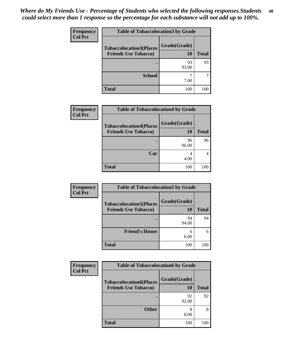| Frequency<br><b>Col Pct</b> | <b>Table of Tobaccolocation 3 by Grade</b> |              |              |
|-----------------------------|--------------------------------------------|--------------|--------------|
|                             | <b>Tobaccolocation3(Places</b>             | Grade(Grade) |              |
|                             | <b>Friends Use Tobacco)</b>                | 10           | <b>Total</b> |
|                             |                                            | 93<br>93.00  | 93           |
|                             | <b>School</b>                              | 7.00         |              |
|                             | <b>Total</b>                               | 100          | 100          |

| <b>Frequency</b> | <b>Table of Tobaccolocation4 by Grade</b>                     |                    |              |
|------------------|---------------------------------------------------------------|--------------------|--------------|
| <b>Col Pct</b>   | <b>Tobaccolocation4(Places</b><br><b>Friends Use Tobacco)</b> | Grade(Grade)<br>10 | <b>Total</b> |
|                  |                                                               | 96<br>96.00        | 96           |
|                  | Car                                                           | 4<br>4.00          |              |
|                  | <b>Total</b>                                                  | 100                | 1 ( ) (      |

| <b>Frequency</b><br><b>Col Pct</b> | <b>Table of Tobaccolocation5 by Grade</b>                     |                    |              |
|------------------------------------|---------------------------------------------------------------|--------------------|--------------|
|                                    | <b>Tobaccolocation5(Places</b><br><b>Friends Use Tobacco)</b> | Grade(Grade)<br>10 | <b>Total</b> |
|                                    |                                                               | 94<br>94.00        | 94           |
|                                    | <b>Friend's House</b>                                         | 6<br>6.00          | 6            |
|                                    | <b>Total</b>                                                  | 100                | 100          |

| <b>Frequency</b> | <b>Table of Tobaccolocation6 by Grade</b> |              |              |
|------------------|-------------------------------------------|--------------|--------------|
| <b>Col Pct</b>   | <b>Tobaccolocation6(Places</b>            | Grade(Grade) |              |
|                  | <b>Friends Use Tobacco)</b>               | 10           | <b>Total</b> |
|                  |                                           | 92<br>92.00  | 92           |
|                  | <b>Other</b>                              | 8<br>8.00    | 8            |
|                  | Total                                     | 100          | 100          |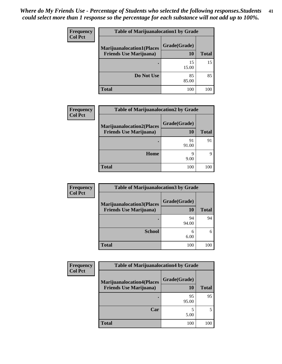| Frequency      | <b>Table of Marijuanalocation1 by Grade</b> |              |              |
|----------------|---------------------------------------------|--------------|--------------|
| <b>Col Pct</b> | <b>Marijuanalocation1(Places</b>            | Grade(Grade) |              |
|                | <b>Friends Use Marijuana</b> )              | 10           | <b>Total</b> |
|                |                                             | 15<br>15.00  | 15           |
|                | Do Not Use                                  | 85<br>85.00  | 85           |
|                | <b>Total</b>                                | 100          |              |

| Frequency      | <b>Table of Marijuanalocation2 by Grade</b>                        |                    |              |
|----------------|--------------------------------------------------------------------|--------------------|--------------|
| <b>Col Pct</b> | <b>Marijuanalocation2(Places</b><br><b>Friends Use Marijuana</b> ) | Grade(Grade)<br>10 | <b>Total</b> |
|                |                                                                    | 91<br>91.00        | 91           |
|                | Home                                                               | q<br>9.00          | Q            |
|                | <b>Total</b>                                                       | 100                | 100          |

| Frequency<br><b>Col Pct</b> | <b>Table of Marijuanalocation3 by Grade</b>                        |                           |              |
|-----------------------------|--------------------------------------------------------------------|---------------------------|--------------|
|                             | <b>Marijuanalocation3(Places</b><br><b>Friends Use Marijuana</b> ) | Grade(Grade)<br><b>10</b> | <b>Total</b> |
|                             |                                                                    | 94<br>94.00               | 94           |
|                             | <b>School</b>                                                      | 6<br>6.00                 | 6            |
|                             | <b>Total</b>                                                       | 100                       | 100          |

| Frequency      | <b>Table of Marijuanalocation4 by Grade</b>                        |                    |              |
|----------------|--------------------------------------------------------------------|--------------------|--------------|
| <b>Col Pct</b> | <b>Marijuanalocation4(Places</b><br><b>Friends Use Marijuana</b> ) | Grade(Grade)<br>10 | <b>Total</b> |
|                |                                                                    | 95<br>95.00        | 95           |
|                | Car                                                                | 5.00               |              |
|                | <b>Total</b>                                                       | 100                | 100          |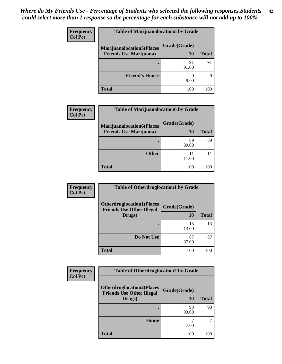| <b>Frequency</b> | <b>Table of Marijuanalocation5 by Grade</b> |              |              |
|------------------|---------------------------------------------|--------------|--------------|
| <b>Col Pct</b>   | <b>Marijuanalocation5(Places</b>            | Grade(Grade) |              |
|                  | <b>Friends Use Marijuana</b> )              | 10           | <b>Total</b> |
|                  | ٠                                           | 91<br>91.00  | 91           |
|                  | <b>Friend's House</b>                       | Q<br>9.00    | Q            |
|                  | Total                                       | 100          |              |

| Frequency      | <b>Table of Marijuanalocation6 by Grade</b>                        |                    |              |
|----------------|--------------------------------------------------------------------|--------------------|--------------|
| <b>Col Pct</b> | <b>Marijuanalocation6(Places</b><br><b>Friends Use Marijuana</b> ) | Grade(Grade)<br>10 | <b>Total</b> |
|                |                                                                    | 89<br>89.00        | 89           |
|                | <b>Other</b>                                                       | 11.00              |              |
|                | <b>Total</b>                                                       | 100                | 100          |

| Frequency      | <b>Table of Otherdruglocation1 by Grade</b>                                    |                    |              |
|----------------|--------------------------------------------------------------------------------|--------------------|--------------|
| <b>Col Pct</b> | <b>Otherdruglocation1(Places</b><br><b>Friends Use Other Illegal</b><br>Drugs) | Grade(Grade)<br>10 | <b>Total</b> |
|                |                                                                                | 13<br>13.00        | 13           |
|                | Do Not Use                                                                     | 87<br>87.00        | 87           |
|                | <b>Total</b>                                                                   | 100                | 100          |

| <b>Frequency</b> | <b>Table of Otherdruglocation2 by Grade</b>                          |              |              |
|------------------|----------------------------------------------------------------------|--------------|--------------|
| <b>Col Pct</b>   | <b>Otherdruglocation2(Places</b><br><b>Friends Use Other Illegal</b> | Grade(Grade) |              |
|                  | Drugs)                                                               | <b>10</b>    | <b>Total</b> |
|                  |                                                                      | 93<br>93.00  | 93           |
|                  | <b>Home</b>                                                          | 7.00         | 7            |
|                  | <b>Total</b>                                                         | 100          | 100          |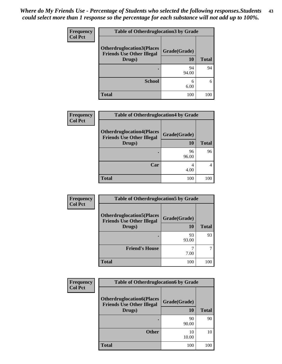| <b>Frequency</b> | <b>Table of Otherdruglocation 3 by Grade</b>                         |              |              |
|------------------|----------------------------------------------------------------------|--------------|--------------|
| <b>Col Pct</b>   | <b>Otherdruglocation3(Places</b><br><b>Friends Use Other Illegal</b> | Grade(Grade) |              |
|                  | Drugs)                                                               | 10           | <b>Total</b> |
|                  |                                                                      | 94<br>94.00  | 94           |
|                  | <b>School</b>                                                        | 6<br>6.00    | 6            |
|                  | <b>Total</b>                                                         | 100          |              |

| Frequency      | <b>Table of Otherdruglocation4 by Grade</b>                                    |                    |              |
|----------------|--------------------------------------------------------------------------------|--------------------|--------------|
| <b>Col Pct</b> | <b>Otherdruglocation4(Places</b><br><b>Friends Use Other Illegal</b><br>Drugs) | Grade(Grade)<br>10 | <b>Total</b> |
|                |                                                                                | 96<br>96.00        | 96           |
|                | Car                                                                            | 4<br>4.00          |              |
|                | <b>Total</b>                                                                   | 100                | 100          |

| Frequency      | <b>Table of Otherdruglocation5 by Grade</b>                          |              |              |
|----------------|----------------------------------------------------------------------|--------------|--------------|
| <b>Col Pct</b> | <b>Otherdruglocation5(Places</b><br><b>Friends Use Other Illegal</b> | Grade(Grade) |              |
|                | Drugs)                                                               | <b>10</b>    | <b>Total</b> |
|                |                                                                      | 93<br>93.00  | 93           |
|                | <b>Friend's House</b>                                                | 7.00         | ┑            |
|                | <b>Total</b>                                                         | 100          | 100          |

| Frequency      | <b>Table of Otherdruglocation6 by Grade</b>                                    |                    |              |
|----------------|--------------------------------------------------------------------------------|--------------------|--------------|
| <b>Col Pct</b> | <b>Otherdruglocation6(Places</b><br><b>Friends Use Other Illegal</b><br>Drugs) | Grade(Grade)<br>10 | <b>Total</b> |
|                |                                                                                | 90<br>90.00        | 90           |
|                | <b>Other</b>                                                                   | 10<br>10.00        | 10           |
|                | <b>Total</b>                                                                   | 100                | 100          |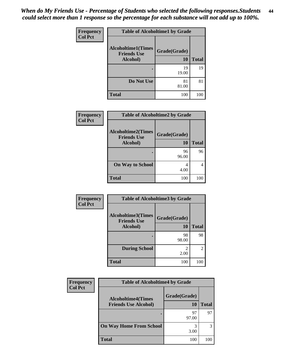| Frequency      | <b>Table of Alcoholtime1 by Grade</b>           |              |              |
|----------------|-------------------------------------------------|--------------|--------------|
| <b>Col Pct</b> | <b>Alcoholtime1(Times</b><br><b>Friends Use</b> | Grade(Grade) |              |
|                | Alcohol)                                        | 10           | <b>Total</b> |
|                |                                                 | 19<br>19.00  | 19           |
|                | Do Not Use                                      | 81<br>81.00  | 81           |
|                | <b>Total</b>                                    | 100          | 100          |

| Frequency      | <b>Table of Alcoholtime2 by Grade</b>           |              |              |
|----------------|-------------------------------------------------|--------------|--------------|
| <b>Col Pct</b> | <b>Alcoholtime2(Times</b><br><b>Friends Use</b> | Grade(Grade) |              |
|                | Alcohol)                                        | <b>10</b>    | <b>Total</b> |
|                |                                                 | 96<br>96.00  | 96           |
|                | <b>On Way to School</b>                         | 4<br>4.00    |              |
|                | <b>Total</b>                                    | 100          | 100          |

| Frequency      | <b>Table of Alcoholtime3 by Grade</b>           |              |                |
|----------------|-------------------------------------------------|--------------|----------------|
| <b>Col Pct</b> | <b>Alcoholtime3(Times</b><br><b>Friends Use</b> | Grade(Grade) |                |
|                | Alcohol)                                        | 10           | <b>Total</b>   |
|                |                                                 | 98<br>98.00  | 98             |
|                | <b>During School</b>                            | 2.00         | $\overline{2}$ |
|                | <b>Total</b>                                    | 100          | 100            |

| Frequency<br><b>Col Pct</b> | <b>Table of Alcoholtime4 by Grade</b> |              |              |
|-----------------------------|---------------------------------------|--------------|--------------|
|                             | <b>Alcoholtime4(Times</b>             | Grade(Grade) |              |
|                             | <b>Friends Use Alcohol)</b>           | <b>10</b>    | <b>Total</b> |
|                             |                                       | 97<br>97.00  | 97           |
|                             | <b>On Way Home From School</b>        | 3<br>3.00    | 3            |
|                             | <b>Total</b>                          | 100          | 100          |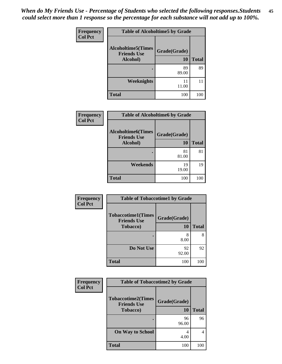| Frequency      | <b>Table of Alcoholtime5 by Grade</b>           |              |              |
|----------------|-------------------------------------------------|--------------|--------------|
| <b>Col Pct</b> | <b>Alcoholtime5(Times</b><br><b>Friends Use</b> | Grade(Grade) |              |
|                | Alcohol)                                        | 10           | <b>Total</b> |
|                |                                                 | 89<br>89.00  | 89           |
|                | Weeknights                                      | 11<br>11.00  | 11           |
|                | <b>Total</b>                                    | 100          | 100          |

| <b>Frequency</b> | <b>Table of Alcoholtime6 by Grade</b>           |              |              |
|------------------|-------------------------------------------------|--------------|--------------|
| <b>Col Pct</b>   | <b>Alcoholtime6(Times</b><br><b>Friends Use</b> | Grade(Grade) |              |
|                  | Alcohol)                                        | <b>10</b>    | <b>Total</b> |
|                  |                                                 | 81<br>81.00  | 81           |
|                  | Weekends                                        | 19<br>19.00  | 19           |
|                  | <b>Total</b>                                    | 100          | 100          |

| Frequency      | <b>Table of Tobaccotime1 by Grade</b>           |              |              |
|----------------|-------------------------------------------------|--------------|--------------|
| <b>Col Pct</b> | <b>Tobaccotime1(Times</b><br><b>Friends Use</b> | Grade(Grade) |              |
|                | Tobacco)                                        | 10           | <b>Total</b> |
|                |                                                 | 8<br>8.00    | 8            |
|                | Do Not Use                                      | 92<br>92.00  | 92           |
|                | <b>Total</b>                                    | 100          | 100          |

| <b>Frequency</b> | <b>Table of Tobaccotime2 by Grade</b>                               |                    |              |
|------------------|---------------------------------------------------------------------|--------------------|--------------|
| <b>Col Pct</b>   | <b>Tobaccotime2(Times</b><br><b>Friends Use</b><br><b>Tobacco</b> ) | Grade(Grade)<br>10 | <b>Total</b> |
|                  |                                                                     | 96                 | 96           |
|                  |                                                                     | 96.00              |              |
|                  | <b>On Way to School</b>                                             | 4<br>4.00          | 4            |
|                  | <b>Total</b>                                                        | 100                | 100          |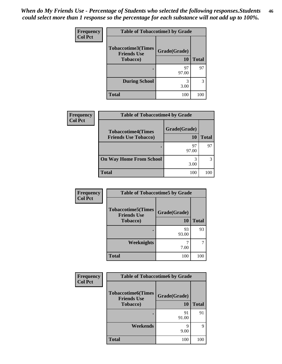| <b>Frequency</b> | <b>Table of Tobaccotime3 by Grade</b>                               |                    |              |
|------------------|---------------------------------------------------------------------|--------------------|--------------|
| <b>Col Pct</b>   | <b>Tobaccotime3(Times</b><br><b>Friends Use</b><br><b>Tobacco</b> ) | Grade(Grade)<br>10 | <b>Total</b> |
|                  |                                                                     | 97<br>97.00        | 97           |
|                  | <b>During School</b>                                                | 3<br>3.00          | 3            |
|                  | <b>Total</b>                                                        | 100                | 100          |

| <b>Frequency</b> | <b>Table of Tobaccotime4 by Grade</b> |              |              |  |
|------------------|---------------------------------------|--------------|--------------|--|
| <b>Col Pct</b>   | <b>Tobaccotime4(Times</b>             | Grade(Grade) | <b>Total</b> |  |
|                  | <b>Friends Use Tobacco)</b>           | 10           |              |  |
|                  |                                       | 97<br>97.00  | 97           |  |
|                  | <b>On Way Home From School</b>        | 3.00         | 3            |  |
|                  | <b>Total</b>                          | 100          | 100          |  |

| Frequency      | <b>Table of Tobaccotime5 by Grade</b>           |              |              |
|----------------|-------------------------------------------------|--------------|--------------|
| <b>Col Pct</b> | <b>Tobaccotime5(Times</b><br><b>Friends Use</b> | Grade(Grade) |              |
|                | <b>Tobacco</b> )                                | <b>10</b>    | <b>Total</b> |
|                |                                                 | 93<br>93.00  | 93           |
|                | Weeknights                                      | 7.00         |              |
|                | <b>Total</b>                                    | 100          | 100          |

| <b>Frequency</b> | <b>Table of Tobaccotime6 by Grade</b>                               |                           |              |
|------------------|---------------------------------------------------------------------|---------------------------|--------------|
| <b>Col Pct</b>   | <b>Tobaccotime6(Times</b><br><b>Friends Use</b><br><b>Tobacco</b> ) | Grade(Grade)<br><b>10</b> | <b>Total</b> |
|                  |                                                                     | 91<br>91.00               | 91           |
|                  | Weekends                                                            | q<br>9.00                 | 9            |
|                  | <b>Total</b>                                                        | 100                       | 100          |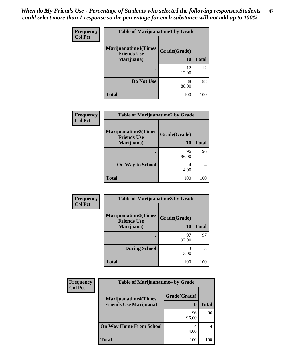*When do My Friends Use - Percentage of Students who selected the following responses.Students could select more than 1 response so the percentage for each substance will not add up to 100%.* **47**

| <b>Frequency</b> | <b>Table of Marijuanatime1 by Grade</b>                         |                    |              |
|------------------|-----------------------------------------------------------------|--------------------|--------------|
| <b>Col Pct</b>   | <b>Marijuanatime1(Times</b><br><b>Friends Use</b><br>Marijuana) | Grade(Grade)<br>10 | <b>Total</b> |
|                  |                                                                 | 12<br>12.00        | 12           |
|                  | Do Not Use                                                      | 88<br>88.00        | 88           |
|                  | <b>Total</b>                                                    | 100                | 100          |

| <b>Frequency</b> | <b>Table of Marijuanatime2 by Grade</b>                         |                           |              |
|------------------|-----------------------------------------------------------------|---------------------------|--------------|
| <b>Col Pct</b>   | <b>Marijuanatime2(Times</b><br><b>Friends Use</b><br>Marijuana) | Grade(Grade)<br><b>10</b> | <b>Total</b> |
|                  |                                                                 | 96<br>96.00               | 96           |
|                  | <b>On Way to School</b>                                         | 4<br>4.00                 | 4            |
|                  | <b>Total</b>                                                    | 100                       | 100          |

| Frequency      | <b>Table of Marijuanatime3 by Grade</b>    |              |              |
|----------------|--------------------------------------------|--------------|--------------|
| <b>Col Pct</b> | Marijuanatime3(Times<br><b>Friends Use</b> | Grade(Grade) |              |
|                | Marijuana)                                 | 10           | <b>Total</b> |
|                |                                            | 97<br>97.00  | 97           |
|                | <b>During School</b>                       | 3<br>3.00    | 3            |
|                | <b>Total</b>                               | 100          | 100          |

| <b>Frequency</b> | <b>Table of Marijuanatime4 by Grade</b>                       |                    |              |
|------------------|---------------------------------------------------------------|--------------------|--------------|
| <b>Col Pct</b>   | <b>Marijuanatime4(Times</b><br><b>Friends Use Marijuana</b> ) | Grade(Grade)<br>10 | <b>Total</b> |
|                  |                                                               | 96<br>96.00        | 96           |
|                  | <b>On Way Home From School</b>                                | 4<br>4.00          | 4            |
|                  | <b>Total</b>                                                  | 100                | 100          |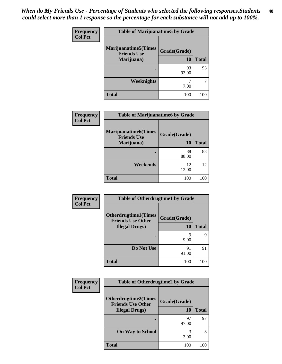| <b>Frequency</b> | <b>Table of Marijuanatime5 by Grade</b>                          |                    |              |
|------------------|------------------------------------------------------------------|--------------------|--------------|
| <b>Col Pct</b>   | <b>Marijuanatime5</b> (Times<br><b>Friends Use</b><br>Marijuana) | Grade(Grade)<br>10 | <b>Total</b> |
|                  |                                                                  |                    |              |
|                  |                                                                  | 93<br>93.00        | 93           |
|                  | <b>Weeknights</b>                                                | ℸ<br>7.00          |              |
|                  | <b>Total</b>                                                     | 100                | 100          |

| Frequency      | <b>Table of Marijuanatime6 by Grade</b>           |              |              |
|----------------|---------------------------------------------------|--------------|--------------|
| <b>Col Pct</b> | <b>Marijuanatime6(Times</b><br><b>Friends Use</b> | Grade(Grade) |              |
|                | Marijuana)                                        | 10           | <b>Total</b> |
|                |                                                   | 88<br>88.00  | 88           |
|                | Weekends                                          | 12<br>12.00  | 12           |
|                | <b>Total</b>                                      | 100          | 100          |

| Frequency      | <b>Table of Otherdrugtime1 by Grade</b>                 |              |              |
|----------------|---------------------------------------------------------|--------------|--------------|
| <b>Col Pct</b> | <b>Otherdrugtime1(Times</b><br><b>Friends Use Other</b> | Grade(Grade) |              |
|                | <b>Illegal Drugs</b> )                                  | 10           | <b>Total</b> |
|                |                                                         | q<br>9.00    | 9            |
|                | Do Not Use                                              | 91<br>91.00  | 91           |
|                | <b>Total</b>                                            | 100          | 100          |

| <b>Frequency</b> | <b>Table of Otherdrugtime2 by Grade</b>            |              |              |
|------------------|----------------------------------------------------|--------------|--------------|
| <b>Col Pct</b>   | <b>Otherdrugtime2(Times</b>                        | Grade(Grade) |              |
|                  | <b>Friends Use Other</b><br><b>Illegal Drugs</b> ) | 10           | <b>Total</b> |
|                  |                                                    | 97<br>97.00  | 97           |
|                  | <b>On Way to School</b>                            | 3<br>3.00    | 3            |
|                  | <b>Total</b>                                       | 100          |              |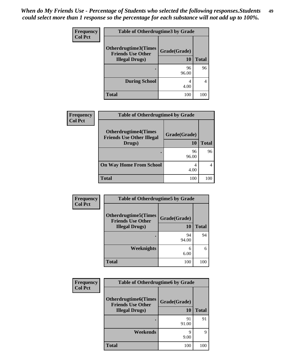| <b>Frequency</b> | <b>Table of Otherdrugtime3 by Grade</b>                  |              |              |
|------------------|----------------------------------------------------------|--------------|--------------|
| <b>Col Pct</b>   | <b>Otherdrugtime3</b> (Times<br><b>Friends Use Other</b> | Grade(Grade) |              |
|                  | <b>Illegal Drugs</b> )                                   | <b>10</b>    | <b>Total</b> |
|                  |                                                          | 96<br>96.00  | 96           |
|                  | <b>During School</b>                                     | 4<br>4.00    | 4            |
|                  | <b>Total</b>                                             | 100          | 100          |

| <b>Frequency</b> | <b>Table of Otherdrugtime4 by Grade</b>                                   |                    |              |
|------------------|---------------------------------------------------------------------------|--------------------|--------------|
| <b>Col Pct</b>   | <b>Otherdrugtime4(Times</b><br><b>Friends Use Other Illegal</b><br>Drugs) | Grade(Grade)<br>10 | <b>Total</b> |
|                  |                                                                           |                    |              |
|                  |                                                                           | 96<br>96.00        | 96           |
|                  | <b>On Way Home From School</b>                                            | 4.00               |              |
|                  | <b>Total</b>                                                              | 100                | 100          |

| Frequency      | <b>Table of Otherdrugtime5 by Grade</b>                  |              |              |  |  |
|----------------|----------------------------------------------------------|--------------|--------------|--|--|
| <b>Col Pct</b> | <b>Otherdrugtime5</b> (Times<br><b>Friends Use Other</b> | Grade(Grade) |              |  |  |
|                | <b>Illegal Drugs</b> )                                   | 10           | <b>Total</b> |  |  |
|                |                                                          | 94<br>94.00  | 94           |  |  |
|                | Weeknights                                               | 6<br>6.00    | 6            |  |  |
|                | <b>Total</b>                                             | 100          | 100          |  |  |

| <b>Frequency</b> | <b>Table of Otherdrugtime6 by Grade</b>                                            |                    |              |  |  |
|------------------|------------------------------------------------------------------------------------|--------------------|--------------|--|--|
| <b>Col Pct</b>   | <b>Otherdrugtime6</b> (Times<br><b>Friends Use Other</b><br><b>Illegal Drugs</b> ) | Grade(Grade)<br>10 | <b>Total</b> |  |  |
|                  |                                                                                    | 91<br>91.00        | 91           |  |  |
|                  | Weekends                                                                           | q<br>9.00          | 9            |  |  |
|                  | <b>Total</b>                                                                       | 100                | 100          |  |  |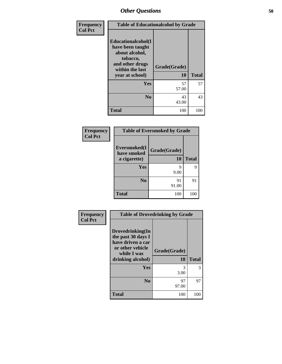| Frequency      | <b>Table of Educationalcohol by Grade</b>                                                                                     |                    |              |  |  |
|----------------|-------------------------------------------------------------------------------------------------------------------------------|--------------------|--------------|--|--|
| <b>Col Pct</b> | Educationalcohol(I<br>have been taught<br>about alcohol,<br>tobacco,<br>and other drugs<br>within the last<br>year at school) | Grade(Grade)<br>10 | <b>Total</b> |  |  |
|                | Yes                                                                                                                           | 57<br>57.00        | 57           |  |  |
|                | $\bf No$                                                                                                                      | 43<br>43.00        | 43           |  |  |
|                | <b>Total</b>                                                                                                                  | 100                | 100          |  |  |

| Frequency      | <b>Table of Eversmoked by Grade</b> |              |              |  |  |
|----------------|-------------------------------------|--------------|--------------|--|--|
| <b>Col Pct</b> | Eversmoked(I<br>have smoked         | Grade(Grade) |              |  |  |
|                | a cigarette)                        | 10           | <b>Total</b> |  |  |
|                | Yes                                 | q            | 9            |  |  |
|                |                                     | 9.00         |              |  |  |
|                | N <sub>0</sub>                      | 91           | 91           |  |  |
|                |                                     | 91.00        |              |  |  |
|                | <b>Total</b>                        | 100          | 100          |  |  |

| Frequency      | <b>Table of Drovedrinking by Grade</b>                                                                              |                    |              |  |  |
|----------------|---------------------------------------------------------------------------------------------------------------------|--------------------|--------------|--|--|
| <b>Col Pct</b> | Drovedrinking(In<br>the past 30 days I<br>have driven a car<br>or other vehicle<br>while I was<br>drinking alcohol) | Grade(Grade)<br>10 | <b>Total</b> |  |  |
|                | <b>Yes</b>                                                                                                          | 3<br>3.00          | 3            |  |  |
|                | N <sub>0</sub>                                                                                                      | 97<br>97.00        | 97           |  |  |
|                | <b>Total</b>                                                                                                        | 100                | 100          |  |  |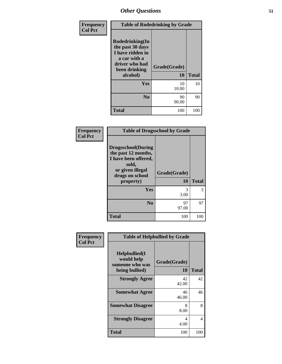| Frequency      | <b>Table of Rodedrinking by Grade</b>                                                                                  |                    |              |  |
|----------------|------------------------------------------------------------------------------------------------------------------------|--------------------|--------------|--|
| <b>Col Pct</b> | Rodedrinking(In<br>the past 30 days<br>I have ridden in<br>a car with a<br>driver who had<br>been drinking<br>alcohol) | Grade(Grade)<br>10 | <b>Total</b> |  |
|                | Yes                                                                                                                    | 10<br>10.00        | 10           |  |
|                | N <sub>0</sub>                                                                                                         | 90<br>90.00        | 90           |  |
|                | <b>Total</b>                                                                                                           | 100                | 100          |  |

### **Frequency Col Pct**

| <b>Table of Drugsschool by Grade</b>                                                                                                   |                    |              |  |  |
|----------------------------------------------------------------------------------------------------------------------------------------|--------------------|--------------|--|--|
| <b>Drugsschool</b> (During<br>the past 12 months,<br>I have been offered,<br>sold,<br>or given illegal<br>drugs on school<br>property) | Grade(Grade)<br>10 | <b>Total</b> |  |  |
|                                                                                                                                        |                    |              |  |  |
|                                                                                                                                        |                    |              |  |  |
| Yes                                                                                                                                    | 3<br>3.00          | 3            |  |  |
| N <sub>0</sub>                                                                                                                         | 97<br>97.00        | 97           |  |  |

| Frequency<br><b>Col Pct</b> |                                                                     | <b>Table of Helpbullied by Grade</b> |              |  |  |
|-----------------------------|---------------------------------------------------------------------|--------------------------------------|--------------|--|--|
|                             | $Helpb$ ullied(I<br>would help<br>someone who was<br>being bullied) | Grade(Grade)<br>10                   | <b>Total</b> |  |  |
|                             | <b>Strongly Agree</b>                                               | 42<br>42.00                          | 42           |  |  |
|                             | <b>Somewhat Agree</b>                                               | 46<br>46.00                          | 46           |  |  |
|                             | <b>Somewhat Disagree</b>                                            | 8<br>8.00                            | 8            |  |  |
|                             | <b>Strongly Disagree</b>                                            | 4<br>4.00                            | 4            |  |  |
|                             | <b>Total</b>                                                        | 100                                  | 100          |  |  |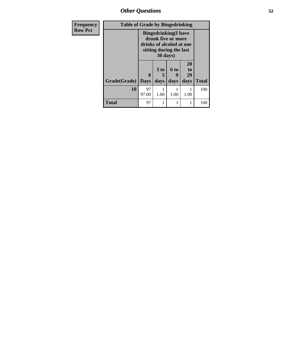*Other Questions* **52**

| Frequency      | <b>Table of Grade by Bingedrinking</b> |             |                                                                                                                                |           |                            |              |
|----------------|----------------------------------------|-------------|--------------------------------------------------------------------------------------------------------------------------------|-----------|----------------------------|--------------|
| <b>Row Pct</b> |                                        |             | <b>Bingedrinking</b> (I have<br>drunk five or more<br>drinks of alcohol at one<br>sitting during the last<br>$30 \text{ days}$ |           |                            |              |
|                |                                        | $\mathbf 0$ | $3$ to<br>5                                                                                                                    | 6 to<br>9 | 20<br>t <sub>0</sub><br>29 |              |
|                | Grade(Grade)   Days                    |             | days                                                                                                                           | days      | days                       | <b>Total</b> |
|                | 10                                     | 97<br>97.00 | 1.00                                                                                                                           | 1.00      | 1.00                       | 100          |
|                | Total                                  | 97          |                                                                                                                                |           |                            | 100          |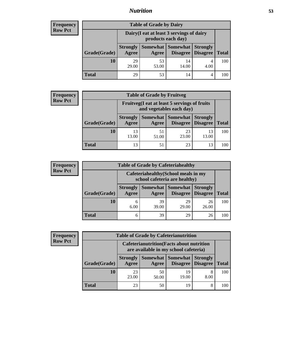# *Nutrition* **53**

## **Frequency Row Pct**

| <b>Table of Grade by Dairy</b> |                                                                 |                     |                 |                                        |              |  |
|--------------------------------|-----------------------------------------------------------------|---------------------|-----------------|----------------------------------------|--------------|--|
|                                | Dairy (I eat at least 3 servings of dairy<br>products each day) |                     |                 |                                        |              |  |
| Grade(Grade)                   | <b>Strongly</b><br>Agree                                        | Somewhat  <br>Agree | <b>Somewhat</b> | <b>Strongly</b><br>Disagree   Disagree | <b>Total</b> |  |
| 10                             | 29<br>29.00                                                     | 53<br>53.00         | 14<br>14.00     | 4.00                                   | 100          |  |
| Total                          | 29                                                              | 53                  | 14              |                                        | 100          |  |

## **Frequency Row Pct**

| $\mathbf{y}$ | <b>Table of Grade by Fruitveg</b>                                        |                          |             |                   |                                        |              |
|--------------|--------------------------------------------------------------------------|--------------------------|-------------|-------------------|----------------------------------------|--------------|
|              | Fruitveg(I eat at least 5 servings of fruits<br>and vegetables each day) |                          |             |                   |                                        |              |
|              | Grade(Grade)                                                             | <b>Strongly</b><br>Agree | Agree       | Somewhat Somewhat | <b>Strongly</b><br>Disagree   Disagree | <b>Total</b> |
|              | 10                                                                       | 13<br>13.00              | 51<br>51.00 | 23<br>23.00       | 13<br>13.00                            | 100          |
|              | Total                                                                    | 13                       | 51          | 23                | 13                                     | 100          |

### **Frequency Row Pct**

| $\mathbf{y}$ | <b>Table of Grade by Cafeteriahealthy</b> |                                                                       |             |                     |                                        |              |
|--------------|-------------------------------------------|-----------------------------------------------------------------------|-------------|---------------------|----------------------------------------|--------------|
|              |                                           | Cafeteriahealthy (School meals in my<br>school cafeteria are healthy) |             |                     |                                        |              |
|              | Grade(Grade)                              | <b>Strongly</b><br>Agree                                              | Agree       | Somewhat   Somewhat | <b>Strongly</b><br>Disagree   Disagree | <b>Total</b> |
|              | 10                                        | 6<br>6.00                                                             | 39<br>39.00 | 29<br>29.00         | 26<br>26.00                            | 100          |
|              | <b>Total</b>                              | 6                                                                     | 39          | 29                  | 26                                     | 100          |

### **Frequency Row Pct**

| <b>Table of Grade by Cafeterianutrition</b>                                               |                          |             |                               |                                    |              |
|-------------------------------------------------------------------------------------------|--------------------------|-------------|-------------------------------|------------------------------------|--------------|
| <b>Cafeterianutrition</b> (Facts about nutrition<br>are available in my school cafeteria) |                          |             |                               |                                    |              |
| Grade(Grade)                                                                              | <b>Strongly</b><br>Agree | Agree       | Somewhat Somewhat<br>Disagree | <b>Strongly</b><br><b>Disagree</b> | <b>Total</b> |
| 10                                                                                        | 23<br>23.00              | 50<br>50.00 | 19<br>19.00                   | 8<br>8.00                          | 100          |
| <b>Total</b>                                                                              | 23                       | 50          | 19                            | 8                                  | 100          |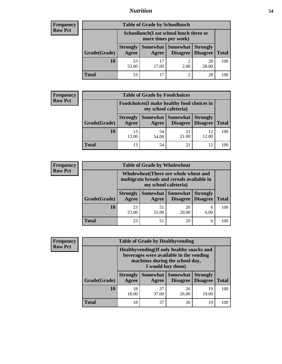# *Nutrition* **54**

## **Frequency Row Pct**

| <b>Table of Grade by Schoollunch</b> |                                                                 |             |                     |                                        |              |  |  |
|--------------------------------------|-----------------------------------------------------------------|-------------|---------------------|----------------------------------------|--------------|--|--|
|                                      | Schoollunch(I eat school lunch three or<br>more times per week) |             |                     |                                        |              |  |  |
| Grade(Grade)                         | <b>Strongly</b><br>Agree                                        | Agree       | Somewhat   Somewhat | <b>Strongly</b><br>Disagree   Disagree | <b>Total</b> |  |  |
| 10                                   | 53<br>53.00                                                     | 17<br>17.00 | ∍<br>2.00           | 28<br>28.00                            | 100          |  |  |
| Total                                | 53                                                              | 17          | $\overline{c}$      | 28                                     |              |  |  |

## **Frequency Row Pct**

| y | <b>Table of Grade by Foodchoices</b>                                |                          |                     |                 |                                        |              |
|---|---------------------------------------------------------------------|--------------------------|---------------------|-----------------|----------------------------------------|--------------|
|   | Foodchoices (I make healthy food choices in<br>my school cafeteria) |                          |                     |                 |                                        |              |
|   | Grade(Grade)                                                        | <b>Strongly</b><br>Agree | Somewhat  <br>Agree | <b>Somewhat</b> | <b>Strongly</b><br>Disagree   Disagree | <b>Total</b> |
|   | 10                                                                  | 13<br>13.00              | 54<br>54.00         | 21<br>21.00     | 12<br>12.00                            | 100          |
|   | <b>Total</b>                                                        | 13                       | 54                  | 21              | 12                                     | 100          |

### **Frequency Row Pct**

| cy | <b>Table of Grade by Wholewheat</b> |                          |             |                                                                                                             |                                    |              |
|----|-------------------------------------|--------------------------|-------------|-------------------------------------------------------------------------------------------------------------|------------------------------------|--------------|
|    |                                     |                          |             | Wholewheat (There are whole wheat and<br>multigrain breads and cereals available in<br>my school cafeteria) |                                    |              |
|    | Grade(Grade)                        | <b>Strongly</b><br>Agree | Agree       | Somewhat Somewhat<br>Disagree                                                                               | <b>Strongly</b><br><b>Disagree</b> | <b>Total</b> |
|    | 10                                  | 23<br>23.00              | 51<br>51.00 | 20<br>20.00                                                                                                 | 6<br>6.00                          | 100          |
|    | <b>Total</b>                        | 23                       | 51          | 20                                                                                                          | 6                                  | 100          |

### **Frequency Row Pct**

| y |              | <b>Table of Grade by Healthyvending</b>                                                                                                       |             |                                 |                                    |              |
|---|--------------|-----------------------------------------------------------------------------------------------------------------------------------------------|-------------|---------------------------------|------------------------------------|--------------|
|   |              | Healthyvending (If only healthy snacks and<br>beverages were available in the vending<br>machines during the school day,<br>I would buy them) |             |                                 |                                    |              |
|   | Grade(Grade) | <b>Strongly</b><br>Agree                                                                                                                      | Agree       | Somewhat   Somewhat<br>Disagree | <b>Strongly</b><br><b>Disagree</b> | <b>Total</b> |
|   | 10           | 18<br>18.00                                                                                                                                   | 37<br>37.00 | 26<br>26.00                     | 19<br>19.00                        | 100          |
|   | <b>Total</b> | 18                                                                                                                                            | 37          | 26                              | 19                                 | 100          |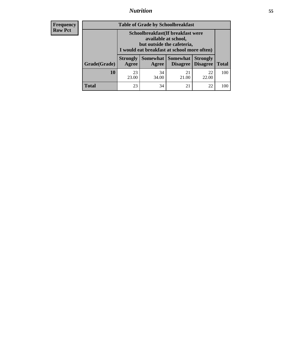# *Nutrition* **55**

| <b>Frequency</b> |
|------------------|
| - Row Pct        |

| <b>Table of Grade by Schoolbreakfast</b> |                                                                                                                                         |             |                               |                                    |              |  |
|------------------------------------------|-----------------------------------------------------------------------------------------------------------------------------------------|-------------|-------------------------------|------------------------------------|--------------|--|
|                                          | Schoolbreakfast (If breakfast were<br>available at school,<br>but outside the cafeteria,<br>I would eat breakfast at school more often) |             |                               |                                    |              |  |
| Grade(Grade)                             | <b>Strongly</b><br>Agree                                                                                                                | Agree       | Somewhat Somewhat<br>Disagree | <b>Strongly</b><br><b>Disagree</b> | <b>Total</b> |  |
| 10                                       | 23<br>23.00                                                                                                                             | 34<br>34.00 | 21<br>21.00                   | 22<br>22.00                        | 100          |  |
| <b>Total</b>                             | 23                                                                                                                                      | 34          | 21                            | 22                                 | 100          |  |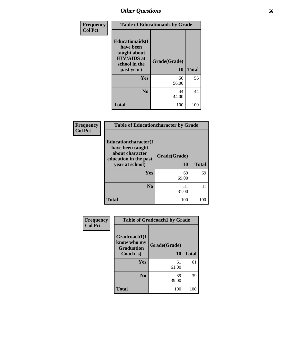| Frequency      | <b>Table of Educationaids by Grade</b>                                                                    |                    |              |  |
|----------------|-----------------------------------------------------------------------------------------------------------|--------------------|--------------|--|
| <b>Col Pct</b> | <b>Educationaids</b> (I<br>have been<br>taught about<br><b>HIV/AIDS</b> at<br>school in the<br>past year) | Grade(Grade)<br>10 | <b>Total</b> |  |
|                | Yes                                                                                                       | 56<br>56.00        | 56           |  |
|                | N <sub>0</sub>                                                                                            | 44<br>44.00        | 44           |  |
|                | <b>Total</b>                                                                                              | 100                | 100          |  |

| Frequency      | <b>Table of Educationcharacter by Grade</b>                                                             |                    |              |  |  |
|----------------|---------------------------------------------------------------------------------------------------------|--------------------|--------------|--|--|
| <b>Col Pct</b> | Educationcharacter(I<br>have been taught<br>about character<br>education in the past<br>year at school) | Grade(Grade)<br>10 | <b>Total</b> |  |  |
|                | <b>Yes</b>                                                                                              | 69<br>69.00        | 69           |  |  |
|                | N <sub>0</sub>                                                                                          | 31<br>31.00        | 31           |  |  |
|                | <b>Total</b>                                                                                            | 100                | 100          |  |  |

| Frequency      |                                                               | <b>Table of Gradcoach1 by Grade</b> |              |  |  |
|----------------|---------------------------------------------------------------|-------------------------------------|--------------|--|--|
| <b>Col Pct</b> | Gradcoach1(I<br>know who my<br><b>Graduation</b><br>Coach is) | Grade(Grade)<br>10                  | <b>Total</b> |  |  |
|                | Yes                                                           | 61<br>61.00                         | 61           |  |  |
|                | N <sub>0</sub>                                                | 39<br>39.00                         | 39           |  |  |
|                | <b>Total</b>                                                  | 100                                 | 100          |  |  |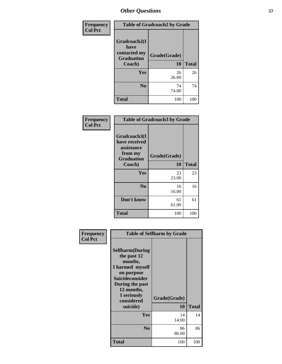| <b>Frequency</b> | <b>Table of Gradcoach2 by Grade</b>                                 |                    |              |  |
|------------------|---------------------------------------------------------------------|--------------------|--------------|--|
| <b>Col Pct</b>   | Gradcoach2(I<br>have<br>contacted my<br><b>Graduation</b><br>Coach) | Grade(Grade)<br>10 | <b>Total</b> |  |
|                  | Yes                                                                 | 26                 | 26           |  |
|                  |                                                                     | 26.00              |              |  |
|                  | N <sub>0</sub>                                                      | 74<br>74.00        | 74           |  |
|                  | <b>Total</b>                                                        | 100                | 100          |  |

| Frequency<br><b>Col Pct</b> | <b>Table of Gradcoach3 by Grade</b>                                         |              |              |
|-----------------------------|-----------------------------------------------------------------------------|--------------|--------------|
|                             | Gradcoach3(I<br>have received<br>assistance<br>from my<br><b>Graduation</b> | Grade(Grade) |              |
|                             | Coach)                                                                      | <b>10</b>    | <b>Total</b> |
|                             | Yes                                                                         | 23<br>23.00  | 23           |
|                             | N <sub>0</sub>                                                              | 16<br>16.00  | 16           |
|                             | Don't know                                                                  | 61<br>61.00  | 61           |
|                             | <b>Total</b>                                                                | 100          | 100          |

| Frequency      | <b>Table of Selfharm by Grade</b>                                                                                                                                               |                    |              |
|----------------|---------------------------------------------------------------------------------------------------------------------------------------------------------------------------------|--------------------|--------------|
| <b>Col Pct</b> | <b>Selfharm</b> (During<br>the past 12<br>months,<br>I harmed myself<br>on purpose<br>Suicideconsider<br>During the past<br>12 months,<br>I seriously<br>considered<br>suicide) | Grade(Grade)<br>10 | <b>Total</b> |
|                | Yes                                                                                                                                                                             | 14<br>14.00        | 14           |
|                | N <sub>0</sub>                                                                                                                                                                  | 86<br>86.00        | 86           |
|                | Total                                                                                                                                                                           | 100                | 100          |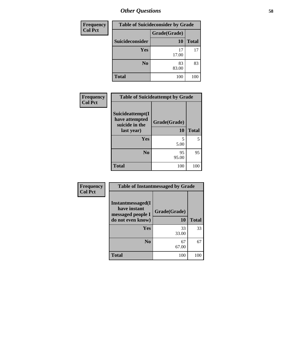| Frequency      |                 | <b>Table of Suicideconsider by Grade</b> |              |  |  |
|----------------|-----------------|------------------------------------------|--------------|--|--|
| <b>Col Pct</b> |                 | Grade(Grade)                             |              |  |  |
|                | Suicideconsider | 10                                       | <b>Total</b> |  |  |
|                | <b>Yes</b>      | 17<br>17.00                              | 17           |  |  |
|                | N <sub>0</sub>  | 83<br>83.00                              | 83           |  |  |
|                | <b>Total</b>    | 100                                      | 100          |  |  |

| Frequency      |                                                      | <b>Table of Suicideattempt by Grade</b> |              |
|----------------|------------------------------------------------------|-----------------------------------------|--------------|
| <b>Col Pct</b> | Suicideattempt(I<br>have attempted<br>suicide in the | Grade(Grade)                            |              |
|                | last year)                                           | 10                                      | <b>Total</b> |
|                | Yes                                                  | 5<br>5.00                               | 5            |
|                | N <sub>0</sub>                                       | 95<br>95.00                             | 95           |
|                | Total                                                | 100                                     | 100          |

| Frequency      | <b>Table of Instantmessaged by Grade</b>                                            |                    |                          |  |
|----------------|-------------------------------------------------------------------------------------|--------------------|--------------------------|--|
| <b>Col Pct</b> | <b>Instantmessaged</b> (I<br>have instant<br>messaged people I<br>do not even know) | Grade(Grade)<br>10 | <b>Total</b><br>33<br>67 |  |
|                | Yes                                                                                 | 33<br>33.00        |                          |  |
|                | N <sub>0</sub>                                                                      | 67<br>67.00        |                          |  |
|                | <b>Total</b>                                                                        | 100                | 100                      |  |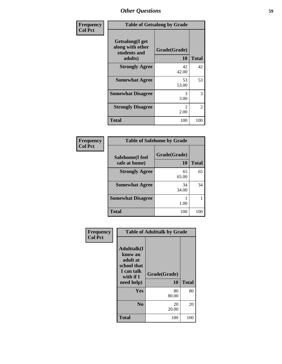| Frequency      | <b>Table of Getsalong by Grade</b>                             |                    |              |  |  |  |  |
|----------------|----------------------------------------------------------------|--------------------|--------------|--|--|--|--|
| <b>Col Pct</b> | Getsalong(I get<br>along with other<br>students and<br>adults) | Grade(Grade)<br>10 | <b>Total</b> |  |  |  |  |
|                | <b>Strongly Agree</b>                                          | 42<br>42.00        | 42           |  |  |  |  |
|                | <b>Somewhat Agree</b>                                          | 53<br>53.00        | 53           |  |  |  |  |
|                | <b>Somewhat Disagree</b>                                       | 3<br>3.00          | 3            |  |  |  |  |
|                | <b>Strongly Disagree</b>                                       | 2<br>2.00          | 2            |  |  |  |  |
|                | <b>Total</b>                                                   | 100                | 100          |  |  |  |  |

| Frequency      | <b>Table of Safehome by Grade</b> |                    |              |  |  |  |  |
|----------------|-----------------------------------|--------------------|--------------|--|--|--|--|
| <b>Col Pct</b> | Safehome(I feel<br>safe at home)  | Grade(Grade)<br>10 | <b>Total</b> |  |  |  |  |
|                | <b>Strongly Agree</b>             | 65<br>65.00        | 65           |  |  |  |  |
|                | <b>Somewhat Agree</b>             | 34<br>34.00        | 34           |  |  |  |  |
|                | <b>Somewhat Disagree</b>          | 1.00               |              |  |  |  |  |
|                | <b>Total</b>                      | 100                | 100          |  |  |  |  |

| Frequency<br><b>Col Pct</b> | <b>Table of Adulttalk by Grade</b>                                                                 |                    |              |  |  |  |
|-----------------------------|----------------------------------------------------------------------------------------------------|--------------------|--------------|--|--|--|
|                             | <b>Adulttalk</b> (I<br>know an<br>adult at<br>school that<br>I can talk<br>with if I<br>need help) | Grade(Grade)<br>10 | <b>Total</b> |  |  |  |
|                             | Yes                                                                                                | 80<br>80.00        | 80           |  |  |  |
|                             | N <sub>0</sub>                                                                                     | 20<br>20.00        | 20           |  |  |  |
|                             | <b>Total</b>                                                                                       | 100                | 100          |  |  |  |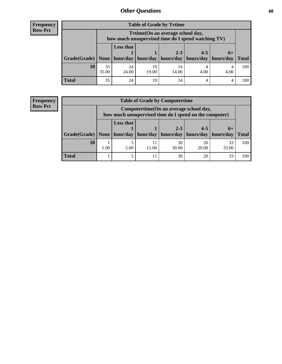| <b>Frequency</b> |
|------------------|
| <b>Row Pct</b>   |

| <b>Table of Grade by Tytime</b> |                                                                                                                                 |                                                                                        |             |             |      |              |     |
|---------------------------------|---------------------------------------------------------------------------------------------------------------------------------|----------------------------------------------------------------------------------------|-------------|-------------|------|--------------|-----|
|                                 |                                                                                                                                 | Tvtime(On an average school day,<br>how much unsupervised time do I spend watching TV) |             |             |      |              |     |
|                                 | <b>Less that</b><br>$2 - 3$<br>$4 - 5$<br>$6+$<br>Grade(Grade)   None   hour/day   hour/day   hours/day   hours/day   hours/day |                                                                                        |             |             |      | <b>Total</b> |     |
| 10                              | 35<br>35.00                                                                                                                     | 24<br>24.00                                                                            | 19<br>19.00 | 14<br>14.00 | 4.00 | 4.00         | 100 |
| <b>Total</b>                    | 35                                                                                                                              | 24                                                                                     | 19          | 14          |      |              | 100 |

## **Frequency Row Pct**

| <b>Table of Grade by Computertime</b> |                                                                                                                                         |      |             |             |             |              |     |
|---------------------------------------|-----------------------------------------------------------------------------------------------------------------------------------------|------|-------------|-------------|-------------|--------------|-----|
|                                       | Computertime (On an average school day,<br>how much unsupervised time do I spend on the computer)                                       |      |             |             |             |              |     |
|                                       | <b>Less that</b><br>$2 - 3$<br>$4 - 5$<br>$6+$<br>hours/day<br>Grade(Grade)   None   hour/day  <br>hour/day<br>hours/day<br>  hours/day |      |             |             |             | <b>Total</b> |     |
| 10                                    | 1.00                                                                                                                                    | 5.00 | 11<br>11.00 | 30<br>30.00 | 20<br>20.00 | 33<br>33.00  | 100 |
| <b>Total</b>                          |                                                                                                                                         |      | 11          | 30          | 20          | 33           | 100 |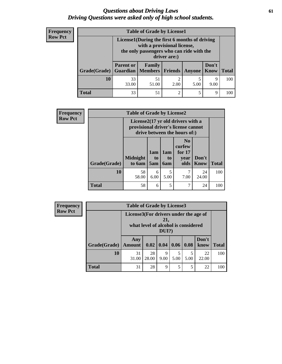## *Questions about Driving Laws* **61** *Driving Questions were asked only of high school students.*

| <b>Frequency</b> |
|------------------|
| <b>Row Pct</b>   |

| <b>Table of Grade by License1</b> |                                                                                                                                           |                                                                                            |                        |           |           |     |  |  |  |
|-----------------------------------|-------------------------------------------------------------------------------------------------------------------------------------------|--------------------------------------------------------------------------------------------|------------------------|-----------|-----------|-----|--|--|--|
|                                   | License1(During the first 6 months of driving<br>with a provisional license,<br>the only passengers who can ride with the<br>driver are:) |                                                                                            |                        |           |           |     |  |  |  |
| Grade(Grade)                      | <b>Parent or</b>                                                                                                                          | Don't<br>Family<br>Guardian   Members   Friends  <br><b>Total</b><br><b>Know</b><br>Anyone |                        |           |           |     |  |  |  |
| 10                                | 33<br>33.00                                                                                                                               | 51<br>51.00                                                                                | $\mathfrak{D}$<br>2.00 | 5<br>5.00 | 9<br>9.00 | 100 |  |  |  |
| Total                             | 33                                                                                                                                        | 51                                                                                         | $\overline{2}$         | 5         | 9         | 100 |  |  |  |

| Frequency      | <b>Table of Grade by License2</b> |                           |                  |                  |                                                                                                          |               |              |
|----------------|-----------------------------------|---------------------------|------------------|------------------|----------------------------------------------------------------------------------------------------------|---------------|--------------|
| <b>Row Pct</b> |                                   |                           |                  |                  | License2(17 yr old drivers with a<br>provisional driver's license cannot<br>drive between the hours of:) |               |              |
|                | Grade(Grade)                      | <b>Midnight</b><br>to 6am | 1am<br>to<br>5am | 1am<br>to<br>6am | N <sub>0</sub><br>curfew<br>for $17$<br>year<br>olds                                                     | Don't<br>Know | <b>Total</b> |
|                | 10                                | 58<br>58.00               | 6<br>6.00        | 5.00             | 7<br>7.00                                                                                                | 24<br>24.00   | 100          |
|                | <b>Total</b>                      | 58                        | 6                | 5                | 7                                                                                                        | 24            | 100          |

| Frequency      | <b>Table of Grade by License3</b> |                      |                                                                                              |                           |      |           |               |              |
|----------------|-----------------------------------|----------------------|----------------------------------------------------------------------------------------------|---------------------------|------|-----------|---------------|--------------|
| <b>Row Pct</b> |                                   |                      | License3(For drivers under the age of<br>21,<br>what level of alcohol is considered<br>DUI?) |                           |      |           |               |              |
|                | Grade(Grade)                      | Any<br><b>Amount</b> |                                                                                              | 0.02   0.04   0.06   0.08 |      |           | Don't<br>know | <b>Total</b> |
|                | 10                                | 31<br>31.00          | 28<br>28.00                                                                                  | 9<br>9.00                 | 5.00 | 5<br>5.00 | 22<br>22.00   | 100          |
|                | <b>Total</b>                      | 31                   | 28                                                                                           | 9                         | 5    | 5         | 22            | 100          |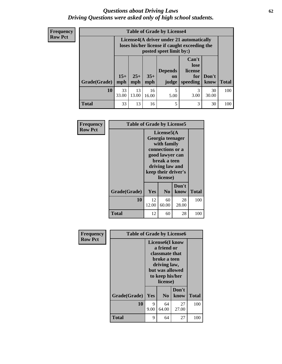## *Questions about Driving Laws* **62** *Driving Questions were asked only of high school students.*

**Frequency Row Pct**

| <b>Table of Grade by License4</b> |              |                                                                                                                                                      |             |           |           |             |     |  |  |
|-----------------------------------|--------------|------------------------------------------------------------------------------------------------------------------------------------------------------|-------------|-----------|-----------|-------------|-----|--|--|
|                                   |              | License4(A driver under 21 automatically<br>loses his/her license if caught exceeding the<br>posted speet limit by:)                                 |             |           |           |             |     |  |  |
| Grade(Grade)                      | $15+$<br>mph | Can't<br>lose<br><b>Depends</b><br>license<br>$35+$<br>$25+$<br>Don't<br>for<br><b>on</b><br><b>Total</b><br>mph<br>speeding<br>know<br>mph<br>judge |             |           |           |             |     |  |  |
| 10                                | 33<br>33.00  | 13<br>13.00                                                                                                                                          | 16<br>16.00 | 5<br>5.00 | 3<br>3.00 | 30<br>30.00 | 100 |  |  |
| Total                             | 33           | 13                                                                                                                                                   | 16          | 5         | 3         | 30          | 100 |  |  |

| Frequency      | <b>Table of Grade by License5</b> |             |                                                                                                                                                             |               |              |
|----------------|-----------------------------------|-------------|-------------------------------------------------------------------------------------------------------------------------------------------------------------|---------------|--------------|
| <b>Row Pct</b> |                                   |             | License5(A)<br>Georgia teenager<br>with family<br>connections or a<br>good lawyer can<br>break a teen<br>driving law and<br>keep their driver's<br>license) |               |              |
|                | Grade(Grade)                      | Yes         | N <sub>0</sub>                                                                                                                                              | Don't<br>know | <b>Total</b> |
|                | 10                                | 12<br>12.00 | 60<br>60.00                                                                                                                                                 | 28<br>28.00   | 100          |
|                | <b>Total</b>                      | 12          | 60                                                                                                                                                          | 28            | 100          |

|       |              | <b>License6(I know</b><br>a friend or<br>classmate that<br>broke a teen<br>driving law,<br>but was allowed<br>to keep his/her<br>license) |                |                                           |  |  |
|-------|--------------|-------------------------------------------------------------------------------------------------------------------------------------------|----------------|-------------------------------------------|--|--|
|       | Don't        |                                                                                                                                           |                | <b>Total</b>                              |  |  |
|       |              |                                                                                                                                           |                |                                           |  |  |
| 10    | 9<br>9.00    | 64<br>64.00                                                                                                                               | 27<br>27.00    | 100                                       |  |  |
| Total | 9            | 64                                                                                                                                        | 27             | 100                                       |  |  |
|       | Grade(Grade) | Yes                                                                                                                                       | N <sub>0</sub> | <b>Table of Grade by License6</b><br>know |  |  |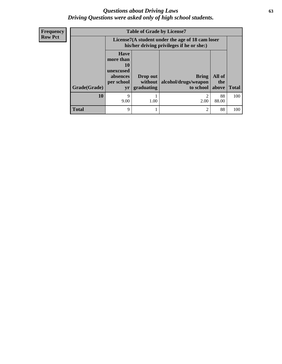## *Questions about Driving Laws* **63** *Driving Questions were asked only of high school students.*

**Frequency Row Pct**

| <b>Table of Grade by License7</b> |                                                                       |                                                                                               |                                   |              |              |  |  |  |
|-----------------------------------|-----------------------------------------------------------------------|-----------------------------------------------------------------------------------------------|-----------------------------------|--------------|--------------|--|--|--|
|                                   |                                                                       | License7(A student under the age of 18 cam loser<br>his/her driving privileges if he or she:) |                                   |              |              |  |  |  |
|                                   | <b>Have</b><br>more than<br>10<br>unexcused<br>absences<br>per school | All of<br>Drop out<br><b>Bring</b>                                                            |                                   |              |              |  |  |  |
| Grade(Grade)                      | yr                                                                    | without<br>graduating                                                                         | alcohol/drugs/weapon<br>to school | the<br>above | <b>Total</b> |  |  |  |
| 10                                | 9<br>9.00                                                             | 1.00                                                                                          | っ<br>2.00                         | 88<br>88.00  | 100          |  |  |  |
| <b>Total</b>                      | 9                                                                     |                                                                                               | $\overline{c}$                    | 88           | 100          |  |  |  |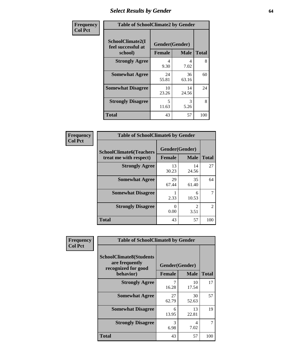# *Select Results by Gender* **64**

| Frequency      | <b>Table of SchoolClimate2 by Gender</b>          |                                 |             |              |  |  |  |
|----------------|---------------------------------------------------|---------------------------------|-------------|--------------|--|--|--|
| <b>Col Pct</b> | SchoolClimate2(I<br>feel successful at<br>school) | Gender(Gender)<br><b>Female</b> | <b>Male</b> | <b>Total</b> |  |  |  |
|                | <b>Strongly Agree</b>                             | 4<br>9.30                       | 4<br>7.02   | 8            |  |  |  |
|                | <b>Somewhat Agree</b>                             | 24<br>55.81                     | 36<br>63.16 | 60           |  |  |  |
|                | <b>Somewhat Disagree</b>                          | 10<br>23.26                     | 14<br>24.56 | 24           |  |  |  |
|                | <b>Strongly Disagree</b>                          | 5<br>11.63                      | 3<br>5.26   | 8            |  |  |  |
|                | <b>Total</b>                                      | 43                              | 57          | 100          |  |  |  |

| Frequency      | <b>Table of SchoolClimate6 by Gender</b>                 |                                 |                        |                |  |  |  |  |
|----------------|----------------------------------------------------------|---------------------------------|------------------------|----------------|--|--|--|--|
| <b>Col Pct</b> | <b>SchoolClimate6(Teachers</b><br>treat me with respect) | Gender(Gender)<br><b>Female</b> | <b>Male</b>            | <b>Total</b>   |  |  |  |  |
|                | <b>Strongly Agree</b>                                    | 13<br>30.23                     | 14<br>24.56            | 27             |  |  |  |  |
|                | <b>Somewhat Agree</b>                                    | 29<br>67.44                     | 35<br>61.40            | 64             |  |  |  |  |
|                | <b>Somewhat Disagree</b>                                 | 2.33                            | 6<br>10.53             |                |  |  |  |  |
|                | <b>Strongly Disagree</b>                                 | $\mathbf{0}$<br>0.00            | $\mathfrak{D}$<br>3.51 | $\overline{2}$ |  |  |  |  |
|                | <b>Total</b>                                             | 43                              | 57                     | 100            |  |  |  |  |

| <b>Frequency</b> | <b>Table of SchoolClimate8 by Gender</b>                                |                |             |              |  |  |
|------------------|-------------------------------------------------------------------------|----------------|-------------|--------------|--|--|
| <b>Col Pct</b>   | <b>SchoolClimate8(Students</b><br>are frequently<br>recognized for good | Gender(Gender) |             |              |  |  |
|                  | behavior)                                                               | <b>Female</b>  | <b>Male</b> | <b>Total</b> |  |  |
|                  | <b>Strongly Agree</b>                                                   | 7<br>16.28     | 10<br>17.54 | 17           |  |  |
|                  | <b>Somewhat Agree</b>                                                   | 27<br>62.79    | 30<br>52.63 | 57           |  |  |
|                  | <b>Somewhat Disagree</b>                                                | 6<br>13.95     | 13<br>22.81 | 19           |  |  |
|                  | <b>Strongly Disagree</b>                                                | 3<br>6.98      | 4<br>7.02   | 7            |  |  |
|                  | Total                                                                   | 43             | 57          | 100          |  |  |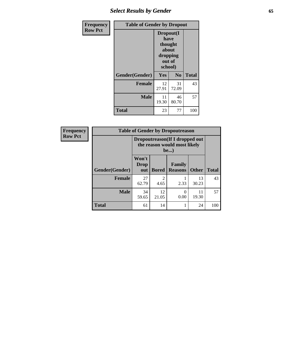# *Select Results by Gender* **65**

| <b>Frequency</b> | <b>Table of Gender by Dropout</b> |                                                                        |                |              |  |  |
|------------------|-----------------------------------|------------------------------------------------------------------------|----------------|--------------|--|--|
| <b>Row Pct</b>   |                                   | Dropout(I<br>have<br>thought<br>about<br>dropping<br>out of<br>school) |                |              |  |  |
|                  | Gender(Gender)                    | Yes                                                                    | N <sub>0</sub> | <b>Total</b> |  |  |
|                  | <b>Female</b>                     | 12<br>27.91                                                            | 31<br>72.09    | 43           |  |  |
|                  | <b>Male</b>                       | 11<br>19.30                                                            | 46<br>80.70    | 57           |  |  |
|                  | <b>Total</b>                      | 23                                                                     | 77             | 100          |  |  |

| Frequency      |                |                                                                 | <b>Table of Gender by Dropoutreason</b> |                          |              |              |
|----------------|----------------|-----------------------------------------------------------------|-----------------------------------------|--------------------------|--------------|--------------|
| <b>Row Pct</b> |                | Dropoutreason (If I dropped out<br>the reason would most likely |                                         |                          |              |              |
|                | Gender(Gender) | Won't<br><b>Drop</b><br>out                                     | <b>Bored</b>                            | Family<br><b>Reasons</b> | <b>Other</b> | <b>Total</b> |
|                | <b>Female</b>  | 27<br>62.79                                                     | $\mathfrak{D}$<br>4.65                  | 2.33                     | 13<br>30.23  | 43           |
|                | <b>Male</b>    | 34<br>59.65                                                     | 12<br>21.05                             | 0<br>0.00                | 11<br>19.30  | 57           |
|                | <b>Total</b>   | 61                                                              | 14                                      |                          | 24           | 100          |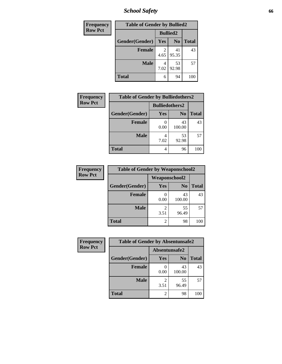*School Safety* **66**

| <b>Frequency</b> | <b>Table of Gender by Bullied2</b> |      |                 |              |
|------------------|------------------------------------|------|-----------------|--------------|
| <b>Row Pct</b>   |                                    |      | <b>Bullied2</b> |              |
|                  | Gender(Gender)                     | Yes  | N <sub>0</sub>  | <b>Total</b> |
|                  | <b>Female</b>                      | 4.65 | 41<br>95.35     | 43           |
|                  | <b>Male</b>                        | 7.02 | 53<br>92.98     | 57           |
|                  | <b>Total</b>                       | 6    | 94              | 100          |

| Frequency      | <b>Table of Gender by Bulliedothers2</b> |                       |                |              |
|----------------|------------------------------------------|-----------------------|----------------|--------------|
| <b>Row Pct</b> |                                          | <b>Bulliedothers2</b> |                |              |
|                | Gender(Gender)                           | <b>Yes</b>            | N <sub>0</sub> | <b>Total</b> |
|                | <b>Female</b>                            | 0.00                  | 43<br>100.00   | 43           |
|                | <b>Male</b>                              | 4<br>7.02             | 53<br>92.98    | 57           |
|                | <b>Total</b>                             | 4                     | 96             | 100          |

| Frequency      | <b>Table of Gender by Weaponschool2</b> |                      |                |              |  |  |
|----------------|-----------------------------------------|----------------------|----------------|--------------|--|--|
| <b>Row Pct</b> |                                         | <b>Weaponschool2</b> |                |              |  |  |
|                | Gender(Gender)                          | Yes                  | N <sub>0</sub> | <b>Total</b> |  |  |
|                | <b>Female</b>                           | 0.00                 | 43<br>100.00   | 43           |  |  |
|                | <b>Male</b>                             | 3.51                 | 55<br>96.49    | 57           |  |  |
|                | <b>Total</b>                            | 2                    | 98             | 100          |  |  |

| Frequency      | <b>Table of Gender by Absentunsafe2</b> |               |                |              |
|----------------|-----------------------------------------|---------------|----------------|--------------|
| <b>Row Pct</b> |                                         | Absentunsafe2 |                |              |
|                | Gender(Gender)                          | Yes           | N <sub>0</sub> | <b>Total</b> |
|                | <b>Female</b>                           | 0.00          | 43<br>100.00   | 43           |
|                | <b>Male</b>                             | 3.51          | 55<br>96.49    | 57           |
|                | <b>Total</b>                            |               | 98             | 100          |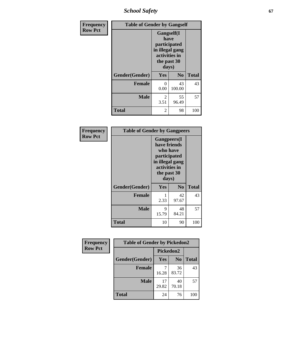*School Safety* **67**

| Frequency      | <b>Table of Gender by Gangself</b> |                                                                                                |                |              |
|----------------|------------------------------------|------------------------------------------------------------------------------------------------|----------------|--------------|
| <b>Row Pct</b> |                                    | Gangself(I<br>have<br>participated<br>in illegal gang<br>activities in<br>the past 30<br>days) |                |              |
|                | Gender(Gender)                     | Yes                                                                                            | N <sub>0</sub> | <b>Total</b> |
|                | <b>Female</b>                      | 0<br>0.00                                                                                      | 43<br>100.00   | 43           |
|                | <b>Male</b>                        | 2<br>3.51                                                                                      | 55<br>96.49    | 57           |
|                | <b>Total</b>                       | 2                                                                                              | 98             | 100          |

| Frequency      | <b>Table of Gender by Gangpeers</b> |                                                                                                                             |                |              |
|----------------|-------------------------------------|-----------------------------------------------------------------------------------------------------------------------------|----------------|--------------|
| <b>Row Pct</b> |                                     | <b>Gangpeers</b> (I<br>have friends<br>who have<br>participated<br>in illegal gang<br>activities in<br>the past 30<br>days) |                |              |
|                | Gender(Gender)                      | <b>Yes</b>                                                                                                                  | N <sub>0</sub> | <b>Total</b> |
|                | <b>Female</b>                       | 2.33                                                                                                                        | 42<br>97.67    | 43           |
|                | <b>Male</b>                         | 9<br>15.79                                                                                                                  | 48<br>84.21    | 57           |
|                | <b>Total</b>                        | 10                                                                                                                          | 90             | 100          |

| Frequency      | <b>Table of Gender by Pickedon2</b> |             |                |              |
|----------------|-------------------------------------|-------------|----------------|--------------|
| <b>Row Pct</b> |                                     | Pickedon2   |                |              |
|                | Gender(Gender)                      | <b>Yes</b>  | N <sub>0</sub> | <b>Total</b> |
|                | <b>Female</b>                       | 16.28       | 36<br>83.72    | 43           |
|                | <b>Male</b>                         | 17<br>29.82 | 40<br>70.18    | 57           |
|                | <b>Total</b>                        | 24          | 76             | 100          |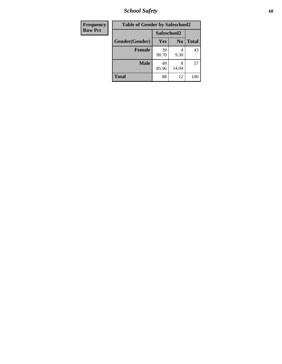*School Safety* **68**

| Frequency      | <b>Table of Gender by Safeschool2</b> |                              |            |              |  |
|----------------|---------------------------------------|------------------------------|------------|--------------|--|
| <b>Row Pct</b> | Safeschool2                           |                              |            |              |  |
|                | Gender(Gender)                        | N <sub>0</sub><br><b>Yes</b> |            | <b>Total</b> |  |
|                | <b>Female</b>                         | 39<br>90.70                  | 4<br>9.30  | 43           |  |
|                | <b>Male</b>                           | 49<br>85.96                  | 8<br>14.04 | 57           |  |
|                | <b>Total</b>                          | 88                           | 12         | 100          |  |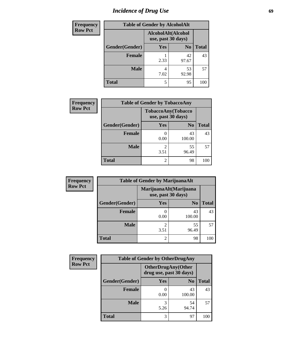# *Incidence of Drug Use* 69

| <b>Frequency</b> | <b>Table of Gender by AlcoholAlt</b>     |           |                |              |
|------------------|------------------------------------------|-----------|----------------|--------------|
| <b>Row Pct</b>   | AlcoholAlt(Alcohol<br>use, past 30 days) |           |                |              |
|                  | Gender(Gender)                           | Yes       | N <sub>0</sub> | <b>Total</b> |
|                  | Female                                   | 2.33      | 42<br>97.67    | 43           |
|                  | <b>Male</b>                              | 4<br>7.02 | 53<br>92.98    | 57           |
|                  | <b>Total</b>                             | 5         | 95             | 100          |

| <b>Frequency</b> | <b>Table of Gender by TobaccoAny</b> |                                          |                |              |
|------------------|--------------------------------------|------------------------------------------|----------------|--------------|
| <b>Row Pct</b>   |                                      | TobaccoAny(Tobacco<br>use, past 30 days) |                |              |
|                  | Gender(Gender)                       | <b>Yes</b>                               | N <sub>0</sub> | <b>Total</b> |
|                  | <b>Female</b>                        | 0.00                                     | 43<br>100.00   | 43           |
|                  | <b>Male</b>                          | $\overline{2}$<br>3.51                   | 55<br>96.49    | 57           |
|                  | <b>Total</b>                         | $\overline{2}$                           | 98             | 100          |

| <b>Frequency</b> | <b>Table of Gender by MarijuanaAlt</b> |                                              |                |       |
|------------------|----------------------------------------|----------------------------------------------|----------------|-------|
| <b>Row Pct</b>   |                                        | MarijuanaAlt(Marijuana<br>use, past 30 days) |                |       |
|                  | Gender(Gender)                         | <b>Yes</b>                                   | N <sub>0</sub> | Total |
|                  | Female                                 | 0.00                                         | 43<br>100.00   | 43    |
|                  | <b>Male</b>                            | 2<br>3.51                                    | 55<br>96.49    | 57    |
|                  | <b>Total</b>                           | $\overline{2}$                               | 98             | 100   |

| <b>Frequency</b> | <b>Table of Gender by OtherDrugAny</b> |                         |                           |              |  |
|------------------|----------------------------------------|-------------------------|---------------------------|--------------|--|
| <b>Row Pct</b>   |                                        | drug use, past 30 days) | <b>OtherDrugAny(Other</b> |              |  |
|                  | Gender(Gender)                         | <b>Yes</b>              | N <sub>0</sub>            | <b>Total</b> |  |
|                  | <b>Female</b>                          | 0.00                    | 43<br>100.00              | 43           |  |
|                  | <b>Male</b>                            | 3<br>5.26               | 54<br>94.74               | 57           |  |
|                  | <b>Total</b>                           | 3                       | 97                        | 100          |  |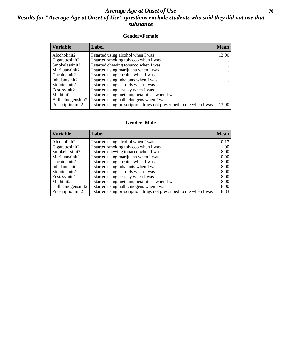## *Average Age at Onset of Use* 70 *Results for "Average Age at Onset of Use" questions exclude students who said they did not use that substance*

### **Gender=Female**

| <b>Variable</b>    | Label                                                              | <b>Mean</b> |
|--------------------|--------------------------------------------------------------------|-------------|
| Alcoholinit2       | I started using alcohol when I was                                 | 13.00       |
| Cigarettesinit2    | I started smoking tobacco when I was                               |             |
| Smokelessinit2     | I started chewing tobacco when I was                               |             |
| Marijuanainit2     | I started using marijuana when I was                               |             |
| Cocaineinit2       | I started using cocaine when I was                                 |             |
| Inhalantsinit2     | I started using inhalants when I was                               |             |
| Steroidsinit2      | I started using steroids when I was                                |             |
| Ecstasyinit2       | I started using ecstasy when I was                                 |             |
| Methinit2          | I started using methamphetamines when I was                        |             |
| Hallucinogensinit2 | I started using hallucinogens when I was                           |             |
| Prescription in t2 | I started using prescription drugs not prescribed to me when I was | 13.00       |

### **Gender=Male**

| <b>Variable</b>                 | Label                                                              | <b>Mean</b> |
|---------------------------------|--------------------------------------------------------------------|-------------|
| Alcoholinit2                    | I started using alcohol when I was                                 | 10.17       |
| Cigarettesinit2                 | I started smoking tobacco when I was                               | 11.00       |
| Smokelessinit2                  | I started chewing tobacco when I was                               | 8.00        |
| Marijuanainit2                  | I started using marijuana when I was                               | 10.00       |
| Cocaineinit2                    | I started using cocaine when I was                                 | 8.00        |
| Inhalantsinit2                  | I started using inhalants when I was                               | 8.00        |
| Steroidsinit2                   | I started using steroids when I was                                | 8.00        |
| Ecstasyinit2                    | I started using ecstasy when I was                                 | 8.00        |
| Methinit2                       | I started using methamphetamines when I was                        | 8.00        |
| Hallucinogensinit2              | I started using hallucinogens when I was                           | 8.00        |
| Prescription in it <sub>2</sub> | I started using prescription drugs not prescribed to me when I was | 8.33        |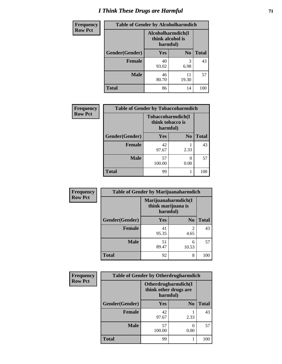# *I Think These Drugs are Harmful* **71**

| <b>Frequency</b> | <b>Table of Gender by Alcoholharmdich</b> |                                                   |                |              |
|------------------|-------------------------------------------|---------------------------------------------------|----------------|--------------|
| <b>Row Pct</b>   |                                           | Alcoholharmdich(I<br>think alcohol is<br>harmful) |                |              |
|                  | Gender(Gender)                            | <b>Yes</b>                                        | N <sub>0</sub> | <b>Total</b> |
|                  | <b>Female</b>                             | 40<br>93.02                                       | 3<br>6.98      | 43           |
|                  | <b>Male</b>                               | 46<br>80.70                                       | 11<br>19.30    | 57           |
|                  | <b>Total</b>                              | 86                                                | 14             | 100          |

| Frequency      | <b>Table of Gender by Tobaccoharmdich</b> |                                                   |                |              |
|----------------|-------------------------------------------|---------------------------------------------------|----------------|--------------|
| <b>Row Pct</b> |                                           | Tobaccoharmdich(I<br>think tobacco is<br>harmful) |                |              |
|                | Gender(Gender)                            | <b>Yes</b>                                        | N <sub>0</sub> | <b>Total</b> |
|                | <b>Female</b>                             | 42<br>97.67                                       | 2.33           | 43           |
|                | <b>Male</b>                               | 57<br>100.00                                      | 0.00           | 57           |
|                | Total                                     | 99                                                |                |              |

| Frequency      | <b>Table of Gender by Marijuanaharmdich</b> |                                                       |                        |              |
|----------------|---------------------------------------------|-------------------------------------------------------|------------------------|--------------|
| <b>Row Pct</b> |                                             | Marijuanaharmdich(I<br>think marijuana is<br>harmful) |                        |              |
|                | Gender(Gender)                              | <b>Yes</b>                                            | N <sub>0</sub>         | <b>Total</b> |
|                | <b>Female</b>                               | 41<br>95.35                                           | $\overline{2}$<br>4.65 | 43           |
|                | <b>Male</b>                                 | 51<br>89.47                                           | 6<br>10.53             | 57           |
|                | <b>Total</b>                                | 92                                                    | 8                      | 100          |

| Frequency      | <b>Table of Gender by Otherdrugharmdich</b> |                                                          |                |              |
|----------------|---------------------------------------------|----------------------------------------------------------|----------------|--------------|
| <b>Row Pct</b> |                                             | Otherdrugharmdich(I<br>think other drugs are<br>harmful) |                |              |
|                | Gender(Gender)                              | <b>Yes</b>                                               | N <sub>0</sub> | <b>Total</b> |
|                | <b>Female</b>                               | 42<br>97.67                                              | 2.33           | 43           |
|                | <b>Male</b>                                 | 57<br>100.00                                             | 0.00           | 57           |
|                | <b>Total</b>                                | 99                                                       |                | 100          |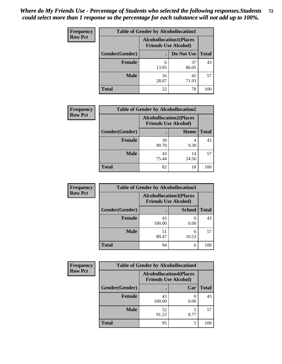| <b>Frequency</b> | <b>Table of Gender by Alcohollocation1</b> |                                                               |             |              |
|------------------|--------------------------------------------|---------------------------------------------------------------|-------------|--------------|
| <b>Row Pct</b>   |                                            | <b>Alcohollocation1(Places</b><br><b>Friends Use Alcohol)</b> |             |              |
|                  | Gender(Gender)                             |                                                               | Do Not Use  | <b>Total</b> |
|                  | <b>Female</b>                              | 6<br>13.95                                                    | 37<br>86.05 | 43           |
|                  | <b>Male</b>                                | 16<br>28.07                                                   | 41<br>71.93 | 57           |
|                  | <b>Total</b>                               | 22                                                            | 78          | 100          |

| <b>Frequency</b> | <b>Table of Gender by Alcohollocation2</b> |                                                               |             |              |
|------------------|--------------------------------------------|---------------------------------------------------------------|-------------|--------------|
| <b>Row Pct</b>   |                                            | <b>Alcohollocation2(Places</b><br><b>Friends Use Alcohol)</b> |             |              |
|                  | Gender(Gender)                             |                                                               | Home        | <b>Total</b> |
|                  | Female                                     | 39<br>90.70                                                   | 9.30        | 43           |
|                  | <b>Male</b>                                | 43<br>75.44                                                   | 14<br>24.56 | 57           |
|                  | <b>Total</b>                               | 82                                                            | 18          | 100          |

| Frequency      | <b>Table of Gender by Alcohollocation3</b> |                                                               |               |              |
|----------------|--------------------------------------------|---------------------------------------------------------------|---------------|--------------|
| <b>Row Pct</b> |                                            | <b>Alcohollocation3(Places</b><br><b>Friends Use Alcohol)</b> |               |              |
|                | Gender(Gender)                             |                                                               | <b>School</b> | <b>Total</b> |
|                | <b>Female</b>                              | 43<br>100.00                                                  | 0.00          | 43           |
|                | <b>Male</b>                                | 51<br>89.47                                                   | 6<br>10.53    | 57           |
|                | <b>Total</b>                               | 94                                                            | 6             | 100          |

| <b>Frequency</b> | <b>Table of Gender by Alcohollocation4</b> |                                                               |      |              |
|------------------|--------------------------------------------|---------------------------------------------------------------|------|--------------|
| <b>Row Pct</b>   |                                            | <b>Alcohollocation4(Places</b><br><b>Friends Use Alcohol)</b> |      |              |
|                  | Gender(Gender)                             |                                                               | Car  | <b>Total</b> |
|                  | <b>Female</b>                              | 43<br>100.00                                                  | 0.00 | 43           |
|                  | <b>Male</b>                                | 52<br>91.23                                                   | 8.77 | 57           |
|                  | <b>Total</b>                               | 95                                                            |      | 100          |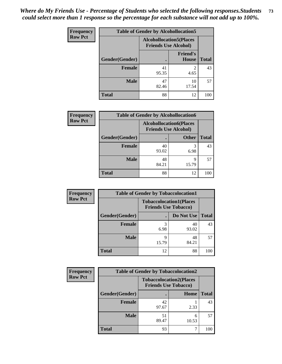| <b>Frequency</b> | <b>Table of Gender by Alcohollocation5</b> |             |                                                                |              |
|------------------|--------------------------------------------|-------------|----------------------------------------------------------------|--------------|
| <b>Row Pct</b>   |                                            |             | <b>Alcohollocation5</b> (Places<br><b>Friends Use Alcohol)</b> |              |
|                  | Gender(Gender)                             |             | <b>Friend's</b><br><b>House</b>                                | <b>Total</b> |
|                  | <b>Female</b>                              | 41<br>95.35 | $\mathfrak{D}$<br>4.65                                         | 43           |
|                  | <b>Male</b>                                | 47<br>82.46 | 10<br>17.54                                                    | 57           |
|                  | <b>Total</b>                               | 88          | 12                                                             | 100          |

| Frequency      | <b>Table of Gender by Alcohollocation6</b> |                                                               |              |              |  |
|----------------|--------------------------------------------|---------------------------------------------------------------|--------------|--------------|--|
| <b>Row Pct</b> |                                            | <b>Alcohollocation6(Places</b><br><b>Friends Use Alcohol)</b> |              |              |  |
|                | Gender(Gender)                             |                                                               | <b>Other</b> | <b>Total</b> |  |
|                | <b>Female</b>                              | 40<br>93.02                                                   | 3<br>6.98    | 43           |  |
|                | <b>Male</b>                                | 48<br>84.21                                                   | q<br>15.79   | 57           |  |
|                | <b>Total</b>                               | 88                                                            | 12           | 100          |  |

| Frequency      | <b>Table of Gender by Tobaccolocation1</b> |                                                               |             |              |
|----------------|--------------------------------------------|---------------------------------------------------------------|-------------|--------------|
| <b>Row Pct</b> |                                            | <b>Tobaccolocation1(Places</b><br><b>Friends Use Tobacco)</b> |             |              |
|                | Gender(Gender)                             |                                                               | Do Not Use  | <b>Total</b> |
|                | Female                                     | 6.98                                                          | 40<br>93.02 | 43           |
|                | <b>Male</b>                                | 15.79                                                         | 48<br>84.21 | 57           |
|                | <b>Total</b>                               | 12                                                            | 88          | 100          |

| <b>Frequency</b> | <b>Table of Gender by Tobaccolocation2</b> |             |                                                               |              |
|------------------|--------------------------------------------|-------------|---------------------------------------------------------------|--------------|
| <b>Row Pct</b>   |                                            |             | <b>Tobaccolocation2(Places</b><br><b>Friends Use Tobacco)</b> |              |
|                  | Gender(Gender)                             |             | Home                                                          | <b>Total</b> |
|                  | Female                                     | 42<br>97.67 | 2.33                                                          | 43           |
|                  | <b>Male</b>                                | 51<br>89.47 | 6<br>10.53                                                    | 57           |
|                  | <b>Total</b>                               | 93          |                                                               | 100          |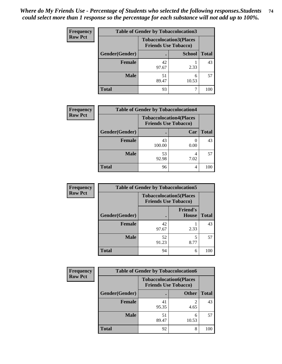| <b>Frequency</b> | <b>Table of Gender by Tobaccolocation3</b> |             |                                                               |              |
|------------------|--------------------------------------------|-------------|---------------------------------------------------------------|--------------|
| <b>Row Pct</b>   |                                            |             | <b>Tobaccolocation3(Places</b><br><b>Friends Use Tobacco)</b> |              |
|                  | Gender(Gender)                             |             | <b>School</b>                                                 | <b>Total</b> |
|                  | Female                                     | 42<br>97.67 | 2.33                                                          | 43           |
|                  | <b>Male</b>                                | 51<br>89.47 | 10.53                                                         | 57           |
|                  | <b>Total</b>                               | 93          |                                                               | 100          |

| <b>Frequency</b> | <b>Table of Gender by Tobaccolocation4</b> |                                                               |      |              |
|------------------|--------------------------------------------|---------------------------------------------------------------|------|--------------|
| <b>Row Pct</b>   |                                            | <b>Tobaccolocation4(Places</b><br><b>Friends Use Tobacco)</b> |      |              |
|                  | Gender(Gender)                             |                                                               | Car  | <b>Total</b> |
|                  | Female                                     | 43<br>100.00                                                  | 0.00 | 43           |
|                  | <b>Male</b>                                | 53<br>92.98                                                   | 7.02 | 57           |
|                  | <b>Total</b>                               | 96                                                            | 4    | 100          |

| <b>Frequency</b> | <b>Table of Gender by Tobaccolocation5</b> |                                                               |                                 |              |
|------------------|--------------------------------------------|---------------------------------------------------------------|---------------------------------|--------------|
| <b>Row Pct</b>   |                                            | <b>Tobaccolocation5(Places</b><br><b>Friends Use Tobacco)</b> |                                 |              |
|                  | Gender(Gender)                             |                                                               | <b>Friend's</b><br><b>House</b> | <b>Total</b> |
|                  | Female                                     | 42<br>97.67                                                   | 2.33                            | 43           |
|                  | <b>Male</b>                                | 52<br>91.23                                                   | 5<br>8.77                       | 57           |
|                  | <b>Total</b>                               | 94                                                            | 6                               | 100          |

| <b>Frequency</b> | <b>Table of Gender by Tobaccolocation6</b> |             |                                                               |              |
|------------------|--------------------------------------------|-------------|---------------------------------------------------------------|--------------|
| <b>Row Pct</b>   |                                            |             | <b>Tobaccolocation6(Places</b><br><b>Friends Use Tobacco)</b> |              |
|                  | Gender(Gender)                             |             | <b>Other</b>                                                  | <b>Total</b> |
|                  | Female                                     | 41<br>95.35 | 4.65                                                          | 43           |
|                  | <b>Male</b>                                | 51<br>89.47 | 10.53                                                         | 57           |
|                  | <b>Total</b>                               | 92          | 8                                                             | 100          |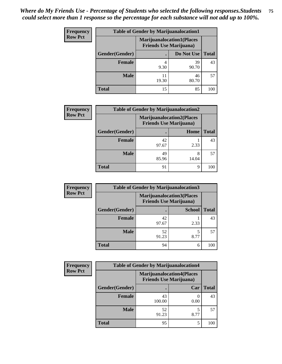| <b>Frequency</b> | <b>Table of Gender by Marijuanalocation1</b> |                                                                    |             |              |
|------------------|----------------------------------------------|--------------------------------------------------------------------|-------------|--------------|
| <b>Row Pct</b>   |                                              | <b>Marijuanalocation1(Places</b><br><b>Friends Use Marijuana</b> ) |             |              |
|                  | Gender(Gender)                               |                                                                    | Do Not Use  | <b>Total</b> |
|                  | <b>Female</b>                                | 9.30                                                               | 39<br>90.70 | 43           |
|                  | <b>Male</b>                                  | 11<br>19.30                                                        | 46<br>80.70 | 57           |
|                  | <b>Total</b>                                 | 15                                                                 | 85          | 100          |

| <b>Frequency</b> | <b>Table of Gender by Marijuanalocation2</b> |                                                                    |            |              |
|------------------|----------------------------------------------|--------------------------------------------------------------------|------------|--------------|
| <b>Row Pct</b>   |                                              | <b>Marijuanalocation2(Places</b><br><b>Friends Use Marijuana</b> ) |            |              |
|                  | <b>Gender</b> (Gender)                       |                                                                    | Home       | <b>Total</b> |
|                  | <b>Female</b>                                | 42<br>97.67                                                        | 2.33       | 43           |
|                  | <b>Male</b>                                  | 49<br>85.96                                                        | 8<br>14.04 | 57           |
|                  | <b>Total</b>                                 | 91                                                                 | 9          | 100          |

| Frequency      | <b>Table of Gender by Marijuanalocation3</b> |                                |                                  |              |
|----------------|----------------------------------------------|--------------------------------|----------------------------------|--------------|
| <b>Row Pct</b> |                                              | <b>Friends Use Marijuana</b> ) | <b>Marijuanalocation3(Places</b> |              |
|                | Gender(Gender)                               |                                | <b>School</b>                    | <b>Total</b> |
|                | <b>Female</b>                                | 42<br>97.67                    | 2.33                             | 43           |
|                | <b>Male</b>                                  | 52<br>91.23                    | 8.77                             | 57           |
|                | <b>Total</b>                                 | 94                             | 6                                | 100          |

| <b>Frequency</b> | <b>Table of Gender by Marijuanalocation4</b> |              |                                                                    |              |
|------------------|----------------------------------------------|--------------|--------------------------------------------------------------------|--------------|
| <b>Row Pct</b>   |                                              |              | <b>Marijuanalocation4(Places</b><br><b>Friends Use Marijuana</b> ) |              |
|                  | Gender(Gender)                               |              | Car                                                                | <b>Total</b> |
|                  | Female                                       | 43<br>100.00 | 0.00                                                               | 43           |
|                  | <b>Male</b>                                  | 52<br>91.23  | 8.77                                                               | 57           |
|                  | <b>Total</b>                                 | 95           | 5                                                                  | 100          |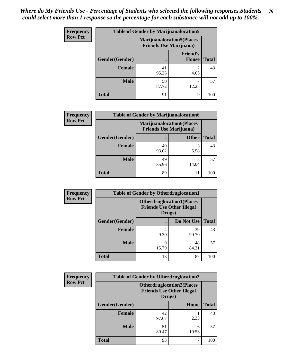| <b>Frequency</b> | <b>Table of Gender by Marijuanalocation5</b> |                                                                     |                          |              |
|------------------|----------------------------------------------|---------------------------------------------------------------------|--------------------------|--------------|
| <b>Row Pct</b>   |                                              | <b>Marijuanalocation5</b> (Places<br><b>Friends Use Marijuana</b> ) |                          |              |
|                  | Gender(Gender)                               |                                                                     | <b>Friend's</b><br>House | <b>Total</b> |
|                  | <b>Female</b>                                | 41<br>95.35                                                         | 4.65                     | 43           |
|                  | <b>Male</b>                                  | 50<br>87.72                                                         | 12.28                    | 57           |
|                  | <b>Total</b>                                 | 91                                                                  | 9                        | 100          |

| <b>Frequency</b> | <b>Table of Gender by Marijuanalocation6</b> |                                |                                  |              |
|------------------|----------------------------------------------|--------------------------------|----------------------------------|--------------|
| <b>Row Pct</b>   |                                              | <b>Friends Use Marijuana</b> ) | <b>Marijuanalocation6(Places</b> |              |
|                  | <b>Gender</b> (Gender)                       |                                | <b>Other</b>                     | <b>Total</b> |
|                  | Female                                       | 40<br>93.02                    | 3<br>6.98                        | 43           |
|                  | <b>Male</b>                                  | 49<br>85.96                    | 8<br>14.04                       | 57           |
|                  | <b>Total</b>                                 | 89                             | 11                               | 100          |

| Frequency      | <b>Table of Gender by Otherdruglocation1</b> |            |                                                                                |              |
|----------------|----------------------------------------------|------------|--------------------------------------------------------------------------------|--------------|
| <b>Row Pct</b> |                                              |            | <b>Otherdruglocation1(Places</b><br><b>Friends Use Other Illegal</b><br>Drugs) |              |
|                | Gender(Gender)                               |            | Do Not Use                                                                     | <b>Total</b> |
|                | <b>Female</b>                                | 4<br>9.30  | 39<br>90.70                                                                    | 43           |
|                | <b>Male</b>                                  | q<br>15.79 | 48<br>84.21                                                                    | 57           |
|                | <b>Total</b>                                 | 13         | 87                                                                             | 100          |

| Frequency      | <b>Table of Gender by Otherdruglocation2</b> |                                                                                |            |              |
|----------------|----------------------------------------------|--------------------------------------------------------------------------------|------------|--------------|
| <b>Row Pct</b> |                                              | <b>Otherdruglocation2(Places</b><br><b>Friends Use Other Illegal</b><br>Drugs) |            |              |
|                | Gender(Gender)                               |                                                                                | Home       | <b>Total</b> |
|                | <b>Female</b>                                | 42<br>97.67                                                                    | 2.33       | 43           |
|                | <b>Male</b>                                  | 51<br>89.47                                                                    | 6<br>10.53 | 57           |
|                | <b>Total</b>                                 | 93                                                                             |            | 100          |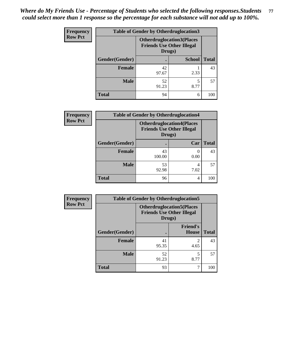| <b>Frequency</b> | <b>Table of Gender by Otherdruglocation3</b> |                                                                                |               |              |
|------------------|----------------------------------------------|--------------------------------------------------------------------------------|---------------|--------------|
| <b>Row Pct</b>   |                                              | <b>Otherdruglocation3(Places</b><br><b>Friends Use Other Illegal</b><br>Drugs) |               |              |
|                  | Gender(Gender)                               |                                                                                | <b>School</b> | <b>Total</b> |
|                  | <b>Female</b>                                | 42<br>97.67                                                                    | 2.33          | 43           |
|                  | <b>Male</b>                                  | 52<br>91.23                                                                    | 8.77          | 57           |
|                  | <b>Total</b>                                 | 94                                                                             | 6             | 100          |

| Frequency      | <b>Table of Gender by Otherdruglocation4</b> |                                            |                                  |              |
|----------------|----------------------------------------------|--------------------------------------------|----------------------------------|--------------|
| <b>Row Pct</b> |                                              | <b>Friends Use Other Illegal</b><br>Drugs) | <b>Otherdruglocation4(Places</b> |              |
|                | Gender(Gender)                               |                                            | Car                              | <b>Total</b> |
|                | Female                                       | 43<br>100.00                               | 0.00                             | 43           |
|                | <b>Male</b>                                  | 53<br>92.98                                | 4<br>7.02                        | 57           |
|                | <b>Total</b>                                 | 96                                         | 4                                | 100          |

| Frequency      | <b>Table of Gender by Otherdruglocation5</b> |                                                                                |                                 |              |
|----------------|----------------------------------------------|--------------------------------------------------------------------------------|---------------------------------|--------------|
| <b>Row Pct</b> |                                              | <b>Otherdruglocation5(Places</b><br><b>Friends Use Other Illegal</b><br>Drugs) |                                 |              |
|                | Gender(Gender)                               |                                                                                | <b>Friend's</b><br><b>House</b> | <b>Total</b> |
|                | <b>Female</b>                                | 41<br>95.35                                                                    | $\overline{c}$<br>4.65          | 43           |
|                | <b>Male</b>                                  | 52<br>91.23                                                                    | 5<br>8.77                       | 57           |
|                | <b>Total</b>                                 | 93                                                                             | 7                               | 100          |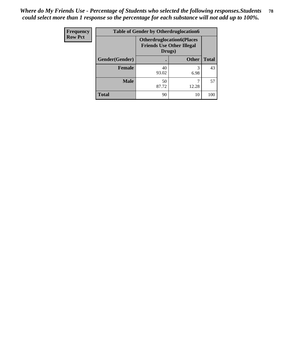| <b>Frequency</b> | <b>Table of Gender by Otherdruglocation6</b> |                                            |                                  |              |
|------------------|----------------------------------------------|--------------------------------------------|----------------------------------|--------------|
| <b>Row Pct</b>   |                                              | <b>Friends Use Other Illegal</b><br>Drugs) | <b>Otherdruglocation6(Places</b> |              |
|                  | Gender(Gender)                               |                                            | <b>Other</b>                     | <b>Total</b> |
|                  | <b>Female</b>                                | 40<br>93.02                                | 6.98                             | 43           |
|                  | <b>Male</b>                                  | 50<br>87.72                                | 12.28                            | 57           |
|                  | <b>Total</b>                                 | 90                                         | 10                               | 100          |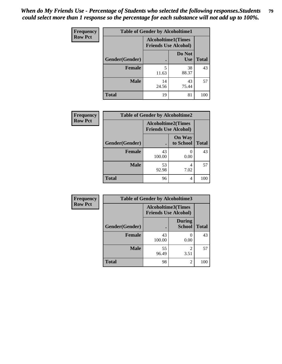| Frequency      | <b>Table of Gender by Alcoholtime1</b> |                                                          |                      |              |
|----------------|----------------------------------------|----------------------------------------------------------|----------------------|--------------|
| <b>Row Pct</b> |                                        | <b>Alcoholtime1(Times</b><br><b>Friends Use Alcohol)</b> |                      |              |
|                | Gender(Gender)                         | $\bullet$                                                | Do Not<br><b>Use</b> | <b>Total</b> |
|                | <b>Female</b>                          | 5<br>11.63                                               | 38<br>88.37          | 43           |
|                | <b>Male</b>                            | 14<br>24.56                                              | 43<br>75.44          | 57           |
|                | <b>Total</b>                           | 19                                                       | 81                   | 100          |

| Frequency      | <b>Table of Gender by Alcoholtime2</b> |                                                          |                            |              |
|----------------|----------------------------------------|----------------------------------------------------------|----------------------------|--------------|
| <b>Row Pct</b> |                                        | <b>Alcoholtime2(Times</b><br><b>Friends Use Alcohol)</b> |                            |              |
|                | Gender(Gender)                         |                                                          | <b>On Way</b><br>to School | <b>Total</b> |
|                | <b>Female</b>                          | 43<br>100.00                                             | 0<br>0.00                  | 43           |
|                | <b>Male</b>                            | 53<br>92.98                                              | 4<br>7.02                  | 57           |
|                | <b>Total</b>                           | 96                                                       | 4                          | 100          |

| Frequency      | <b>Table of Gender by Alcoholtime3</b> |                                                          |                                |              |
|----------------|----------------------------------------|----------------------------------------------------------|--------------------------------|--------------|
| <b>Row Pct</b> |                                        | <b>Alcoholtime3(Times</b><br><b>Friends Use Alcohol)</b> |                                |              |
|                | Gender(Gender)                         |                                                          | <b>During</b><br><b>School</b> | <b>Total</b> |
|                | <b>Female</b>                          | 43<br>100.00                                             | 0<br>0.00                      | 43           |
|                | <b>Male</b>                            | 55<br>96.49                                              | $\mathfrak{D}$<br>3.51         | 57           |
|                | <b>Total</b>                           | 98                                                       | 2                              | 100          |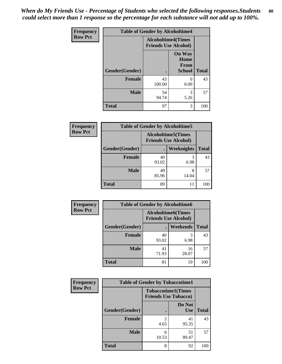*When do My Friends Use - Percentage of Students who selected the following responses.Students could select more than 1 response so the percentage for each substance will not add up to 100%.* **80**

| <b>Frequency</b> | <b>Table of Gender by Alcoholtime4</b> |                                                          |                                                |              |
|------------------|----------------------------------------|----------------------------------------------------------|------------------------------------------------|--------------|
| <b>Row Pct</b>   |                                        | <b>Alcoholtime4(Times</b><br><b>Friends Use Alcohol)</b> |                                                |              |
|                  | Gender(Gender)                         |                                                          | <b>On Way</b><br>Home<br>From<br><b>School</b> | <b>Total</b> |
|                  | <b>Female</b>                          | 43<br>100.00                                             | 0<br>0.00                                      | 43           |
|                  | <b>Male</b>                            | 54<br>94.74                                              | 3<br>5.26                                      | 57           |
|                  | <b>Total</b>                           | 97                                                       | 3                                              | 100          |

| <b>Frequency</b> |                |                                                           | <b>Table of Gender by Alcoholtime5</b> |              |
|------------------|----------------|-----------------------------------------------------------|----------------------------------------|--------------|
| <b>Row Pct</b>   |                | <b>Alcoholtime5</b> (Times<br><b>Friends Use Alcohol)</b> |                                        |              |
|                  | Gender(Gender) |                                                           | Weeknights                             | <b>Total</b> |
|                  | <b>Female</b>  | 40<br>93.02                                               | 3<br>6.98                              | 43           |
|                  | <b>Male</b>    | 49<br>85.96                                               | 8<br>14.04                             | 57           |
|                  | <b>Total</b>   | 89                                                        | 11                                     | 100          |

| <b>Frequency</b> | <b>Table of Gender by Alcoholtime6</b> |                                                           |                 |              |
|------------------|----------------------------------------|-----------------------------------------------------------|-----------------|--------------|
| <b>Row Pct</b>   |                                        | <b>Alcoholtime6</b> (Times<br><b>Friends Use Alcohol)</b> |                 |              |
|                  | Gender(Gender)                         |                                                           | <b>Weekends</b> | <b>Total</b> |
|                  | <b>Female</b>                          | 40<br>93.02                                               | 3<br>6.98       | 43           |
|                  | <b>Male</b>                            | 41<br>71.93                                               | 16<br>28.07     | 57           |
|                  | <b>Total</b>                           | 81                                                        | 19              | 100          |

| Frequency      | <b>Table of Gender by Tobaccotime1</b> |                                                          |                      |              |  |
|----------------|----------------------------------------|----------------------------------------------------------|----------------------|--------------|--|
| <b>Row Pct</b> |                                        | <b>Tobaccotime1(Times</b><br><b>Friends Use Tobacco)</b> |                      |              |  |
|                | Gender(Gender)                         |                                                          | Do Not<br><b>Use</b> | <b>Total</b> |  |
|                | <b>Female</b>                          | $\mathfrak{D}$<br>4.65                                   | 41<br>95.35          | 43           |  |
|                | <b>Male</b>                            | 6<br>10.53                                               | 51<br>89.47          | 57           |  |
|                | <b>Total</b>                           | 8                                                        | 92                   | 100          |  |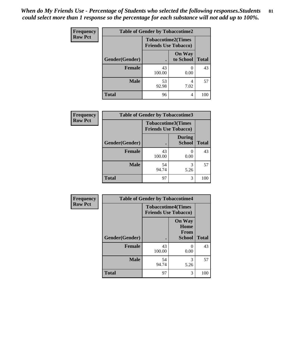*When do My Friends Use - Percentage of Students who selected the following responses.Students could select more than 1 response so the percentage for each substance will not add up to 100%.* **81**

| Frequency      | <b>Table of Gender by Tobaccotime2</b> |                                                          |                            |              |
|----------------|----------------------------------------|----------------------------------------------------------|----------------------------|--------------|
| <b>Row Pct</b> |                                        | <b>Tobaccotime2(Times</b><br><b>Friends Use Tobacco)</b> |                            |              |
|                | Gender(Gender)                         |                                                          | <b>On Way</b><br>to School | <b>Total</b> |
|                | Female                                 | 43<br>100.00                                             | 0.00                       | 43           |
|                | <b>Male</b>                            | 53<br>92.98                                              | 7.02                       | 57           |
|                | <b>Total</b>                           | 96                                                       | 4                          | 100          |

| <b>Frequency</b> | <b>Table of Gender by Tobaccotime3</b> |                             |                                |              |
|------------------|----------------------------------------|-----------------------------|--------------------------------|--------------|
| <b>Row Pct</b>   |                                        | <b>Friends Use Tobacco)</b> | <b>Tobaccotime3(Times</b>      |              |
|                  | Gender(Gender)                         |                             | <b>During</b><br><b>School</b> | <b>Total</b> |
|                  | Female                                 | 43<br>100.00                | 0.00                           | 43           |
|                  | <b>Male</b>                            | 54<br>94.74                 | 5.26                           | 57           |
|                  | <b>Total</b>                           | 97                          | 3                              | 100          |

| <b>Frequency</b> | <b>Table of Gender by Tobaccotime4</b> |                                                          |                                                |              |
|------------------|----------------------------------------|----------------------------------------------------------|------------------------------------------------|--------------|
| <b>Row Pct</b>   |                                        | <b>Tobaccotime4(Times</b><br><b>Friends Use Tobacco)</b> |                                                |              |
|                  | Gender(Gender)                         |                                                          | <b>On Way</b><br>Home<br>From<br><b>School</b> | <b>Total</b> |
|                  | <b>Female</b>                          | 43<br>100.00                                             | 0.00                                           | 43           |
|                  | <b>Male</b>                            | 54<br>94.74                                              | 3<br>5.26                                      | 57           |
|                  | <b>Total</b>                           | 97                                                       | 3                                              | 100          |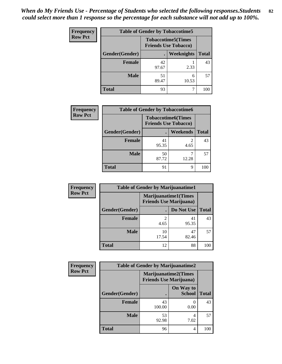| <b>Frequency</b> | <b>Table of Gender by Tobaccotime5</b> |                                                           |                   |              |
|------------------|----------------------------------------|-----------------------------------------------------------|-------------------|--------------|
| <b>Row Pct</b>   |                                        | <b>Tobaccotime5</b> (Times<br><b>Friends Use Tobacco)</b> |                   |              |
|                  | <b>Gender</b> (Gender)                 |                                                           | <b>Weeknights</b> | <b>Total</b> |
|                  | <b>Female</b>                          | 42<br>97.67                                               | 2.33              | 43           |
|                  | <b>Male</b>                            | 51<br>89.47                                               | 6<br>10.53        | 57           |
|                  | <b>Total</b>                           | 93                                                        |                   | 100          |

| Frequency      | <b>Table of Gender by Tobaccotime6</b> |                                                          |                 |              |
|----------------|----------------------------------------|----------------------------------------------------------|-----------------|--------------|
| <b>Row Pct</b> |                                        | <b>Tobaccotime6(Times</b><br><b>Friends Use Tobacco)</b> |                 |              |
|                | Gender(Gender)                         |                                                          | <b>Weekends</b> | <b>Total</b> |
|                | Female                                 | 41<br>95.35                                              | 2<br>4.65       | 43           |
|                | <b>Male</b>                            | 50<br>87.72                                              | 12.28           | 57           |
|                | <b>Total</b>                           | 91                                                       | 9               | 100          |

| <b>Frequency</b> | <b>Table of Gender by Marijuanatime1</b> |                                |                             |              |
|------------------|------------------------------------------|--------------------------------|-----------------------------|--------------|
| <b>Row Pct</b>   |                                          | <b>Friends Use Marijuana</b> ) | <b>Marijuanatime1(Times</b> |              |
|                  | Gender(Gender)                           |                                | Do Not Use                  | <b>Total</b> |
|                  | <b>Female</b>                            | $\overline{2}$<br>4.65         | 41<br>95.35                 | 43           |
|                  | <b>Male</b>                              | 10<br>17.54                    | 47<br>82.46                 | 57           |
|                  | <b>Total</b>                             | 12                             | 88                          | 100          |

| <b>Frequency</b> | <b>Table of Gender by Marijuanatime2</b> |                                                               |                            |              |
|------------------|------------------------------------------|---------------------------------------------------------------|----------------------------|--------------|
| <b>Row Pct</b>   |                                          | <b>Marijuanatime2(Times</b><br><b>Friends Use Marijuana</b> ) |                            |              |
|                  | Gender(Gender)                           |                                                               | On Way to<br><b>School</b> | <b>Total</b> |
|                  | <b>Female</b>                            | 43<br>100.00                                                  | $\mathcal{O}$<br>0.00      | 43           |
|                  | <b>Male</b>                              | 53<br>92.98                                                   | 4<br>7.02                  | 57           |
|                  | <b>Total</b>                             | 96                                                            | 4                          | 100          |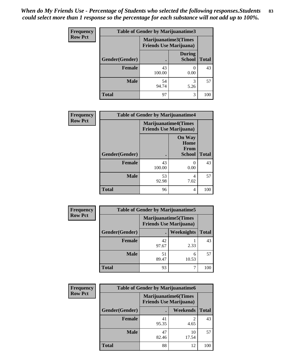*When do My Friends Use - Percentage of Students who selected the following responses.Students could select more than 1 response so the percentage for each substance will not add up to 100%.* **83**

| <b>Frequency</b> | <b>Table of Gender by Marijuanatime3</b> |                                |                                |              |
|------------------|------------------------------------------|--------------------------------|--------------------------------|--------------|
| <b>Row Pct</b>   |                                          | <b>Friends Use Marijuana</b> ) | Marijuanatime3(Times           |              |
|                  | Gender(Gender)                           |                                | <b>During</b><br><b>School</b> | <b>Total</b> |
|                  | Female                                   | 43<br>100.00                   | 0.00                           | 43           |
|                  | <b>Male</b>                              | 54<br>94.74                    | 3<br>5.26                      | 57           |
|                  | <b>Total</b>                             | 97                             | 3                              | 100          |

| Frequency      | <b>Table of Gender by Marijuanatime4</b> |                             |                                                |              |
|----------------|------------------------------------------|-----------------------------|------------------------------------------------|--------------|
| <b>Row Pct</b> |                                          | <b>Marijuanatime4(Times</b> | <b>Friends Use Marijuana</b> )                 |              |
|                | Gender(Gender)                           |                             | <b>On Way</b><br>Home<br>From<br><b>School</b> | <b>Total</b> |
|                | <b>Female</b>                            | 43<br>100.00                | 0.00                                           | 43           |
|                | <b>Male</b>                              | 53<br>92.98                 | 4<br>7.02                                      | 57           |
|                | <b>Total</b>                             | 96                          | 4                                              | 100          |

| Frequency      | <b>Table of Gender by Marijuanatime5</b> |                                                                |            |              |  |
|----------------|------------------------------------------|----------------------------------------------------------------|------------|--------------|--|
| <b>Row Pct</b> |                                          | <b>Marijuanatime5</b> (Times<br><b>Friends Use Marijuana</b> ) |            |              |  |
|                | Gender(Gender)                           |                                                                | Weeknights | <b>Total</b> |  |
|                | <b>Female</b>                            | 42<br>97.67                                                    | 2.33       | 43           |  |
|                | <b>Male</b>                              | 51<br>89.47                                                    | 6<br>10.53 | 57           |  |
|                | <b>Total</b>                             | 93                                                             |            | 100          |  |

| <b>Frequency</b> | <b>Table of Gender by Marijuanatime6</b> |                                                                |                 |              |  |
|------------------|------------------------------------------|----------------------------------------------------------------|-----------------|--------------|--|
| <b>Row Pct</b>   |                                          | <b>Marijuanatime6</b> (Times<br><b>Friends Use Marijuana</b> ) |                 |              |  |
|                  | Gender(Gender)                           |                                                                | <b>Weekends</b> | <b>Total</b> |  |
|                  | <b>Female</b>                            | 41<br>95.35                                                    | 4.65            | 43           |  |
|                  | <b>Male</b>                              | 47<br>82.46                                                    | 10<br>17.54     | 57           |  |
|                  | <b>Total</b>                             | 88                                                             | 12              | 100          |  |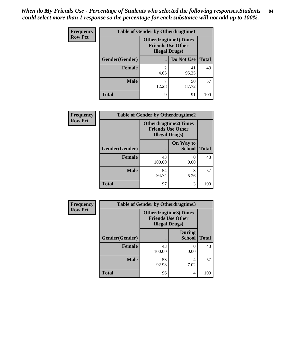| <b>Frequency</b> | <b>Table of Gender by Otherdrugtime1</b>                                          |            |                    |     |  |
|------------------|-----------------------------------------------------------------------------------|------------|--------------------|-----|--|
| <b>Row Pct</b>   | <b>Otherdrugtime1</b> (Times<br><b>Friends Use Other</b><br><b>Illegal Drugs)</b> |            |                    |     |  |
|                  | Gender(Gender)                                                                    |            | Do Not Use   Total |     |  |
|                  | <b>Female</b>                                                                     | 2<br>4.65  | 41<br>95.35        | 43  |  |
|                  | <b>Male</b>                                                                       | 7<br>12.28 | 50<br>87.72        | 57  |  |
|                  | <b>Total</b>                                                                      | 9          | 91                 | 100 |  |

| Frequency      | <b>Table of Gender by Otherdrugtime2</b> |                                                                                   |                            |              |  |
|----------------|------------------------------------------|-----------------------------------------------------------------------------------|----------------------------|--------------|--|
| <b>Row Pct</b> |                                          | <b>Otherdrugtime2(Times</b><br><b>Friends Use Other</b><br><b>Illegal Drugs</b> ) |                            |              |  |
|                | Gender(Gender)                           |                                                                                   | On Way to<br><b>School</b> | <b>Total</b> |  |
|                | <b>Female</b>                            | 43<br>100.00                                                                      | 0.00                       | 43           |  |
|                | <b>Male</b>                              | 54<br>94.74                                                                       | 3<br>5.26                  | 57           |  |
|                | <b>Total</b>                             | 97                                                                                | 3                          | 100          |  |

| <b>Frequency</b> | <b>Table of Gender by Otherdrugtime3</b> |                                                                            |                                |              |  |
|------------------|------------------------------------------|----------------------------------------------------------------------------|--------------------------------|--------------|--|
| <b>Row Pct</b>   |                                          | Otherdrugtime3(Times<br><b>Friends Use Other</b><br><b>Illegal Drugs</b> ) |                                |              |  |
|                  | Gender(Gender)                           |                                                                            | <b>During</b><br><b>School</b> | <b>Total</b> |  |
|                  | <b>Female</b>                            | 43<br>100.00                                                               | 0<br>0.00                      | 43           |  |
|                  | <b>Male</b>                              | 53<br>92.98                                                                | 4<br>7.02                      | 57           |  |
|                  | <b>Total</b>                             | 96                                                                         | 4                              | 100          |  |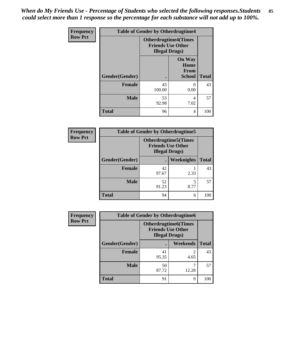*When do My Friends Use - Percentage of Students who selected the following responses.Students could select more than 1 response so the percentage for each substance will not add up to 100%.* **85**

| <b>Frequency</b> | <b>Table of Gender by Otherdrugtime4</b> |                                                                                   |                                                       |              |
|------------------|------------------------------------------|-----------------------------------------------------------------------------------|-------------------------------------------------------|--------------|
| <b>Row Pct</b>   |                                          | <b>Otherdrugtime4(Times</b><br><b>Friends Use Other</b><br><b>Illegal Drugs</b> ) |                                                       |              |
|                  | Gender(Gender)                           |                                                                                   | <b>On Way</b><br>Home<br><b>From</b><br><b>School</b> | <b>Total</b> |
|                  | <b>Female</b>                            | 43<br>100.00                                                                      | $\Omega$<br>0.00                                      | 43           |
|                  | <b>Male</b>                              | 53<br>92.98                                                                       | 4<br>7.02                                             | 57           |
|                  | <b>Total</b>                             | 96                                                                                | 4                                                     | 100          |

| Frequency      | <b>Table of Gender by Otherdrugtime5</b> |                                                                                    |            |              |  |
|----------------|------------------------------------------|------------------------------------------------------------------------------------|------------|--------------|--|
| <b>Row Pct</b> |                                          | <b>Otherdrugtime5</b> (Times<br><b>Friends Use Other</b><br><b>Illegal Drugs</b> ) |            |              |  |
|                | Gender(Gender)                           |                                                                                    | Weeknights | <b>Total</b> |  |
|                | <b>Female</b>                            | 42<br>97.67                                                                        | 2.33       | 43           |  |
|                | <b>Male</b>                              | 52<br>91.23                                                                        | 8.77       | 57           |  |
|                | <b>Total</b>                             | 94                                                                                 | 6          | 100          |  |

| <b>Frequency</b> | <b>Table of Gender by Otherdrugtime6</b> |                                                                                   |            |              |  |
|------------------|------------------------------------------|-----------------------------------------------------------------------------------|------------|--------------|--|
| <b>Row Pct</b>   |                                          | <b>Otherdrugtime6(Times</b><br><b>Friends Use Other</b><br><b>Illegal Drugs</b> ) |            |              |  |
|                  | Gender(Gender)                           |                                                                                   | Weekends   | <b>Total</b> |  |
|                  | <b>Female</b>                            | 41<br>95.35                                                                       | 2<br>4.65  | 43           |  |
|                  | <b>Male</b>                              | 50<br>87.72                                                                       | 7<br>12.28 | 57           |  |
|                  | <b>Total</b>                             | 91                                                                                | 9          | 100          |  |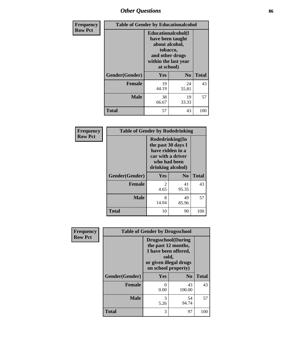# *Other Questions* **86**

| <b>Frequency</b> | <b>Table of Gender by Educationalcohol</b> |                                                                                                                                       |                |              |  |
|------------------|--------------------------------------------|---------------------------------------------------------------------------------------------------------------------------------------|----------------|--------------|--|
| <b>Row Pct</b>   |                                            | <b>Educationalcohol</b> (I<br>have been taught<br>about alcohol,<br>tobacco,<br>and other drugs<br>within the last year<br>at school) |                |              |  |
|                  | Gender(Gender)                             | <b>Yes</b>                                                                                                                            | N <sub>0</sub> | <b>Total</b> |  |
|                  | <b>Female</b>                              | 19<br>44.19                                                                                                                           | 24<br>55.81    | 43           |  |
|                  | <b>Male</b>                                | 38<br>66.67                                                                                                                           | 19<br>33.33    | 57           |  |
|                  | <b>Total</b>                               | 57                                                                                                                                    | 43             | 100          |  |

| Frequency      | <b>Table of Gender by Rodedrinking</b> |                                                                                                                     |                |              |  |  |
|----------------|----------------------------------------|---------------------------------------------------------------------------------------------------------------------|----------------|--------------|--|--|
| <b>Row Pct</b> |                                        | Rodedrinking(In<br>the past 30 days I<br>have ridden in a<br>car with a driver<br>who had been<br>drinking alcohol) |                |              |  |  |
|                | Gender(Gender)                         | Yes                                                                                                                 | N <sub>0</sub> | <b>Total</b> |  |  |
|                | <b>Female</b>                          | $\mathfrak{D}$<br>4.65                                                                                              | 41<br>95.35    | 43           |  |  |
|                | <b>Male</b>                            | 8<br>14.04                                                                                                          | 49<br>85.96    | 57           |  |  |
|                | <b>Total</b>                           | 10                                                                                                                  | 90             | 100          |  |  |

| Frequency      | <b>Table of Gender by Drugsschool</b> |                                                                                                                                     |                |              |  |
|----------------|---------------------------------------|-------------------------------------------------------------------------------------------------------------------------------------|----------------|--------------|--|
| <b>Row Pct</b> |                                       | <b>Drugsschool</b> (During<br>the past 12 months,<br>I have been offered,<br>sold,<br>or given illegal drugs<br>on school property) |                |              |  |
|                | Gender(Gender)                        | Yes                                                                                                                                 | N <sub>0</sub> | <b>Total</b> |  |
|                | <b>Female</b>                         | 0<br>0.00                                                                                                                           | 43<br>100.00   | 43           |  |
|                | <b>Male</b>                           | 3<br>5.26                                                                                                                           | 54<br>94.74    | 57           |  |
|                | <b>Total</b>                          | 3                                                                                                                                   | 97             | 100          |  |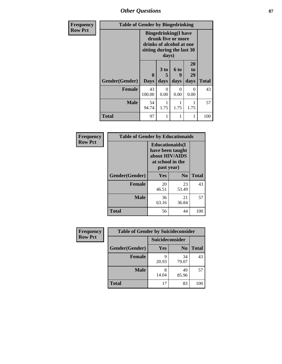*Other Questions* **87**

| <b>Frequency</b> | <b>Table of Gender by Bingedrinking</b> |                                                                                                                       |                              |                   |                        |              |
|------------------|-----------------------------------------|-----------------------------------------------------------------------------------------------------------------------|------------------------------|-------------------|------------------------|--------------|
| <b>Row Pct</b>   |                                         | <b>Bingedrinking</b> (I have<br>drunk five or more<br>drinks of alcohol at one<br>sitting during the last 30<br>days) |                              |                   |                        |              |
|                  | Gender(Gender)                          | 0<br><b>Days</b>                                                                                                      | 3 <sub>to</sub><br>5<br>days | 6 to<br>9<br>days | 20<br>to<br>29<br>days | <b>Total</b> |
|                  | <b>Female</b>                           | 43<br>100.00                                                                                                          | 0<br>0.00                    | 0<br>0.00         | $\Omega$<br>0.00       | 43           |
|                  | <b>Male</b>                             | 54<br>94.74                                                                                                           | 1.75                         | 1.75              | 1.75                   | 57           |
|                  | <b>Total</b>                            | 97                                                                                                                    | 1                            |                   | 1                      | 100          |

| Frequency      | <b>Table of Gender by Educationaids</b> |                                                                                                 |             |              |
|----------------|-----------------------------------------|-------------------------------------------------------------------------------------------------|-------------|--------------|
| <b>Row Pct</b> |                                         | <b>Educationaids</b> (I<br>have been taught<br>about HIV/AIDS<br>at school in the<br>past year) |             |              |
|                | Gender(Gender)                          | Yes                                                                                             | $\bf N_0$   | <b>Total</b> |
|                | <b>Female</b>                           | 20<br>46.51                                                                                     | 23<br>53.49 | 43           |
|                | <b>Male</b>                             | 36<br>63.16                                                                                     | 21<br>36.84 | 57           |
|                | <b>Total</b>                            | 56                                                                                              | 44          | 100          |

| <b>Frequency</b> | <b>Table of Gender by Suicideconsider</b> |                 |                |              |
|------------------|-------------------------------------------|-----------------|----------------|--------------|
| <b>Row Pct</b>   |                                           | Suicideconsider |                |              |
|                  | Gender(Gender)                            | Yes             | N <sub>0</sub> | <b>Total</b> |
|                  | <b>Female</b>                             | 20.93           | 34<br>79.07    | 43           |
|                  | <b>Male</b>                               | 14.04           | 49<br>85.96    | 57           |
|                  | <b>Total</b>                              | 17              | 83             | 100          |